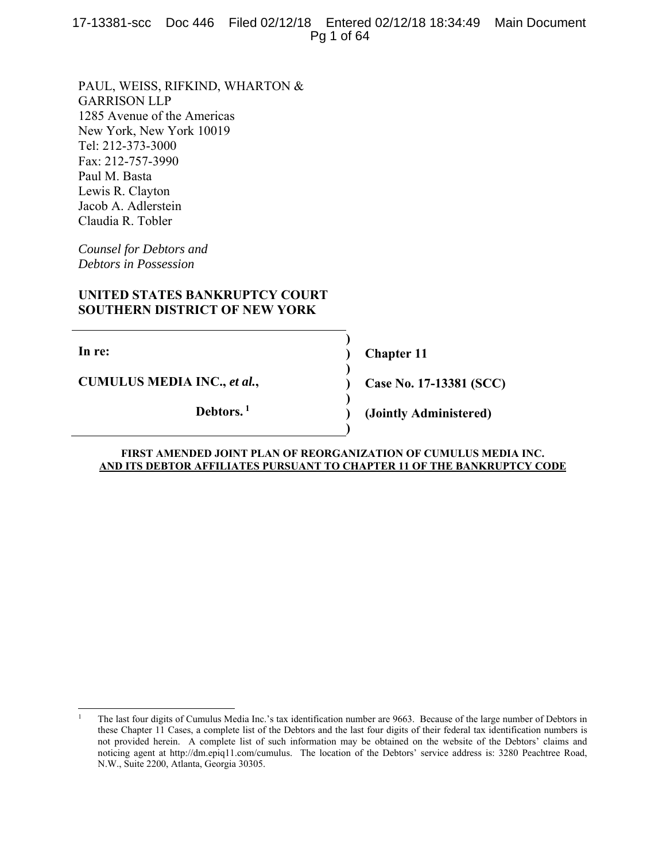17-13381-scc Doc 446 Filed 02/12/18 Entered 02/12/18 18:34:49 Main Document Pg 1 of 64

PAUL, WEISS, RIFKIND, WHARTON & GARRISON LLP 1285 Avenue of the Americas New York, New York 10019 Tel: 212-373-3000 Fax: 212-757-3990 Paul M. Basta Lewis R. Clayton Jacob A. Adlerstein Claudia R. Tobler

*Counsel for Debtors and Debtors in Possession* 

# **UNITED STATES BANKRUPTCY COURT SOUTHERN DISTRICT OF NEW YORK**

**In re:** 

 $\overline{a}$ 

**CUMULUS MEDIA INC.,** *et al.***,** 

**Debtors. 1**

**Chapter 11** 

**Case No. 17-13381 (SCC)** 

**(Jointly Administered)** 

#### **FIRST AMENDED JOINT PLAN OF REORGANIZATION OF CUMULUS MEDIA INC. AND ITS DEBTOR AFFILIATES PURSUANT TO CHAPTER 11 OF THE BANKRUPTCY CODE**

**) ) ) ) ) ) )** 

<sup>1</sup> The last four digits of Cumulus Media Inc.'s tax identification number are 9663. Because of the large number of Debtors in these Chapter 11 Cases, a complete list of the Debtors and the last four digits of their federal tax identification numbers is not provided herein. A complete list of such information may be obtained on the website of the Debtors' claims and noticing agent at http://dm.epiq11.com/cumulus. The location of the Debtors' service address is: 3280 Peachtree Road, N.W., Suite 2200, Atlanta, Georgia 30305.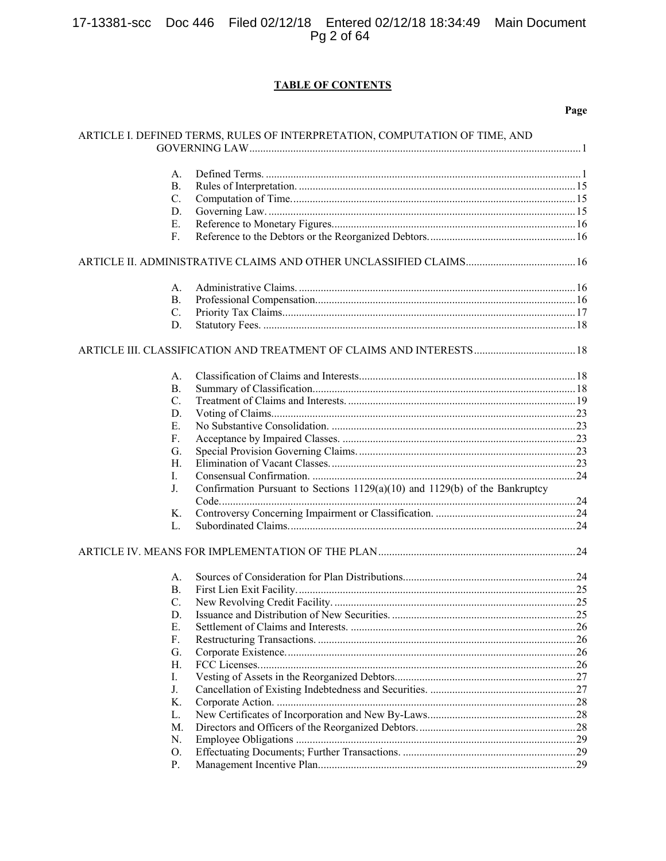# 17-13381-scc Doc 446 Filed 02/12/18 Entered 02/12/18 18:34:49 Main Document<br>Pg 2 of 64

# **TABLE OF CONTENTS**

|                | ARTICLE I. DEFINED TERMS, RULES OF INTERPRETATION, COMPUTATION OF TIME, AND |  |
|----------------|-----------------------------------------------------------------------------|--|
| А.             |                                                                             |  |
| В.             |                                                                             |  |
| C.             |                                                                             |  |
| D.             |                                                                             |  |
|                |                                                                             |  |
| Ε.             |                                                                             |  |
| F.             |                                                                             |  |
|                |                                                                             |  |
| А.             |                                                                             |  |
| <b>B.</b>      |                                                                             |  |
| C.             |                                                                             |  |
| D.             |                                                                             |  |
|                |                                                                             |  |
| А.             |                                                                             |  |
| <b>B.</b>      |                                                                             |  |
| $\mathbf{C}$ . |                                                                             |  |
| D.             |                                                                             |  |
| Ε.             |                                                                             |  |
| F.             |                                                                             |  |
| G.             |                                                                             |  |
| H.             |                                                                             |  |
| I.             |                                                                             |  |
| J.             | Confirmation Pursuant to Sections 1129(a)(10) and 1129(b) of the Bankruptcy |  |
|                |                                                                             |  |
| Κ.             |                                                                             |  |
| L.             |                                                                             |  |
|                |                                                                             |  |
| A.             |                                                                             |  |
| В.             |                                                                             |  |
| C.             |                                                                             |  |
| D.             |                                                                             |  |
| Ε.             |                                                                             |  |
| F.             |                                                                             |  |
| G.             |                                                                             |  |
| Η.             |                                                                             |  |
| I.             |                                                                             |  |
| J.             |                                                                             |  |
| K.             |                                                                             |  |
| L.             |                                                                             |  |
| M.             |                                                                             |  |
| N.             |                                                                             |  |
|                |                                                                             |  |
| O.             |                                                                             |  |
| Ρ.             |                                                                             |  |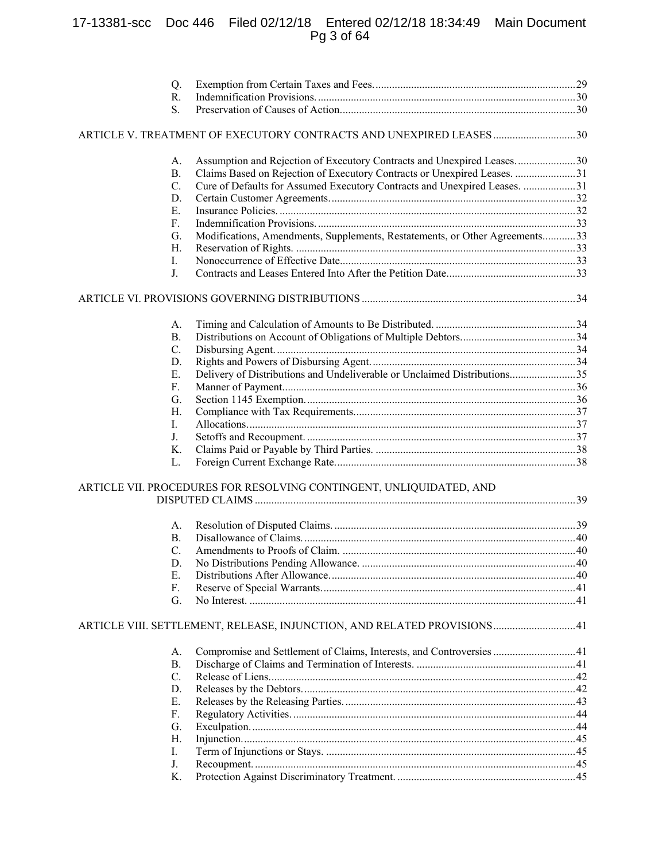# 17-13381-scc Doc 446 Filed 02/12/18 Entered 02/12/18 18:34:49 Main Document Pg 3 of 64

| Q.        |                                                                             |  |
|-----------|-----------------------------------------------------------------------------|--|
| R.        |                                                                             |  |
| S.        |                                                                             |  |
|           |                                                                             |  |
| A.        | Assumption and Rejection of Executory Contracts and Unexpired Leases30      |  |
| <b>B.</b> | Claims Based on Rejection of Executory Contracts or Unexpired Leases. 31    |  |
| C.        | Cure of Defaults for Assumed Executory Contracts and Unexpired Leases. 31   |  |
| D.        |                                                                             |  |
| Ε.        |                                                                             |  |
| F.        |                                                                             |  |
| G.        | Modifications, Amendments, Supplements, Restatements, or Other Agreements33 |  |
| Η.        |                                                                             |  |
| Ι.        |                                                                             |  |
| J.        |                                                                             |  |
|           |                                                                             |  |
| A.        |                                                                             |  |
| <b>B.</b> |                                                                             |  |
| C.        |                                                                             |  |
| D.        |                                                                             |  |
| Ε.        | Delivery of Distributions and Undeliverable or Unclaimed Distributions35    |  |
| F.        |                                                                             |  |
| G.        |                                                                             |  |
| H.        |                                                                             |  |
| I.        |                                                                             |  |
| J.        |                                                                             |  |
| Κ.        |                                                                             |  |
| L.        |                                                                             |  |
|           | ARTICLE VII. PROCEDURES FOR RESOLVING CONTINGENT, UNLIQUIDATED, AND         |  |
|           |                                                                             |  |
| A.        |                                                                             |  |
| <b>B.</b> |                                                                             |  |
| C.        |                                                                             |  |
| D.        |                                                                             |  |
| Е.        |                                                                             |  |
| F.        |                                                                             |  |
| G.        |                                                                             |  |
|           | ARTICLE VIII. SETTLEMENT, RELEASE, INJUNCTION, AND RELATED PROVISIONS41     |  |
| А.        | Compromise and Settlement of Claims, Interests, and Controversies 41        |  |
| <b>B.</b> |                                                                             |  |
| C.        |                                                                             |  |
| D.        |                                                                             |  |
| Е.        |                                                                             |  |
| F.        |                                                                             |  |
| G.        |                                                                             |  |
| Η.        |                                                                             |  |
| I.        |                                                                             |  |
| J.        |                                                                             |  |
| Κ.        |                                                                             |  |
|           |                                                                             |  |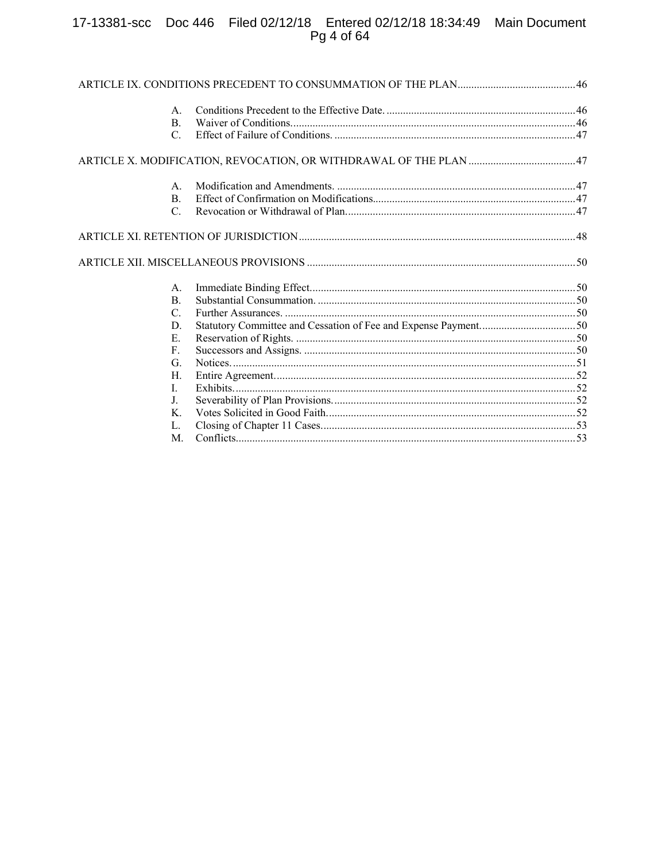# 17-13381-scc Doc 446 Filed 02/12/18 Entered 02/12/18 18:34:49 Main Document<br>Pg 4 of 64

| A.              |                                                                   |  |
|-----------------|-------------------------------------------------------------------|--|
| В.              |                                                                   |  |
| C.              |                                                                   |  |
|                 | ARTICLE X. MODIFICATION, REVOCATION, OR WITHDRAWAL OF THE PLAN 47 |  |
| А.              |                                                                   |  |
| <b>B.</b>       |                                                                   |  |
| $\mathcal{C}$ . |                                                                   |  |
|                 |                                                                   |  |
|                 |                                                                   |  |
| A.              |                                                                   |  |
| <b>B.</b>       |                                                                   |  |
| C.              |                                                                   |  |
| D.              | Statutory Committee and Cessation of Fee and Expense Payment50    |  |
| E.              |                                                                   |  |
| F.              |                                                                   |  |
| G.              |                                                                   |  |
| Н.              |                                                                   |  |
| L               |                                                                   |  |
| J.              |                                                                   |  |
| K.              |                                                                   |  |
| L.              |                                                                   |  |
| M.              |                                                                   |  |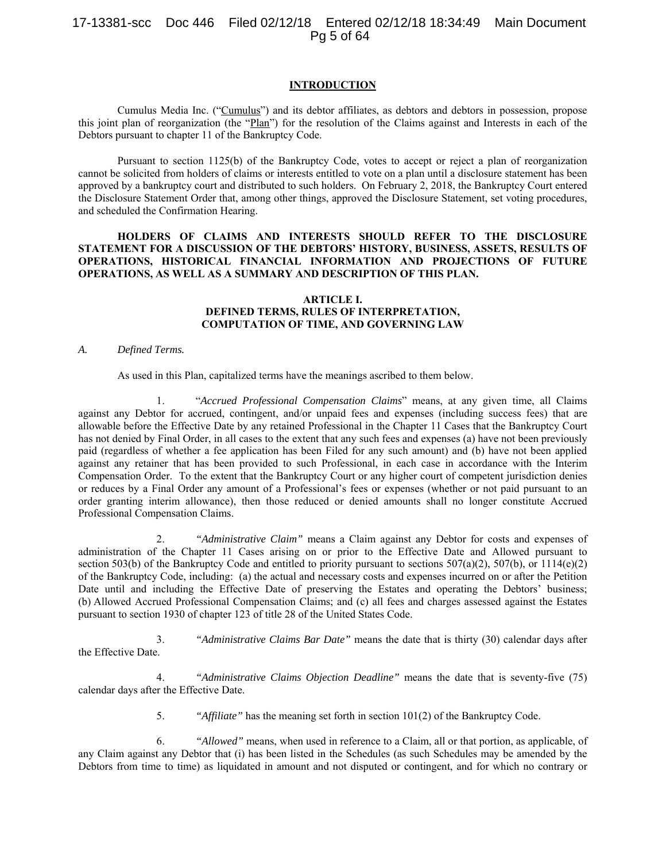# 17-13381-scc Doc 446 Filed 02/12/18 Entered 02/12/18 18:34:49 Main Document Pg 5 of 64

### **INTRODUCTION**

Cumulus Media Inc. ("Cumulus") and its debtor affiliates, as debtors and debtors in possession, propose this joint plan of reorganization (the "Plan") for the resolution of the Claims against and Interests in each of the Debtors pursuant to chapter 11 of the Bankruptcy Code.

Pursuant to section 1125(b) of the Bankruptcy Code, votes to accept or reject a plan of reorganization cannot be solicited from holders of claims or interests entitled to vote on a plan until a disclosure statement has been approved by a bankruptcy court and distributed to such holders. On February 2, 2018, the Bankruptcy Court entered the Disclosure Statement Order that, among other things, approved the Disclosure Statement, set voting procedures, and scheduled the Confirmation Hearing.

## **HOLDERS OF CLAIMS AND INTERESTS SHOULD REFER TO THE DISCLOSURE STATEMENT FOR A DISCUSSION OF THE DEBTORS' HISTORY, BUSINESS, ASSETS, RESULTS OF OPERATIONS, HISTORICAL FINANCIAL INFORMATION AND PROJECTIONS OF FUTURE OPERATIONS, AS WELL AS A SUMMARY AND DESCRIPTION OF THIS PLAN.**

## **ARTICLE I. DEFINED TERMS, RULES OF INTERPRETATION, COMPUTATION OF TIME, AND GOVERNING LAW**

#### *A. Defined Terms.*

As used in this Plan, capitalized terms have the meanings ascribed to them below.

1. "*Accrued Professional Compensation Claims*" means, at any given time, all Claims against any Debtor for accrued, contingent, and/or unpaid fees and expenses (including success fees) that are allowable before the Effective Date by any retained Professional in the Chapter 11 Cases that the Bankruptcy Court has not denied by Final Order, in all cases to the extent that any such fees and expenses (a) have not been previously paid (regardless of whether a fee application has been Filed for any such amount) and (b) have not been applied against any retainer that has been provided to such Professional, in each case in accordance with the Interim Compensation Order. To the extent that the Bankruptcy Court or any higher court of competent jurisdiction denies or reduces by a Final Order any amount of a Professional's fees or expenses (whether or not paid pursuant to an order granting interim allowance), then those reduced or denied amounts shall no longer constitute Accrued Professional Compensation Claims.

2. *"Administrative Claim"* means a Claim against any Debtor for costs and expenses of administration of the Chapter 11 Cases arising on or prior to the Effective Date and Allowed pursuant to section 503(b) of the Bankruptcy Code and entitled to priority pursuant to sections 507(a)(2), 507(b), or 1114(e)(2) of the Bankruptcy Code, including: (a) the actual and necessary costs and expenses incurred on or after the Petition Date until and including the Effective Date of preserving the Estates and operating the Debtors' business; (b) Allowed Accrued Professional Compensation Claims; and (c) all fees and charges assessed against the Estates pursuant to section 1930 of chapter 123 of title 28 of the United States Code.

3. *"Administrative Claims Bar Date"* means the date that is thirty (30) calendar days after the Effective Date.

4. *"Administrative Claims Objection Deadline"* means the date that is seventy-five (75) calendar days after the Effective Date.

5. *"Affiliate"* has the meaning set forth in section 101(2) of the Bankruptcy Code.

6. *"Allowed"* means, when used in reference to a Claim, all or that portion, as applicable, of any Claim against any Debtor that (i) has been listed in the Schedules (as such Schedules may be amended by the Debtors from time to time) as liquidated in amount and not disputed or contingent, and for which no contrary or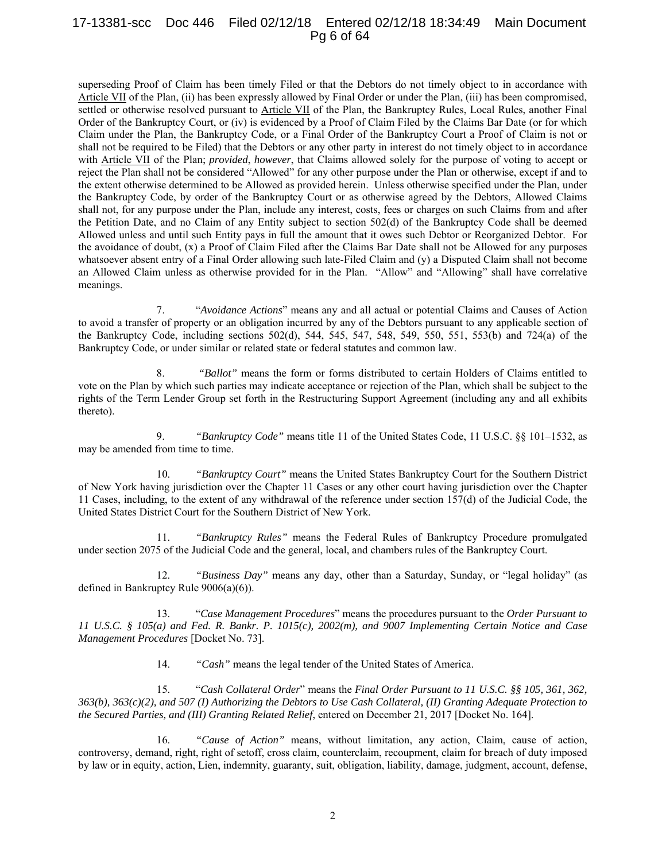# 17-13381-scc Doc 446 Filed 02/12/18 Entered 02/12/18 18:34:49 Main Document Pg 6 of 64

superseding Proof of Claim has been timely Filed or that the Debtors do not timely object to in accordance with Article VII of the Plan, (ii) has been expressly allowed by Final Order or under the Plan, (iii) has been compromised, settled or otherwise resolved pursuant to Article VII of the Plan, the Bankruptcy Rules, Local Rules, another Final Order of the Bankruptcy Court, or (iv) is evidenced by a Proof of Claim Filed by the Claims Bar Date (or for which Claim under the Plan, the Bankruptcy Code, or a Final Order of the Bankruptcy Court a Proof of Claim is not or shall not be required to be Filed) that the Debtors or any other party in interest do not timely object to in accordance with Article VII of the Plan; *provided*, *however*, that Claims allowed solely for the purpose of voting to accept or reject the Plan shall not be considered "Allowed" for any other purpose under the Plan or otherwise, except if and to the extent otherwise determined to be Allowed as provided herein. Unless otherwise specified under the Plan, under the Bankruptcy Code, by order of the Bankruptcy Court or as otherwise agreed by the Debtors, Allowed Claims shall not, for any purpose under the Plan, include any interest, costs, fees or charges on such Claims from and after the Petition Date, and no Claim of any Entity subject to section 502(d) of the Bankruptcy Code shall be deemed Allowed unless and until such Entity pays in full the amount that it owes such Debtor or Reorganized Debtor. For the avoidance of doubt, (x) a Proof of Claim Filed after the Claims Bar Date shall not be Allowed for any purposes whatsoever absent entry of a Final Order allowing such late-Filed Claim and (y) a Disputed Claim shall not become an Allowed Claim unless as otherwise provided for in the Plan. "Allow" and "Allowing" shall have correlative meanings.

7. "*Avoidance Actions*" means any and all actual or potential Claims and Causes of Action to avoid a transfer of property or an obligation incurred by any of the Debtors pursuant to any applicable section of the Bankruptcy Code, including sections 502(d), 544, 545, 547, 548, 549, 550, 551, 553(b) and 724(a) of the Bankruptcy Code, or under similar or related state or federal statutes and common law.

8. *"Ballot"* means the form or forms distributed to certain Holders of Claims entitled to vote on the Plan by which such parties may indicate acceptance or rejection of the Plan, which shall be subject to the rights of the Term Lender Group set forth in the Restructuring Support Agreement (including any and all exhibits thereto).

9. *"Bankruptcy Code"* means title 11 of the United States Code, 11 U.S.C. §§ 101–1532, as may be amended from time to time.

10. *"Bankruptcy Court"* means the United States Bankruptcy Court for the Southern District of New York having jurisdiction over the Chapter 11 Cases or any other court having jurisdiction over the Chapter 11 Cases, including, to the extent of any withdrawal of the reference under section 157(d) of the Judicial Code, the United States District Court for the Southern District of New York.

11. *"Bankruptcy Rules"* means the Federal Rules of Bankruptcy Procedure promulgated under section 2075 of the Judicial Code and the general, local, and chambers rules of the Bankruptcy Court.

12. *"Business Day"* means any day, other than a Saturday, Sunday, or "legal holiday" (as defined in Bankruptcy Rule 9006(a)(6)).

13. "*Case Management Procedures*" means the procedures pursuant to the *Order Pursuant to 11 U.S.C. § 105(a) and Fed. R. Bankr. P. 1015(c), 2002(m), and 9007 Implementing Certain Notice and Case Management Procedures* [Docket No. 73].

14. *"Cash"* means the legal tender of the United States of America.

15. "*Cash Collateral Order*" means the *Final Order Pursuant to 11 U.S.C. §§ 105, 361, 362, 363(b), 363(c)(2), and 507 (I) Authorizing the Debtors to Use Cash Collateral, (II) Granting Adequate Protection to the Secured Parties, and (III) Granting Related Relief*, entered on December 21, 2017 [Docket No. 164].

16. *"Cause of Action"* means, without limitation, any action, Claim, cause of action, controversy, demand, right, right of setoff, cross claim, counterclaim, recoupment, claim for breach of duty imposed by law or in equity, action, Lien, indemnity, guaranty, suit, obligation, liability, damage, judgment, account, defense,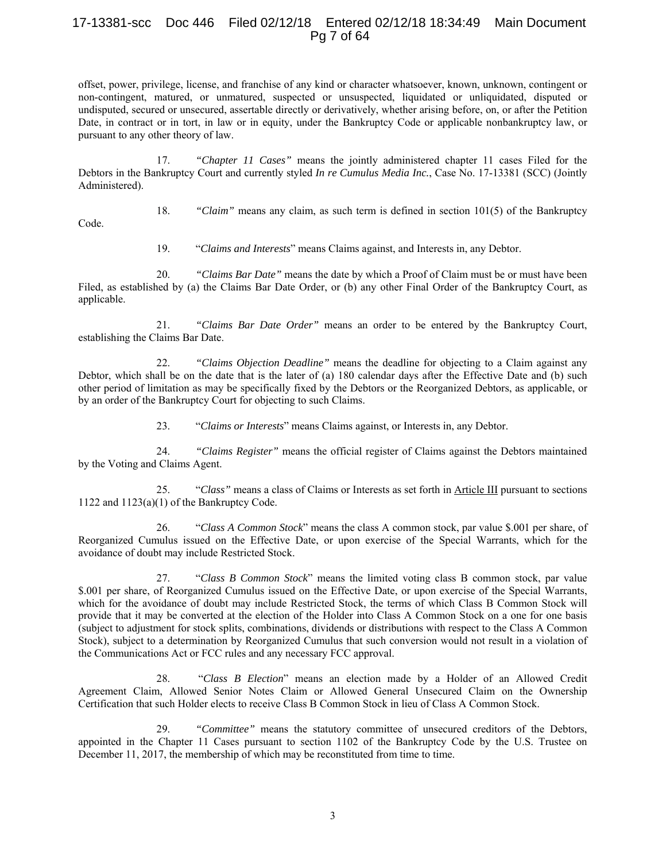# 17-13381-scc Doc 446 Filed 02/12/18 Entered 02/12/18 18:34:49 Main Document Pg 7 of 64

offset, power, privilege, license, and franchise of any kind or character whatsoever, known, unknown, contingent or non-contingent, matured, or unmatured, suspected or unsuspected, liquidated or unliquidated, disputed or undisputed, secured or unsecured, assertable directly or derivatively, whether arising before, on, or after the Petition Date, in contract or in tort, in law or in equity, under the Bankruptcy Code or applicable nonbankruptcy law, or pursuant to any other theory of law.

17. *"Chapter 11 Cases"* means the jointly administered chapter 11 cases Filed for the Debtors in the Bankruptcy Court and currently styled *In re Cumulus Media Inc.*, Case No. 17-13381 (SCC) (Jointly Administered).

18. *"Claim"* means any claim, as such term is defined in section 101(5) of the Bankruptcy

Code.

19. "*Claims and Interests*" means Claims against, and Interests in, any Debtor.

20. *"Claims Bar Date"* means the date by which a Proof of Claim must be or must have been Filed, as established by (a) the Claims Bar Date Order, or (b) any other Final Order of the Bankruptcy Court, as applicable.

21. *"Claims Bar Date Order"* means an order to be entered by the Bankruptcy Court, establishing the Claims Bar Date.

22. *"Claims Objection Deadline"* means the deadline for objecting to a Claim against any Debtor, which shall be on the date that is the later of (a) 180 calendar days after the Effective Date and (b) such other period of limitation as may be specifically fixed by the Debtors or the Reorganized Debtors, as applicable, or by an order of the Bankruptcy Court for objecting to such Claims.

23. "*Claims or Interests*" means Claims against, or Interests in, any Debtor.

24. *"Claims Register"* means the official register of Claims against the Debtors maintained by the Voting and Claims Agent.

25. "*Class"* means a class of Claims or Interests as set forth in Article III pursuant to sections 1122 and 1123(a)(1) of the Bankruptcy Code.

26. "*Class A Common Stock*" means the class A common stock, par value \$.001 per share, of Reorganized Cumulus issued on the Effective Date, or upon exercise of the Special Warrants, which for the avoidance of doubt may include Restricted Stock.

27. "*Class B Common Stock*" means the limited voting class B common stock, par value \$.001 per share, of Reorganized Cumulus issued on the Effective Date, or upon exercise of the Special Warrants, which for the avoidance of doubt may include Restricted Stock, the terms of which Class B Common Stock will provide that it may be converted at the election of the Holder into Class A Common Stock on a one for one basis (subject to adjustment for stock splits, combinations, dividends or distributions with respect to the Class A Common Stock), subject to a determination by Reorganized Cumulus that such conversion would not result in a violation of the Communications Act or FCC rules and any necessary FCC approval.

28. "*Class B Election*" means an election made by a Holder of an Allowed Credit Agreement Claim, Allowed Senior Notes Claim or Allowed General Unsecured Claim on the Ownership Certification that such Holder elects to receive Class B Common Stock in lieu of Class A Common Stock.

29. *"Committee"* means the statutory committee of unsecured creditors of the Debtors, appointed in the Chapter 11 Cases pursuant to section 1102 of the Bankruptcy Code by the U.S. Trustee on December 11, 2017, the membership of which may be reconstituted from time to time.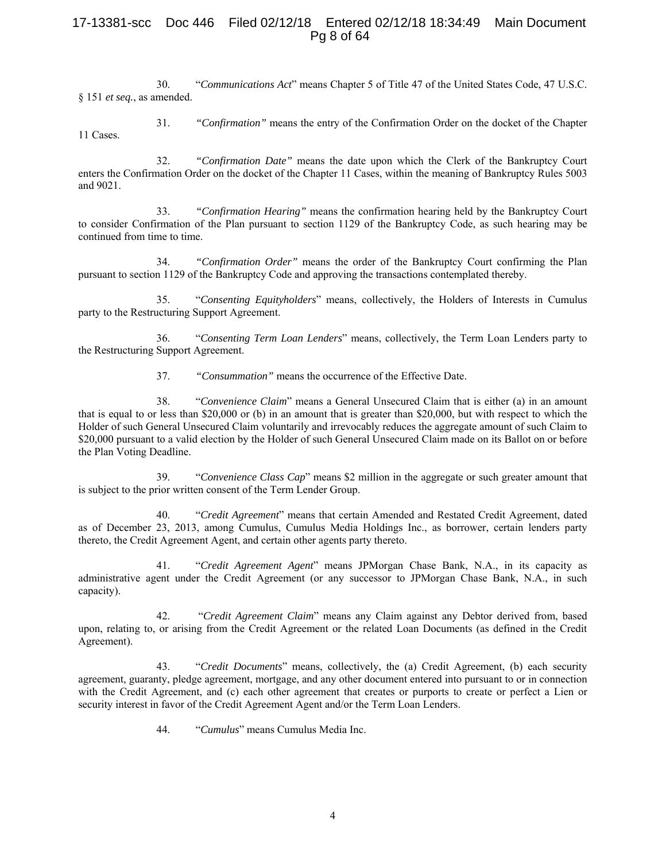# 17-13381-scc Doc 446 Filed 02/12/18 Entered 02/12/18 18:34:49 Main Document Pg 8 of 64

30. "*Communications Act*" means Chapter 5 of Title 47 of the United States Code, 47 U.S.C. § 151 *et seq.*, as amended.

31. *"Confirmation"* means the entry of the Confirmation Order on the docket of the Chapter 11 Cases.

32. *"Confirmation Date"* means the date upon which the Clerk of the Bankruptcy Court enters the Confirmation Order on the docket of the Chapter 11 Cases, within the meaning of Bankruptcy Rules 5003 and 9021.

33. *"Confirmation Hearing"* means the confirmation hearing held by the Bankruptcy Court to consider Confirmation of the Plan pursuant to section 1129 of the Bankruptcy Code, as such hearing may be continued from time to time.

34. *"Confirmation Order"* means the order of the Bankruptcy Court confirming the Plan pursuant to section 1129 of the Bankruptcy Code and approving the transactions contemplated thereby.

35. "*Consenting Equityholders*" means, collectively, the Holders of Interests in Cumulus party to the Restructuring Support Agreement.

36. "*Consenting Term Loan Lenders*" means, collectively, the Term Loan Lenders party to the Restructuring Support Agreement.

37. *"Consummation"* means the occurrence of the Effective Date.

38. "*Convenience Claim*" means a General Unsecured Claim that is either (a) in an amount that is equal to or less than \$20,000 or (b) in an amount that is greater than \$20,000, but with respect to which the Holder of such General Unsecured Claim voluntarily and irrevocably reduces the aggregate amount of such Claim to \$20,000 pursuant to a valid election by the Holder of such General Unsecured Claim made on its Ballot on or before the Plan Voting Deadline.

39. "*Convenience Class Cap*" means \$2 million in the aggregate or such greater amount that is subject to the prior written consent of the Term Lender Group.

40. "*Credit Agreement*" means that certain Amended and Restated Credit Agreement, dated as of December 23, 2013, among Cumulus, Cumulus Media Holdings Inc., as borrower, certain lenders party thereto, the Credit Agreement Agent, and certain other agents party thereto.

41. "*Credit Agreement Agent*" means JPMorgan Chase Bank, N.A., in its capacity as administrative agent under the Credit Agreement (or any successor to JPMorgan Chase Bank, N.A., in such capacity).

42. "*Credit Agreement Claim*" means any Claim against any Debtor derived from, based upon, relating to, or arising from the Credit Agreement or the related Loan Documents (as defined in the Credit Agreement).

43. "*Credit Documents*" means, collectively, the (a) Credit Agreement, (b) each security agreement, guaranty, pledge agreement, mortgage, and any other document entered into pursuant to or in connection with the Credit Agreement, and (c) each other agreement that creates or purports to create or perfect a Lien or security interest in favor of the Credit Agreement Agent and/or the Term Loan Lenders.

44. "*Cumulus*" means Cumulus Media Inc.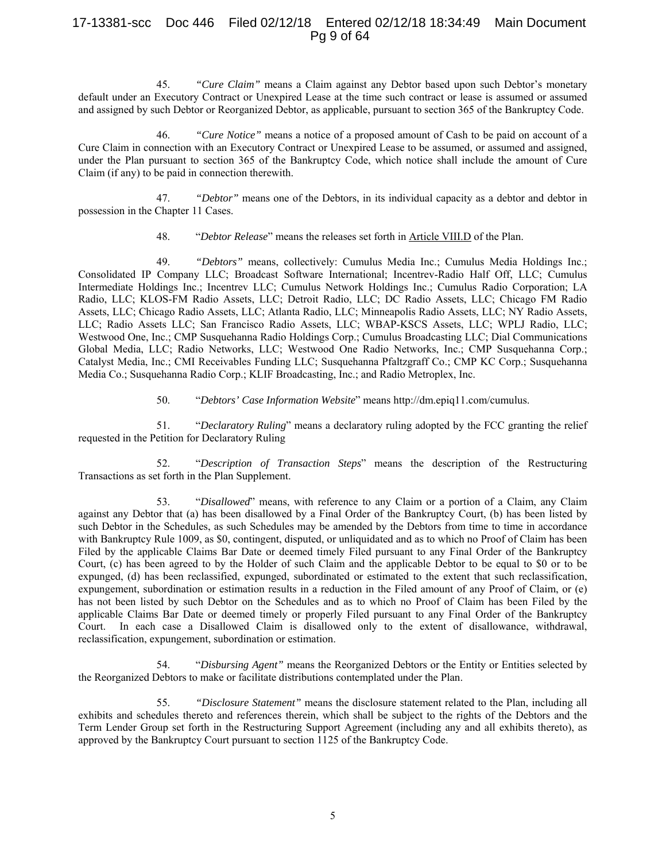# 17-13381-scc Doc 446 Filed 02/12/18 Entered 02/12/18 18:34:49 Main Document Pg 9 of 64

45. *"Cure Claim"* means a Claim against any Debtor based upon such Debtor's monetary default under an Executory Contract or Unexpired Lease at the time such contract or lease is assumed or assumed and assigned by such Debtor or Reorganized Debtor, as applicable, pursuant to section 365 of the Bankruptcy Code.

46. *"Cure Notice"* means a notice of a proposed amount of Cash to be paid on account of a Cure Claim in connection with an Executory Contract or Unexpired Lease to be assumed, or assumed and assigned, under the Plan pursuant to section 365 of the Bankruptcy Code, which notice shall include the amount of Cure Claim (if any) to be paid in connection therewith.

47. *"Debtor"* means one of the Debtors, in its individual capacity as a debtor and debtor in possession in the Chapter 11 Cases.

48. "*Debtor Release*" means the releases set forth in Article VIII.D of the Plan.

49. *"Debtors"* means, collectively: Cumulus Media Inc.; Cumulus Media Holdings Inc.; Consolidated IP Company LLC; Broadcast Software International; Incentrev-Radio Half Off, LLC; Cumulus Intermediate Holdings Inc.; Incentrev LLC; Cumulus Network Holdings Inc.; Cumulus Radio Corporation; LA Radio, LLC; KLOS-FM Radio Assets, LLC; Detroit Radio, LLC; DC Radio Assets, LLC; Chicago FM Radio Assets, LLC; Chicago Radio Assets, LLC; Atlanta Radio, LLC; Minneapolis Radio Assets, LLC; NY Radio Assets, LLC; Radio Assets LLC; San Francisco Radio Assets, LLC; WBAP-KSCS Assets, LLC; WPLJ Radio, LLC; Westwood One, Inc.; CMP Susquehanna Radio Holdings Corp.; Cumulus Broadcasting LLC; Dial Communications Global Media, LLC; Radio Networks, LLC; Westwood One Radio Networks, Inc.; CMP Susquehanna Corp.; Catalyst Media, Inc.; CMI Receivables Funding LLC; Susquehanna Pfaltzgraff Co.; CMP KC Corp.; Susquehanna Media Co.; Susquehanna Radio Corp.; KLIF Broadcasting, Inc.; and Radio Metroplex, Inc.

50. "*Debtors' Case Information Website*" means http://dm.epiq11.com/cumulus.

51. "*Declaratory Ruling*" means a declaratory ruling adopted by the FCC granting the relief requested in the Petition for Declaratory Ruling

52. "*Description of Transaction Steps*" means the description of the Restructuring Transactions as set forth in the Plan Supplement.

53. "*Disallowed*" means, with reference to any Claim or a portion of a Claim, any Claim against any Debtor that (a) has been disallowed by a Final Order of the Bankruptcy Court, (b) has been listed by such Debtor in the Schedules, as such Schedules may be amended by the Debtors from time to time in accordance with Bankruptcy Rule 1009, as \$0, contingent, disputed, or unliquidated and as to which no Proof of Claim has been Filed by the applicable Claims Bar Date or deemed timely Filed pursuant to any Final Order of the Bankruptcy Court, (c) has been agreed to by the Holder of such Claim and the applicable Debtor to be equal to \$0 or to be expunged, (d) has been reclassified, expunged, subordinated or estimated to the extent that such reclassification, expungement, subordination or estimation results in a reduction in the Filed amount of any Proof of Claim, or (e) has not been listed by such Debtor on the Schedules and as to which no Proof of Claim has been Filed by the applicable Claims Bar Date or deemed timely or properly Filed pursuant to any Final Order of the Bankruptcy Court. In each case a Disallowed Claim is disallowed only to the extent of disallowance, withdrawal, reclassification, expungement, subordination or estimation.

54. "*Disbursing Agent"* means the Reorganized Debtors or the Entity or Entities selected by the Reorganized Debtors to make or facilitate distributions contemplated under the Plan.

55. *"Disclosure Statement"* means the disclosure statement related to the Plan, including all exhibits and schedules thereto and references therein, which shall be subject to the rights of the Debtors and the Term Lender Group set forth in the Restructuring Support Agreement (including any and all exhibits thereto), as approved by the Bankruptcy Court pursuant to section 1125 of the Bankruptcy Code.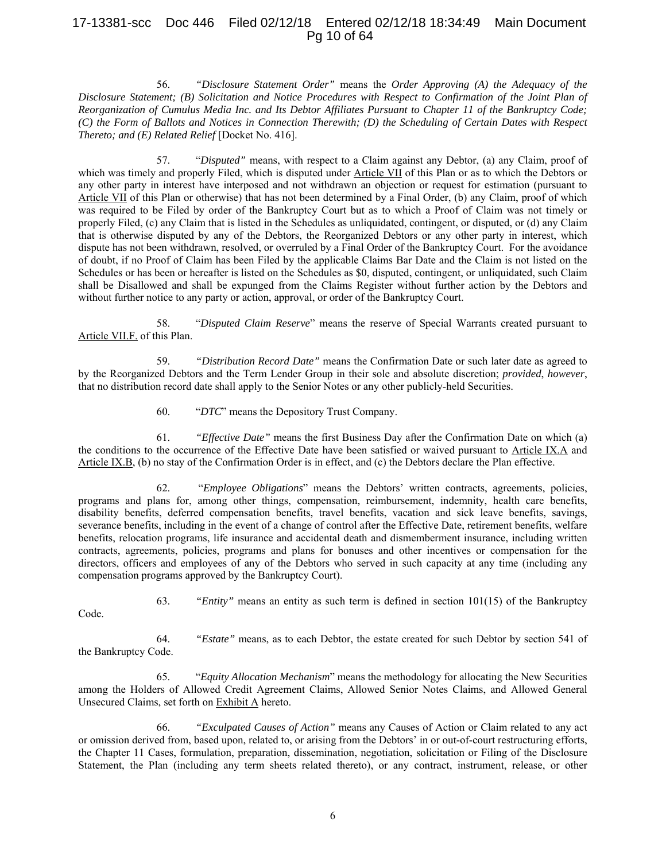# 17-13381-scc Doc 446 Filed 02/12/18 Entered 02/12/18 18:34:49 Main Document Pg 10 of 64

56. *"Disclosure Statement Order"* means the *Order Approving (A) the Adequacy of the Disclosure Statement; (B) Solicitation and Notice Procedures with Respect to Confirmation of the Joint Plan of Reorganization of Cumulus Media Inc. and Its Debtor Affiliates Pursuant to Chapter 11 of the Bankruptcy Code; (C) the Form of Ballots and Notices in Connection Therewith; (D) the Scheduling of Certain Dates with Respect Thereto; and (E) Related Relief* [Docket No. 416].

57. "*Disputed"* means, with respect to a Claim against any Debtor, (a) any Claim, proof of which was timely and properly Filed, which is disputed under Article VII of this Plan or as to which the Debtors or any other party in interest have interposed and not withdrawn an objection or request for estimation (pursuant to Article VII of this Plan or otherwise) that has not been determined by a Final Order, (b) any Claim, proof of which was required to be Filed by order of the Bankruptcy Court but as to which a Proof of Claim was not timely or properly Filed, (c) any Claim that is listed in the Schedules as unliquidated, contingent, or disputed, or (d) any Claim that is otherwise disputed by any of the Debtors, the Reorganized Debtors or any other party in interest, which dispute has not been withdrawn, resolved, or overruled by a Final Order of the Bankruptcy Court. For the avoidance of doubt, if no Proof of Claim has been Filed by the applicable Claims Bar Date and the Claim is not listed on the Schedules or has been or hereafter is listed on the Schedules as \$0, disputed, contingent, or unliquidated, such Claim shall be Disallowed and shall be expunged from the Claims Register without further action by the Debtors and without further notice to any party or action, approval, or order of the Bankruptcy Court.

58. "*Disputed Claim Reserve*" means the reserve of Special Warrants created pursuant to Article VII.F. of this Plan.

59. *"Distribution Record Date"* means the Confirmation Date or such later date as agreed to by the Reorganized Debtors and the Term Lender Group in their sole and absolute discretion; *provided*, *however*, that no distribution record date shall apply to the Senior Notes or any other publicly-held Securities.

60. "*DTC*" means the Depository Trust Company.

61. *"Effective Date"* means the first Business Day after the Confirmation Date on which (a) the conditions to the occurrence of the Effective Date have been satisfied or waived pursuant to Article IX.A and Article IX.B, (b) no stay of the Confirmation Order is in effect, and (c) the Debtors declare the Plan effective.

62. "*Employee Obligations*" means the Debtors' written contracts, agreements, policies, programs and plans for, among other things, compensation, reimbursement, indemnity, health care benefits, disability benefits, deferred compensation benefits, travel benefits, vacation and sick leave benefits, savings, severance benefits, including in the event of a change of control after the Effective Date, retirement benefits, welfare benefits, relocation programs, life insurance and accidental death and dismemberment insurance, including written contracts, agreements, policies, programs and plans for bonuses and other incentives or compensation for the directors, officers and employees of any of the Debtors who served in such capacity at any time (including any compensation programs approved by the Bankruptcy Court).

63. *"Entity"* means an entity as such term is defined in section 101(15) of the Bankruptcy

Code.

64. *"Estate"* means, as to each Debtor, the estate created for such Debtor by section 541 of the Bankruptcy Code.

65. "*Equity Allocation Mechanism*" means the methodology for allocating the New Securities among the Holders of Allowed Credit Agreement Claims, Allowed Senior Notes Claims, and Allowed General Unsecured Claims, set forth on Exhibit A hereto.

66. *"Exculpated Causes of Action"* means any Causes of Action or Claim related to any act or omission derived from, based upon, related to, or arising from the Debtors' in or out-of-court restructuring efforts, the Chapter 11 Cases, formulation, preparation, dissemination, negotiation, solicitation or Filing of the Disclosure Statement, the Plan (including any term sheets related thereto), or any contract, instrument, release, or other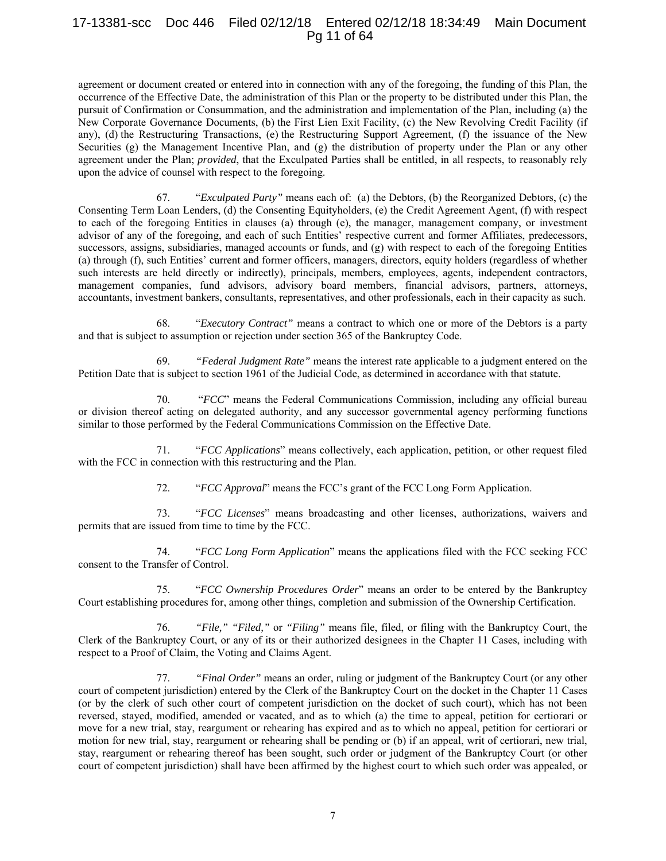# 17-13381-scc Doc 446 Filed 02/12/18 Entered 02/12/18 18:34:49 Main Document Pg 11 of 64

agreement or document created or entered into in connection with any of the foregoing, the funding of this Plan, the occurrence of the Effective Date, the administration of this Plan or the property to be distributed under this Plan, the pursuit of Confirmation or Consummation, and the administration and implementation of the Plan, including (a) the New Corporate Governance Documents, (b) the First Lien Exit Facility, (c) the New Revolving Credit Facility (if any), (d) the Restructuring Transactions, (e) the Restructuring Support Agreement, (f) the issuance of the New Securities (g) the Management Incentive Plan, and (g) the distribution of property under the Plan or any other agreement under the Plan; *provided*, that the Exculpated Parties shall be entitled, in all respects, to reasonably rely upon the advice of counsel with respect to the foregoing.

67. "*Exculpated Party"* means each of: (a) the Debtors, (b) the Reorganized Debtors, (c) the Consenting Term Loan Lenders, (d) the Consenting Equityholders, (e) the Credit Agreement Agent, (f) with respect to each of the foregoing Entities in clauses (a) through (e), the manager, management company, or investment advisor of any of the foregoing, and each of such Entities' respective current and former Affiliates, predecessors, successors, assigns, subsidiaries, managed accounts or funds, and (g) with respect to each of the foregoing Entities (a) through (f), such Entities' current and former officers, managers, directors, equity holders (regardless of whether such interests are held directly or indirectly), principals, members, employees, agents, independent contractors, management companies, fund advisors, advisory board members, financial advisors, partners, attorneys, accountants, investment bankers, consultants, representatives, and other professionals, each in their capacity as such.

68. "*Executory Contract"* means a contract to which one or more of the Debtors is a party and that is subject to assumption or rejection under section 365 of the Bankruptcy Code.

69. *"Federal Judgment Rate"* means the interest rate applicable to a judgment entered on the Petition Date that is subject to section 1961 of the Judicial Code, as determined in accordance with that statute.

70. "*FCC*" means the Federal Communications Commission, including any official bureau or division thereof acting on delegated authority, and any successor governmental agency performing functions similar to those performed by the Federal Communications Commission on the Effective Date.

71. "*FCC Applications*" means collectively, each application, petition, or other request filed with the FCC in connection with this restructuring and the Plan.

72. "*FCC Approval*" means the FCC's grant of the FCC Long Form Application.

73. "*FCC Licenses*" means broadcasting and other licenses, authorizations, waivers and permits that are issued from time to time by the FCC.

74. "*FCC Long Form Application*" means the applications filed with the FCC seeking FCC consent to the Transfer of Control.

75. "*FCC Ownership Procedures Order*" means an order to be entered by the Bankruptcy Court establishing procedures for, among other things, completion and submission of the Ownership Certification.

76. *"File," "Filed,"* or *"Filing"* means file, filed, or filing with the Bankruptcy Court, the Clerk of the Bankruptcy Court, or any of its or their authorized designees in the Chapter 11 Cases, including with respect to a Proof of Claim, the Voting and Claims Agent.

77. *"Final Order"* means an order, ruling or judgment of the Bankruptcy Court (or any other court of competent jurisdiction) entered by the Clerk of the Bankruptcy Court on the docket in the Chapter 11 Cases (or by the clerk of such other court of competent jurisdiction on the docket of such court), which has not been reversed, stayed, modified, amended or vacated, and as to which (a) the time to appeal, petition for certiorari or move for a new trial, stay, reargument or rehearing has expired and as to which no appeal, petition for certiorari or motion for new trial, stay, reargument or rehearing shall be pending or (b) if an appeal, writ of certiorari, new trial, stay, reargument or rehearing thereof has been sought, such order or judgment of the Bankruptcy Court (or other court of competent jurisdiction) shall have been affirmed by the highest court to which such order was appealed, or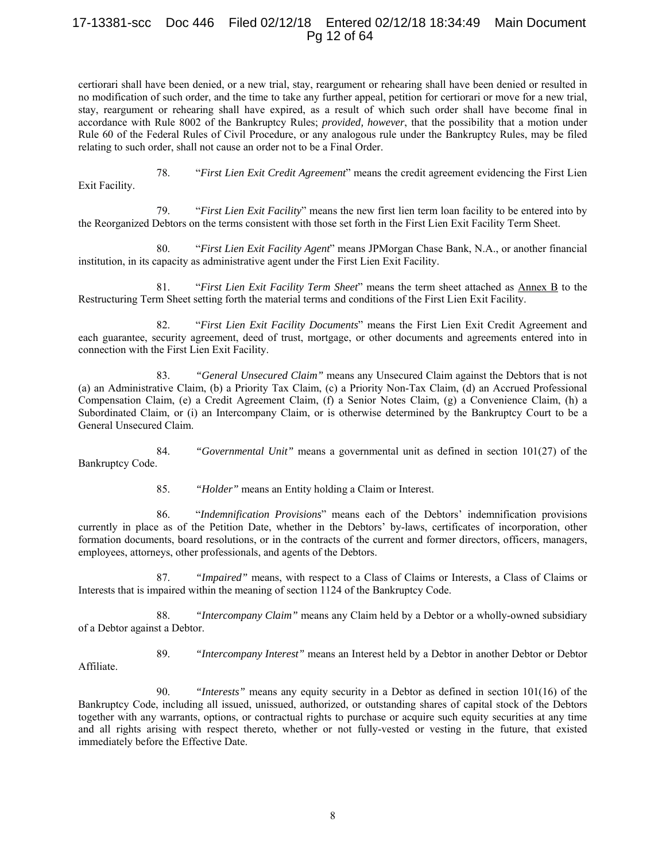# 17-13381-scc Doc 446 Filed 02/12/18 Entered 02/12/18 18:34:49 Main Document Pg 12 of 64

certiorari shall have been denied, or a new trial, stay, reargument or rehearing shall have been denied or resulted in no modification of such order, and the time to take any further appeal, petition for certiorari or move for a new trial, stay, reargument or rehearing shall have expired, as a result of which such order shall have become final in accordance with Rule 8002 of the Bankruptcy Rules; *provided, however*, that the possibility that a motion under Rule 60 of the Federal Rules of Civil Procedure, or any analogous rule under the Bankruptcy Rules, may be filed relating to such order, shall not cause an order not to be a Final Order.

78. "*First Lien Exit Credit Agreement*" means the credit agreement evidencing the First Lien

Exit Facility.

79. "*First Lien Exit Facility*" means the new first lien term loan facility to be entered into by the Reorganized Debtors on the terms consistent with those set forth in the First Lien Exit Facility Term Sheet.

80. "*First Lien Exit Facility Agent*" means JPMorgan Chase Bank, N.A., or another financial institution, in its capacity as administrative agent under the First Lien Exit Facility.

81. "*First Lien Exit Facility Term Sheet*" means the term sheet attached as Annex B to the Restructuring Term Sheet setting forth the material terms and conditions of the First Lien Exit Facility.

82. "*First Lien Exit Facility Documents*" means the First Lien Exit Credit Agreement and each guarantee, security agreement, deed of trust, mortgage, or other documents and agreements entered into in connection with the First Lien Exit Facility.

83. *"General Unsecured Claim"* means any Unsecured Claim against the Debtors that is not (a) an Administrative Claim, (b) a Priority Tax Claim, (c) a Priority Non-Tax Claim, (d) an Accrued Professional Compensation Claim, (e) a Credit Agreement Claim, (f) a Senior Notes Claim, (g) a Convenience Claim, (h) a Subordinated Claim, or (i) an Intercompany Claim, or is otherwise determined by the Bankruptcy Court to be a General Unsecured Claim.

84. *"Governmental Unit"* means a governmental unit as defined in section 101(27) of the Bankruptcy Code.

85. *"Holder"* means an Entity holding a Claim or Interest.

86. "*Indemnification Provisions*" means each of the Debtors' indemnification provisions currently in place as of the Petition Date, whether in the Debtors' by-laws, certificates of incorporation, other formation documents, board resolutions, or in the contracts of the current and former directors, officers, managers, employees, attorneys, other professionals, and agents of the Debtors.

87. *"Impaired"* means, with respect to a Class of Claims or Interests, a Class of Claims or Interests that is impaired within the meaning of section 1124 of the Bankruptcy Code.

88. *"Intercompany Claim"* means any Claim held by a Debtor or a wholly-owned subsidiary of a Debtor against a Debtor.

Affiliate.

89. *"Intercompany Interest"* means an Interest held by a Debtor in another Debtor or Debtor

90. *"Interests"* means any equity security in a Debtor as defined in section 101(16) of the Bankruptcy Code, including all issued, unissued, authorized, or outstanding shares of capital stock of the Debtors together with any warrants, options, or contractual rights to purchase or acquire such equity securities at any time and all rights arising with respect thereto, whether or not fully-vested or vesting in the future, that existed immediately before the Effective Date.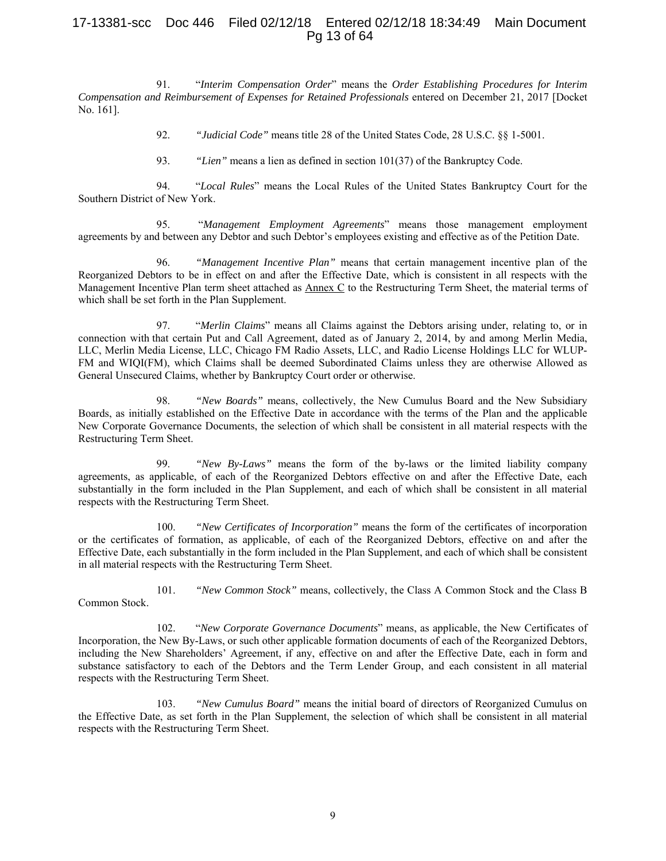# 17-13381-scc Doc 446 Filed 02/12/18 Entered 02/12/18 18:34:49 Main Document Pg 13 of 64

91. "*Interim Compensation Order*" means the *Order Establishing Procedures for Interim Compensation and Reimbursement of Expenses for Retained Professionals* entered on December 21, 2017 [Docket No. 161].

92. *"Judicial Code"* means title 28 of the United States Code, 28 U.S.C. §§ 1-5001.

93. *"Lien"* means a lien as defined in section 101(37) of the Bankruptcy Code.

94. "*Local Rules*" means the Local Rules of the United States Bankruptcy Court for the Southern District of New York.

95. "*Management Employment Agreements*" means those management employment agreements by and between any Debtor and such Debtor's employees existing and effective as of the Petition Date.

96. *"Management Incentive Plan"* means that certain management incentive plan of the Reorganized Debtors to be in effect on and after the Effective Date, which is consistent in all respects with the Management Incentive Plan term sheet attached as  $\Delta$ nnex  $C$  to the Restructuring Term Sheet, the material terms of which shall be set forth in the Plan Supplement.

97. "*Merlin Claims*" means all Claims against the Debtors arising under, relating to, or in connection with that certain Put and Call Agreement, dated as of January 2, 2014, by and among Merlin Media, LLC, Merlin Media License, LLC, Chicago FM Radio Assets, LLC, and Radio License Holdings LLC for WLUP-FM and WIQI(FM), which Claims shall be deemed Subordinated Claims unless they are otherwise Allowed as General Unsecured Claims, whether by Bankruptcy Court order or otherwise.

98. *"New Boards"* means, collectively, the New Cumulus Board and the New Subsidiary Boards, as initially established on the Effective Date in accordance with the terms of the Plan and the applicable New Corporate Governance Documents, the selection of which shall be consistent in all material respects with the Restructuring Term Sheet.

99. *"New By-Laws"* means the form of the by-laws or the limited liability company agreements, as applicable, of each of the Reorganized Debtors effective on and after the Effective Date, each substantially in the form included in the Plan Supplement, and each of which shall be consistent in all material respects with the Restructuring Term Sheet.

100. *"New Certificates of Incorporation"* means the form of the certificates of incorporation or the certificates of formation, as applicable, of each of the Reorganized Debtors, effective on and after the Effective Date, each substantially in the form included in the Plan Supplement, and each of which shall be consistent in all material respects with the Restructuring Term Sheet.

101. *"New Common Stock"* means, collectively, the Class A Common Stock and the Class B

102. "*New Corporate Governance Documents*" means, as applicable, the New Certificates of Incorporation, the New By-Laws, or such other applicable formation documents of each of the Reorganized Debtors, including the New Shareholders' Agreement, if any, effective on and after the Effective Date, each in form and substance satisfactory to each of the Debtors and the Term Lender Group, and each consistent in all material respects with the Restructuring Term Sheet.

Common Stock.

103. *"New Cumulus Board"* means the initial board of directors of Reorganized Cumulus on the Effective Date, as set forth in the Plan Supplement, the selection of which shall be consistent in all material respects with the Restructuring Term Sheet.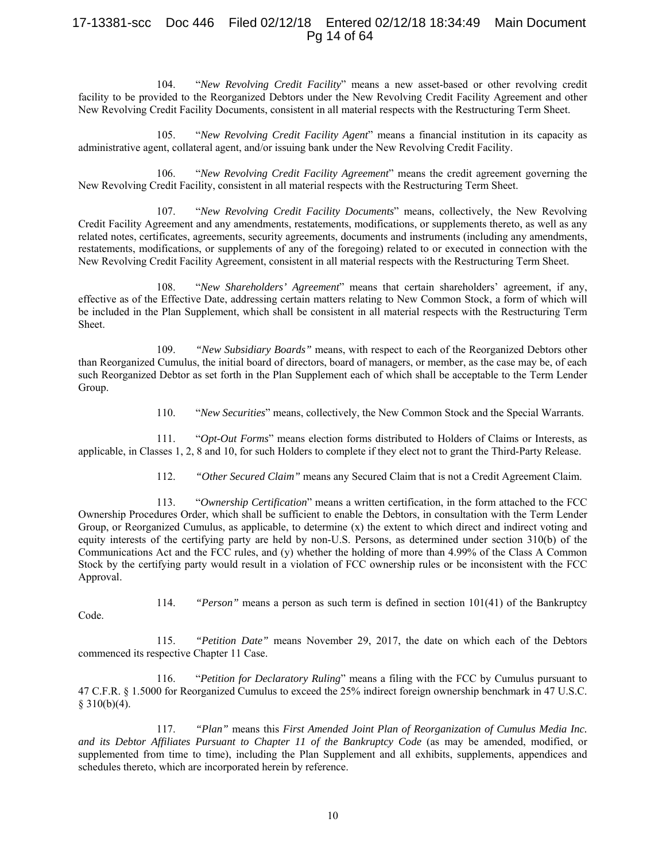# 17-13381-scc Doc 446 Filed 02/12/18 Entered 02/12/18 18:34:49 Main Document Pg 14 of 64

104. "*New Revolving Credit Facility*" means a new asset-based or other revolving credit facility to be provided to the Reorganized Debtors under the New Revolving Credit Facility Agreement and other New Revolving Credit Facility Documents, consistent in all material respects with the Restructuring Term Sheet.

105. "*New Revolving Credit Facility Agent*" means a financial institution in its capacity as administrative agent, collateral agent, and/or issuing bank under the New Revolving Credit Facility.

106. "*New Revolving Credit Facility Agreement*" means the credit agreement governing the New Revolving Credit Facility, consistent in all material respects with the Restructuring Term Sheet.

107. "*New Revolving Credit Facility Documents*" means, collectively, the New Revolving Credit Facility Agreement and any amendments, restatements, modifications, or supplements thereto, as well as any related notes, certificates, agreements, security agreements, documents and instruments (including any amendments, restatements, modifications, or supplements of any of the foregoing) related to or executed in connection with the New Revolving Credit Facility Agreement, consistent in all material respects with the Restructuring Term Sheet.

108. "*New Shareholders' Agreement*" means that certain shareholders' agreement, if any, effective as of the Effective Date, addressing certain matters relating to New Common Stock, a form of which will be included in the Plan Supplement, which shall be consistent in all material respects with the Restructuring Term Sheet.

109. *"New Subsidiary Boards"* means, with respect to each of the Reorganized Debtors other than Reorganized Cumulus, the initial board of directors, board of managers, or member, as the case may be, of each such Reorganized Debtor as set forth in the Plan Supplement each of which shall be acceptable to the Term Lender Group.

110. "*New Securities*" means, collectively, the New Common Stock and the Special Warrants.

111. "*Opt-Out Forms*" means election forms distributed to Holders of Claims or Interests, as applicable, in Classes 1, 2, 8 and 10, for such Holders to complete if they elect not to grant the Third-Party Release.

112. *"Other Secured Claim"* means any Secured Claim that is not a Credit Agreement Claim.

113. "*Ownership Certification*" means a written certification, in the form attached to the FCC Ownership Procedures Order, which shall be sufficient to enable the Debtors, in consultation with the Term Lender Group, or Reorganized Cumulus, as applicable, to determine (x) the extent to which direct and indirect voting and equity interests of the certifying party are held by non-U.S. Persons, as determined under section 310(b) of the Communications Act and the FCC rules, and (y) whether the holding of more than 4.99% of the Class A Common Stock by the certifying party would result in a violation of FCC ownership rules or be inconsistent with the FCC Approval.

114. *"Person"* means a person as such term is defined in section 101(41) of the Bankruptcy

Code.

115. *"Petition Date"* means November 29, 2017, the date on which each of the Debtors commenced its respective Chapter 11 Case.

116. "*Petition for Declaratory Ruling*" means a filing with the FCC by Cumulus pursuant to 47 C.F.R. § 1.5000 for Reorganized Cumulus to exceed the 25% indirect foreign ownership benchmark in 47 U.S.C.  $§ 310(b)(4).$ 

117. *"Plan"* means this *First Amended Joint Plan of Reorganization of Cumulus Media Inc. and its Debtor Affiliates Pursuant to Chapter 11 of the Bankruptcy Code* (as may be amended, modified, or supplemented from time to time), including the Plan Supplement and all exhibits, supplements, appendices and schedules thereto, which are incorporated herein by reference.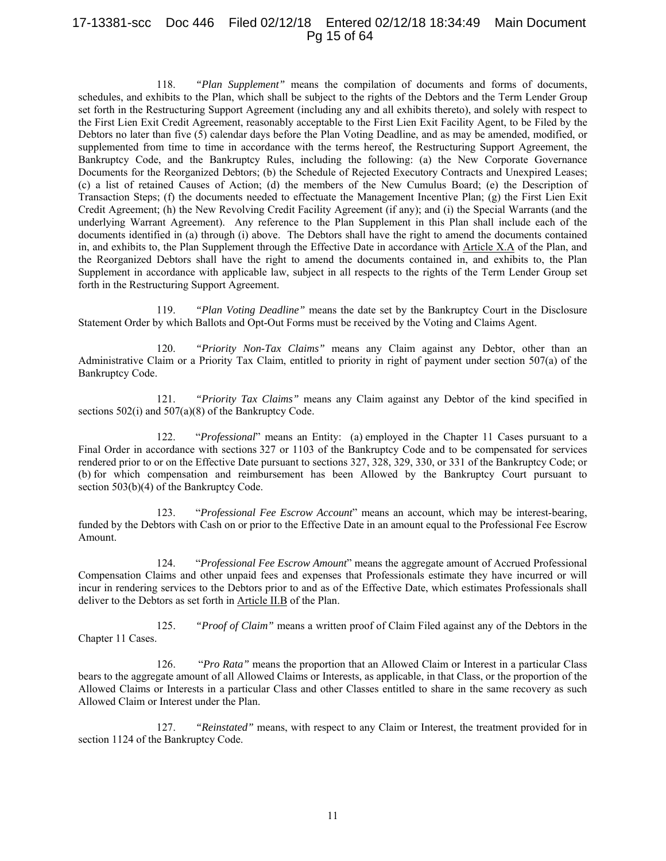# 17-13381-scc Doc 446 Filed 02/12/18 Entered 02/12/18 18:34:49 Main Document Pg 15 of 64

118. *"Plan Supplement"* means the compilation of documents and forms of documents, schedules, and exhibits to the Plan, which shall be subject to the rights of the Debtors and the Term Lender Group set forth in the Restructuring Support Agreement (including any and all exhibits thereto), and solely with respect to the First Lien Exit Credit Agreement, reasonably acceptable to the First Lien Exit Facility Agent, to be Filed by the Debtors no later than five (5) calendar days before the Plan Voting Deadline, and as may be amended, modified, or supplemented from time to time in accordance with the terms hereof, the Restructuring Support Agreement, the Bankruptcy Code, and the Bankruptcy Rules, including the following: (a) the New Corporate Governance Documents for the Reorganized Debtors; (b) the Schedule of Rejected Executory Contracts and Unexpired Leases; (c) a list of retained Causes of Action; (d) the members of the New Cumulus Board; (e) the Description of Transaction Steps; (f) the documents needed to effectuate the Management Incentive Plan; (g) the First Lien Exit Credit Agreement; (h) the New Revolving Credit Facility Agreement (if any); and (i) the Special Warrants (and the underlying Warrant Agreement). Any reference to the Plan Supplement in this Plan shall include each of the documents identified in (a) through (i) above. The Debtors shall have the right to amend the documents contained in, and exhibits to, the Plan Supplement through the Effective Date in accordance with Article X.A of the Plan, and the Reorganized Debtors shall have the right to amend the documents contained in, and exhibits to, the Plan Supplement in accordance with applicable law, subject in all respects to the rights of the Term Lender Group set forth in the Restructuring Support Agreement.

119. *"Plan Voting Deadline"* means the date set by the Bankruptcy Court in the Disclosure Statement Order by which Ballots and Opt-Out Forms must be received by the Voting and Claims Agent.

120. *"Priority Non-Tax Claims"* means any Claim against any Debtor, other than an Administrative Claim or a Priority Tax Claim, entitled to priority in right of payment under section 507(a) of the Bankruptcy Code.

121. *"Priority Tax Claims"* means any Claim against any Debtor of the kind specified in sections 502(i) and 507(a)(8) of the Bankruptcy Code.

122. "*Professional*" means an Entity: (a) employed in the Chapter 11 Cases pursuant to a Final Order in accordance with sections 327 or 1103 of the Bankruptcy Code and to be compensated for services rendered prior to or on the Effective Date pursuant to sections 327, 328, 329, 330, or 331 of the Bankruptcy Code; or (b) for which compensation and reimbursement has been Allowed by the Bankruptcy Court pursuant to section 503(b)(4) of the Bankruptcy Code.

123. "*Professional Fee Escrow Account*" means an account, which may be interest-bearing, funded by the Debtors with Cash on or prior to the Effective Date in an amount equal to the Professional Fee Escrow Amount.

124. "*Professional Fee Escrow Amount*" means the aggregate amount of Accrued Professional Compensation Claims and other unpaid fees and expenses that Professionals estimate they have incurred or will incur in rendering services to the Debtors prior to and as of the Effective Date, which estimates Professionals shall deliver to the Debtors as set forth in Article II.B of the Plan.

125. *"Proof of Claim"* means a written proof of Claim Filed against any of the Debtors in the Chapter 11 Cases.

126. "*Pro Rata"* means the proportion that an Allowed Claim or Interest in a particular Class bears to the aggregate amount of all Allowed Claims or Interests, as applicable, in that Class, or the proportion of the Allowed Claims or Interests in a particular Class and other Classes entitled to share in the same recovery as such Allowed Claim or Interest under the Plan.

127. *"Reinstated"* means, with respect to any Claim or Interest, the treatment provided for in section 1124 of the Bankruptcy Code.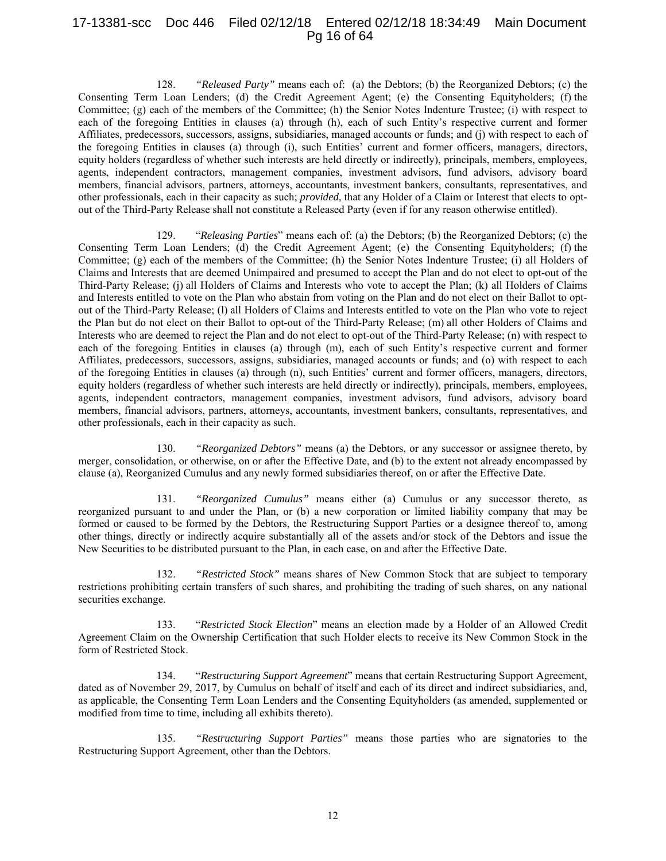# 17-13381-scc Doc 446 Filed 02/12/18 Entered 02/12/18 18:34:49 Main Document Pg 16 of 64

128. *"Released Party"* means each of: (a) the Debtors; (b) the Reorganized Debtors; (c) the Consenting Term Loan Lenders; (d) the Credit Agreement Agent; (e) the Consenting Equityholders; (f) the Committee; (g) each of the members of the Committee; (h) the Senior Notes Indenture Trustee; (i) with respect to each of the foregoing Entities in clauses (a) through (h), each of such Entity's respective current and former Affiliates, predecessors, successors, assigns, subsidiaries, managed accounts or funds; and (j) with respect to each of the foregoing Entities in clauses (a) through (i), such Entities' current and former officers, managers, directors, equity holders (regardless of whether such interests are held directly or indirectly), principals, members, employees, agents, independent contractors, management companies, investment advisors, fund advisors, advisory board members, financial advisors, partners, attorneys, accountants, investment bankers, consultants, representatives, and other professionals, each in their capacity as such; *provided*, that any Holder of a Claim or Interest that elects to optout of the Third-Party Release shall not constitute a Released Party (even if for any reason otherwise entitled).

129. "*Releasing Parties*" means each of: (a) the Debtors; (b) the Reorganized Debtors; (c) the Consenting Term Loan Lenders; (d) the Credit Agreement Agent; (e) the Consenting Equityholders; (f) the Committee; (g) each of the members of the Committee; (h) the Senior Notes Indenture Trustee; (i) all Holders of Claims and Interests that are deemed Unimpaired and presumed to accept the Plan and do not elect to opt-out of the Third-Party Release; (j) all Holders of Claims and Interests who vote to accept the Plan; (k) all Holders of Claims and Interests entitled to vote on the Plan who abstain from voting on the Plan and do not elect on their Ballot to optout of the Third-Party Release; (l) all Holders of Claims and Interests entitled to vote on the Plan who vote to reject the Plan but do not elect on their Ballot to opt-out of the Third-Party Release; (m) all other Holders of Claims and Interests who are deemed to reject the Plan and do not elect to opt-out of the Third-Party Release; (n) with respect to each of the foregoing Entities in clauses (a) through (m), each of such Entity's respective current and former Affiliates, predecessors, successors, assigns, subsidiaries, managed accounts or funds; and (o) with respect to each of the foregoing Entities in clauses (a) through (n), such Entities' current and former officers, managers, directors, equity holders (regardless of whether such interests are held directly or indirectly), principals, members, employees, agents, independent contractors, management companies, investment advisors, fund advisors, advisory board members, financial advisors, partners, attorneys, accountants, investment bankers, consultants, representatives, and other professionals, each in their capacity as such.

130. *"Reorganized Debtors"* means (a) the Debtors, or any successor or assignee thereto, by merger, consolidation, or otherwise, on or after the Effective Date, and (b) to the extent not already encompassed by clause (a), Reorganized Cumulus and any newly formed subsidiaries thereof, on or after the Effective Date.

131. *"Reorganized Cumulus"* means either (a) Cumulus or any successor thereto, as reorganized pursuant to and under the Plan, or (b) a new corporation or limited liability company that may be formed or caused to be formed by the Debtors, the Restructuring Support Parties or a designee thereof to, among other things, directly or indirectly acquire substantially all of the assets and/or stock of the Debtors and issue the New Securities to be distributed pursuant to the Plan, in each case, on and after the Effective Date.

132. *"Restricted Stock"* means shares of New Common Stock that are subject to temporary restrictions prohibiting certain transfers of such shares, and prohibiting the trading of such shares, on any national securities exchange.

133. "*Restricted Stock Election*" means an election made by a Holder of an Allowed Credit Agreement Claim on the Ownership Certification that such Holder elects to receive its New Common Stock in the form of Restricted Stock.

134. "*Restructuring Support Agreement*" means that certain Restructuring Support Agreement, dated as of November 29, 2017, by Cumulus on behalf of itself and each of its direct and indirect subsidiaries, and, as applicable, the Consenting Term Loan Lenders and the Consenting Equityholders (as amended, supplemented or modified from time to time, including all exhibits thereto).

135. *"Restructuring Support Parties"* means those parties who are signatories to the Restructuring Support Agreement, other than the Debtors.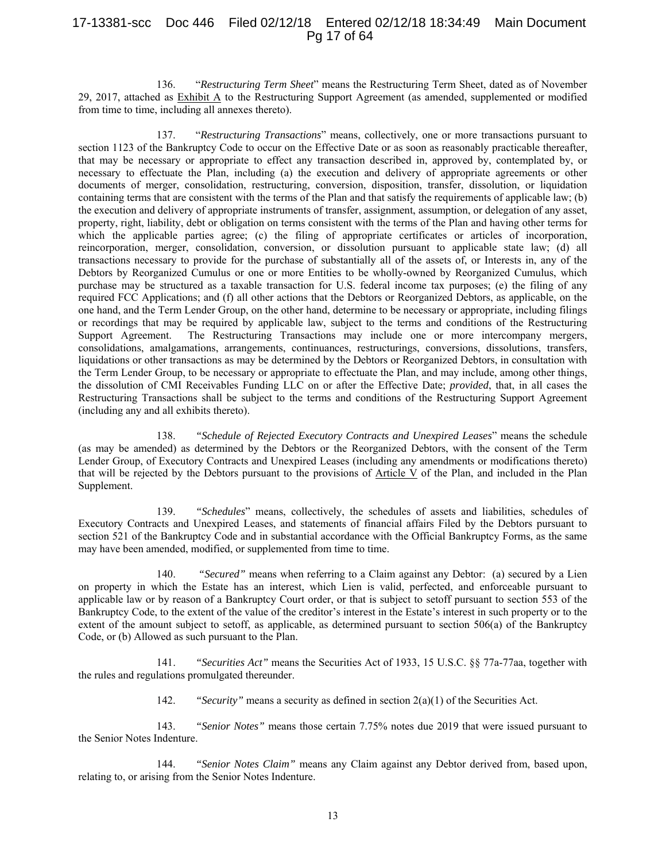# 17-13381-scc Doc 446 Filed 02/12/18 Entered 02/12/18 18:34:49 Main Document Pg 17 of 64

136. "*Restructuring Term Sheet*" means the Restructuring Term Sheet, dated as of November 29, 2017, attached as Exhibit A to the Restructuring Support Agreement (as amended, supplemented or modified from time to time, including all annexes thereto).

137. "*Restructuring Transactions*" means, collectively, one or more transactions pursuant to section 1123 of the Bankruptcy Code to occur on the Effective Date or as soon as reasonably practicable thereafter, that may be necessary or appropriate to effect any transaction described in, approved by, contemplated by, or necessary to effectuate the Plan, including (a) the execution and delivery of appropriate agreements or other documents of merger, consolidation, restructuring, conversion, disposition, transfer, dissolution, or liquidation containing terms that are consistent with the terms of the Plan and that satisfy the requirements of applicable law; (b) the execution and delivery of appropriate instruments of transfer, assignment, assumption, or delegation of any asset, property, right, liability, debt or obligation on terms consistent with the terms of the Plan and having other terms for which the applicable parties agree; (c) the filing of appropriate certificates or articles of incorporation, reincorporation, merger, consolidation, conversion, or dissolution pursuant to applicable state law; (d) all transactions necessary to provide for the purchase of substantially all of the assets of, or Interests in, any of the Debtors by Reorganized Cumulus or one or more Entities to be wholly-owned by Reorganized Cumulus, which purchase may be structured as a taxable transaction for U.S. federal income tax purposes; (e) the filing of any required FCC Applications; and (f) all other actions that the Debtors or Reorganized Debtors, as applicable, on the one hand, and the Term Lender Group, on the other hand, determine to be necessary or appropriate, including filings or recordings that may be required by applicable law, subject to the terms and conditions of the Restructuring Support Agreement. The Restructuring Transactions may include one or more intercompany mergers, consolidations, amalgamations, arrangements, continuances, restructurings, conversions, dissolutions, transfers, liquidations or other transactions as may be determined by the Debtors or Reorganized Debtors, in consultation with the Term Lender Group, to be necessary or appropriate to effectuate the Plan, and may include, among other things, the dissolution of CMI Receivables Funding LLC on or after the Effective Date; *provided*, that, in all cases the Restructuring Transactions shall be subject to the terms and conditions of the Restructuring Support Agreement (including any and all exhibits thereto).

138. *"Schedule of Rejected Executory Contracts and Unexpired Leases*" means the schedule (as may be amended) as determined by the Debtors or the Reorganized Debtors, with the consent of the Term Lender Group, of Executory Contracts and Unexpired Leases (including any amendments or modifications thereto) that will be rejected by the Debtors pursuant to the provisions of Article V of the Plan, and included in the Plan Supplement.

139. *"Schedules*" means, collectively, the schedules of assets and liabilities, schedules of Executory Contracts and Unexpired Leases, and statements of financial affairs Filed by the Debtors pursuant to section 521 of the Bankruptcy Code and in substantial accordance with the Official Bankruptcy Forms, as the same may have been amended, modified, or supplemented from time to time.

140. *"Secured"* means when referring to a Claim against any Debtor: (a) secured by a Lien on property in which the Estate has an interest, which Lien is valid, perfected, and enforceable pursuant to applicable law or by reason of a Bankruptcy Court order, or that is subject to setoff pursuant to section 553 of the Bankruptcy Code, to the extent of the value of the creditor's interest in the Estate's interest in such property or to the extent of the amount subject to setoff, as applicable, as determined pursuant to section 506(a) of the Bankruptcy Code, or (b) Allowed as such pursuant to the Plan.

141. *"Securities Act"* means the Securities Act of 1933, 15 U.S.C. §§ 77a-77aa, together with the rules and regulations promulgated thereunder.

142. *"Security"* means a security as defined in section 2(a)(1) of the Securities Act.

143. *"Senior Notes"* means those certain 7.75% notes due 2019 that were issued pursuant to the Senior Notes Indenture.

144. *"Senior Notes Claim"* means any Claim against any Debtor derived from, based upon, relating to, or arising from the Senior Notes Indenture.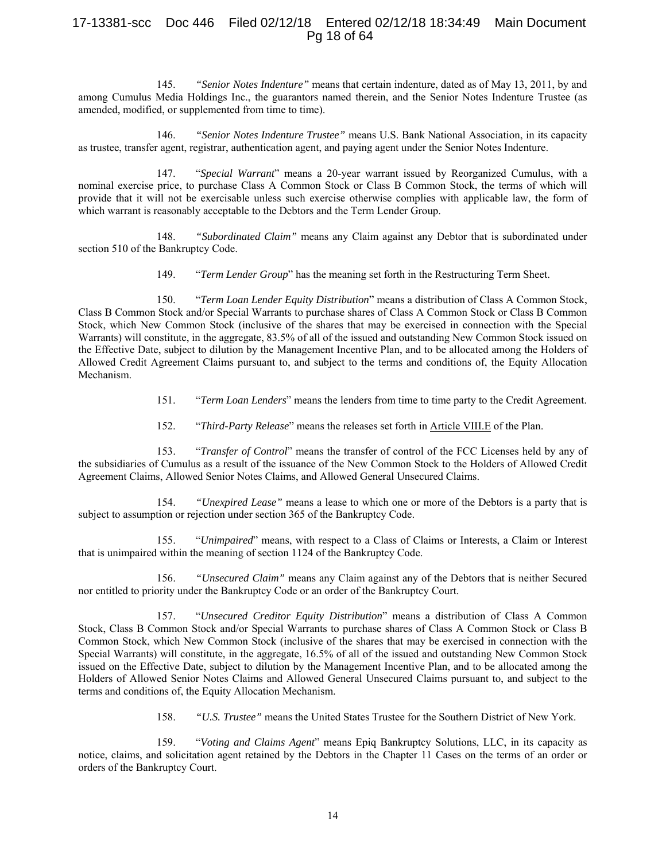# 17-13381-scc Doc 446 Filed 02/12/18 Entered 02/12/18 18:34:49 Main Document Pg 18 of 64

145. *"Senior Notes Indenture"* means that certain indenture, dated as of May 13, 2011, by and among Cumulus Media Holdings Inc., the guarantors named therein, and the Senior Notes Indenture Trustee (as amended, modified, or supplemented from time to time).

146. *"Senior Notes Indenture Trustee"* means U.S. Bank National Association, in its capacity as trustee, transfer agent, registrar, authentication agent, and paying agent under the Senior Notes Indenture.

147. "*Special Warrant*" means a 20-year warrant issued by Reorganized Cumulus, with a nominal exercise price, to purchase Class A Common Stock or Class B Common Stock, the terms of which will provide that it will not be exercisable unless such exercise otherwise complies with applicable law, the form of which warrant is reasonably acceptable to the Debtors and the Term Lender Group.

148. *"Subordinated Claim"* means any Claim against any Debtor that is subordinated under section 510 of the Bankruptcy Code.

149. "*Term Lender Group*" has the meaning set forth in the Restructuring Term Sheet.

150. "*Term Loan Lender Equity Distribution*" means a distribution of Class A Common Stock, Class B Common Stock and/or Special Warrants to purchase shares of Class A Common Stock or Class B Common Stock, which New Common Stock (inclusive of the shares that may be exercised in connection with the Special Warrants) will constitute, in the aggregate, 83.5% of all of the issued and outstanding New Common Stock issued on the Effective Date, subject to dilution by the Management Incentive Plan, and to be allocated among the Holders of Allowed Credit Agreement Claims pursuant to, and subject to the terms and conditions of, the Equity Allocation Mechanism.

- 151. "*Term Loan Lenders*" means the lenders from time to time party to the Credit Agreement.
- 152. "*Third-Party Release*" means the releases set forth in Article VIII.E of the Plan.

153. "*Transfer of Control*" means the transfer of control of the FCC Licenses held by any of the subsidiaries of Cumulus as a result of the issuance of the New Common Stock to the Holders of Allowed Credit Agreement Claims, Allowed Senior Notes Claims, and Allowed General Unsecured Claims.

154. *"Unexpired Lease"* means a lease to which one or more of the Debtors is a party that is subject to assumption or rejection under section 365 of the Bankruptcy Code.

155. "*Unimpaired*" means, with respect to a Class of Claims or Interests, a Claim or Interest that is unimpaired within the meaning of section 1124 of the Bankruptcy Code.

156. *"Unsecured Claim"* means any Claim against any of the Debtors that is neither Secured nor entitled to priority under the Bankruptcy Code or an order of the Bankruptcy Court.

157. "*Unsecured Creditor Equity Distribution*" means a distribution of Class A Common Stock, Class B Common Stock and/or Special Warrants to purchase shares of Class A Common Stock or Class B Common Stock, which New Common Stock (inclusive of the shares that may be exercised in connection with the Special Warrants) will constitute, in the aggregate, 16.5% of all of the issued and outstanding New Common Stock issued on the Effective Date, subject to dilution by the Management Incentive Plan, and to be allocated among the Holders of Allowed Senior Notes Claims and Allowed General Unsecured Claims pursuant to, and subject to the terms and conditions of, the Equity Allocation Mechanism.

158. *"U.S. Trustee"* means the United States Trustee for the Southern District of New York.

159. "*Voting and Claims Agent*" means Epiq Bankruptcy Solutions, LLC, in its capacity as notice, claims, and solicitation agent retained by the Debtors in the Chapter 11 Cases on the terms of an order or orders of the Bankruptcy Court.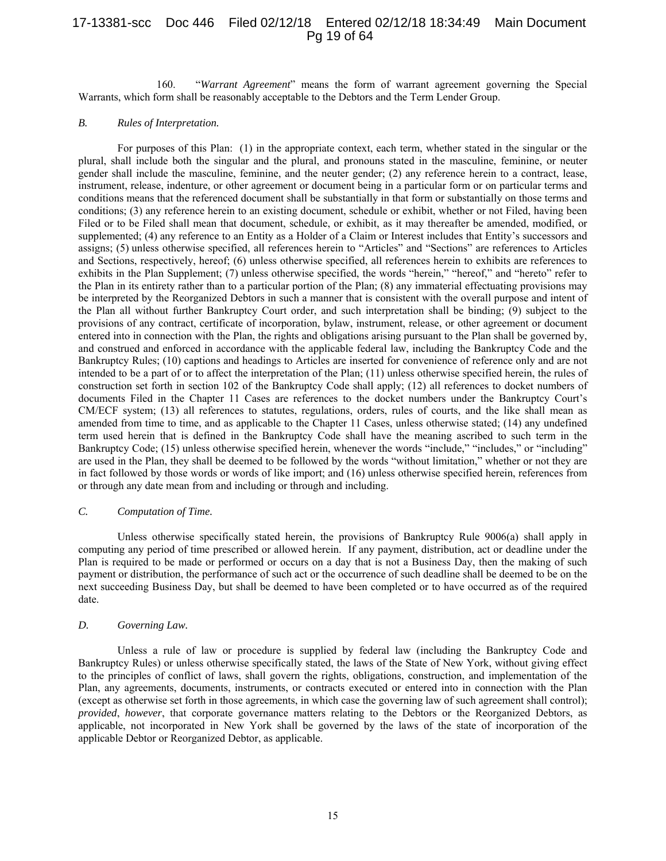# 17-13381-scc Doc 446 Filed 02/12/18 Entered 02/12/18 18:34:49 Main Document Pg 19 of 64

160. "*Warrant Agreement*" means the form of warrant agreement governing the Special Warrants, which form shall be reasonably acceptable to the Debtors and the Term Lender Group.

## *B. Rules of Interpretation.*

For purposes of this Plan: (1) in the appropriate context, each term, whether stated in the singular or the plural, shall include both the singular and the plural, and pronouns stated in the masculine, feminine, or neuter gender shall include the masculine, feminine, and the neuter gender; (2) any reference herein to a contract, lease, instrument, release, indenture, or other agreement or document being in a particular form or on particular terms and conditions means that the referenced document shall be substantially in that form or substantially on those terms and conditions; (3) any reference herein to an existing document, schedule or exhibit, whether or not Filed, having been Filed or to be Filed shall mean that document, schedule, or exhibit, as it may thereafter be amended, modified, or supplemented; (4) any reference to an Entity as a Holder of a Claim or Interest includes that Entity's successors and assigns; (5) unless otherwise specified, all references herein to "Articles" and "Sections" are references to Articles and Sections, respectively, hereof; (6) unless otherwise specified, all references herein to exhibits are references to exhibits in the Plan Supplement; (7) unless otherwise specified, the words "herein," "hereof," and "hereto" refer to the Plan in its entirety rather than to a particular portion of the Plan; (8) any immaterial effectuating provisions may be interpreted by the Reorganized Debtors in such a manner that is consistent with the overall purpose and intent of the Plan all without further Bankruptcy Court order, and such interpretation shall be binding; (9) subject to the provisions of any contract, certificate of incorporation, bylaw, instrument, release, or other agreement or document entered into in connection with the Plan, the rights and obligations arising pursuant to the Plan shall be governed by, and construed and enforced in accordance with the applicable federal law, including the Bankruptcy Code and the Bankruptcy Rules; (10) captions and headings to Articles are inserted for convenience of reference only and are not intended to be a part of or to affect the interpretation of the Plan; (11) unless otherwise specified herein, the rules of construction set forth in section 102 of the Bankruptcy Code shall apply; (12) all references to docket numbers of documents Filed in the Chapter 11 Cases are references to the docket numbers under the Bankruptcy Court's CM/ECF system; (13) all references to statutes, regulations, orders, rules of courts, and the like shall mean as amended from time to time, and as applicable to the Chapter 11 Cases, unless otherwise stated; (14) any undefined term used herein that is defined in the Bankruptcy Code shall have the meaning ascribed to such term in the Bankruptcy Code; (15) unless otherwise specified herein, whenever the words "include," "includes," or "including" are used in the Plan, they shall be deemed to be followed by the words "without limitation," whether or not they are in fact followed by those words or words of like import; and (16) unless otherwise specified herein, references from or through any date mean from and including or through and including.

#### *C. Computation of Time.*

Unless otherwise specifically stated herein, the provisions of Bankruptcy Rule 9006(a) shall apply in computing any period of time prescribed or allowed herein. If any payment, distribution, act or deadline under the Plan is required to be made or performed or occurs on a day that is not a Business Day, then the making of such payment or distribution, the performance of such act or the occurrence of such deadline shall be deemed to be on the next succeeding Business Day, but shall be deemed to have been completed or to have occurred as of the required date.

## *D. Governing Law.*

Unless a rule of law or procedure is supplied by federal law (including the Bankruptcy Code and Bankruptcy Rules) or unless otherwise specifically stated, the laws of the State of New York, without giving effect to the principles of conflict of laws, shall govern the rights, obligations, construction, and implementation of the Plan, any agreements, documents, instruments, or contracts executed or entered into in connection with the Plan (except as otherwise set forth in those agreements, in which case the governing law of such agreement shall control); *provided*, *however*, that corporate governance matters relating to the Debtors or the Reorganized Debtors, as applicable, not incorporated in New York shall be governed by the laws of the state of incorporation of the applicable Debtor or Reorganized Debtor, as applicable.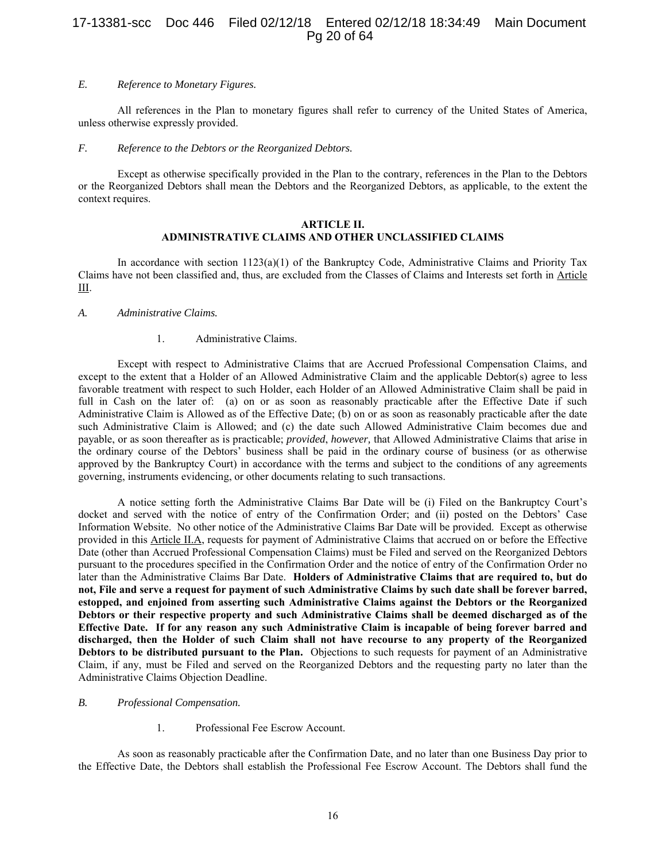# 17-13381-scc Doc 446 Filed 02/12/18 Entered 02/12/18 18:34:49 Main Document Pg 20 of 64

#### *E. Reference to Monetary Figures.*

All references in the Plan to monetary figures shall refer to currency of the United States of America, unless otherwise expressly provided.

#### *F. Reference to the Debtors or the Reorganized Debtors.*

Except as otherwise specifically provided in the Plan to the contrary, references in the Plan to the Debtors or the Reorganized Debtors shall mean the Debtors and the Reorganized Debtors, as applicable, to the extent the context requires.

#### **ARTICLE II. ADMINISTRATIVE CLAIMS AND OTHER UNCLASSIFIED CLAIMS**

In accordance with section  $1123(a)(1)$  of the Bankruptcy Code, Administrative Claims and Priority Tax Claims have not been classified and, thus, are excluded from the Classes of Claims and Interests set forth in Article III.

#### *A. Administrative Claims.*

#### 1. Administrative Claims.

Except with respect to Administrative Claims that are Accrued Professional Compensation Claims, and except to the extent that a Holder of an Allowed Administrative Claim and the applicable Debtor(s) agree to less favorable treatment with respect to such Holder, each Holder of an Allowed Administrative Claim shall be paid in full in Cash on the later of: (a) on or as soon as reasonably practicable after the Effective Date if such Administrative Claim is Allowed as of the Effective Date; (b) on or as soon as reasonably practicable after the date such Administrative Claim is Allowed; and (c) the date such Allowed Administrative Claim becomes due and payable, or as soon thereafter as is practicable; *provided*, *however,* that Allowed Administrative Claims that arise in the ordinary course of the Debtors' business shall be paid in the ordinary course of business (or as otherwise approved by the Bankruptcy Court) in accordance with the terms and subject to the conditions of any agreements governing, instruments evidencing, or other documents relating to such transactions.

A notice setting forth the Administrative Claims Bar Date will be (i) Filed on the Bankruptcy Court's docket and served with the notice of entry of the Confirmation Order; and (ii) posted on the Debtors' Case Information Website. No other notice of the Administrative Claims Bar Date will be provided. Except as otherwise provided in this Article II.A, requests for payment of Administrative Claims that accrued on or before the Effective Date (other than Accrued Professional Compensation Claims) must be Filed and served on the Reorganized Debtors pursuant to the procedures specified in the Confirmation Order and the notice of entry of the Confirmation Order no later than the Administrative Claims Bar Date. **Holders of Administrative Claims that are required to, but do not, File and serve a request for payment of such Administrative Claims by such date shall be forever barred, estopped, and enjoined from asserting such Administrative Claims against the Debtors or the Reorganized Debtors or their respective property and such Administrative Claims shall be deemed discharged as of the Effective Date. If for any reason any such Administrative Claim is incapable of being forever barred and discharged, then the Holder of such Claim shall not have recourse to any property of the Reorganized Debtors to be distributed pursuant to the Plan.** Objections to such requests for payment of an Administrative Claim, if any, must be Filed and served on the Reorganized Debtors and the requesting party no later than the Administrative Claims Objection Deadline.

#### *B. Professional Compensation.*

1. Professional Fee Escrow Account.

As soon as reasonably practicable after the Confirmation Date, and no later than one Business Day prior to the Effective Date, the Debtors shall establish the Professional Fee Escrow Account. The Debtors shall fund the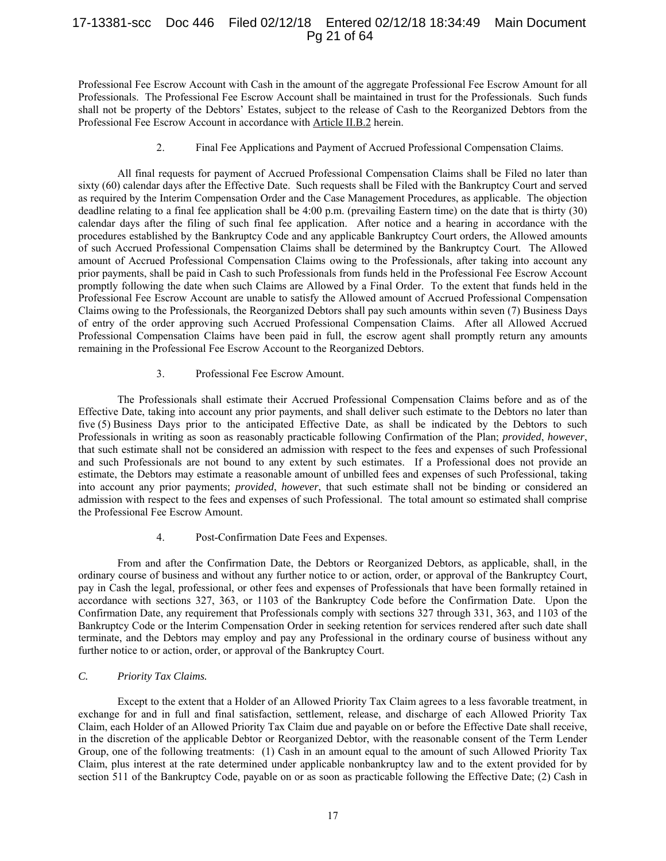# 17-13381-scc Doc 446 Filed 02/12/18 Entered 02/12/18 18:34:49 Main Document Pg 21 of 64

Professional Fee Escrow Account with Cash in the amount of the aggregate Professional Fee Escrow Amount for all Professionals. The Professional Fee Escrow Account shall be maintained in trust for the Professionals. Such funds shall not be property of the Debtors' Estates, subject to the release of Cash to the Reorganized Debtors from the Professional Fee Escrow Account in accordance with Article II.B.2 herein.

## 2. Final Fee Applications and Payment of Accrued Professional Compensation Claims.

All final requests for payment of Accrued Professional Compensation Claims shall be Filed no later than sixty (60) calendar days after the Effective Date. Such requests shall be Filed with the Bankruptcy Court and served as required by the Interim Compensation Order and the Case Management Procedures, as applicable. The objection deadline relating to a final fee application shall be 4:00 p.m. (prevailing Eastern time) on the date that is thirty (30) calendar days after the filing of such final fee application. After notice and a hearing in accordance with the procedures established by the Bankruptcy Code and any applicable Bankruptcy Court orders, the Allowed amounts of such Accrued Professional Compensation Claims shall be determined by the Bankruptcy Court. The Allowed amount of Accrued Professional Compensation Claims owing to the Professionals, after taking into account any prior payments, shall be paid in Cash to such Professionals from funds held in the Professional Fee Escrow Account promptly following the date when such Claims are Allowed by a Final Order. To the extent that funds held in the Professional Fee Escrow Account are unable to satisfy the Allowed amount of Accrued Professional Compensation Claims owing to the Professionals, the Reorganized Debtors shall pay such amounts within seven (7) Business Days of entry of the order approving such Accrued Professional Compensation Claims. After all Allowed Accrued Professional Compensation Claims have been paid in full, the escrow agent shall promptly return any amounts remaining in the Professional Fee Escrow Account to the Reorganized Debtors.

## 3. Professional Fee Escrow Amount.

The Professionals shall estimate their Accrued Professional Compensation Claims before and as of the Effective Date, taking into account any prior payments, and shall deliver such estimate to the Debtors no later than five (5) Business Days prior to the anticipated Effective Date, as shall be indicated by the Debtors to such Professionals in writing as soon as reasonably practicable following Confirmation of the Plan; *provided*, *however*, that such estimate shall not be considered an admission with respect to the fees and expenses of such Professional and such Professionals are not bound to any extent by such estimates. If a Professional does not provide an estimate, the Debtors may estimate a reasonable amount of unbilled fees and expenses of such Professional, taking into account any prior payments; *provided*, *however*, that such estimate shall not be binding or considered an admission with respect to the fees and expenses of such Professional. The total amount so estimated shall comprise the Professional Fee Escrow Amount.

## 4. Post-Confirmation Date Fees and Expenses.

From and after the Confirmation Date, the Debtors or Reorganized Debtors, as applicable, shall, in the ordinary course of business and without any further notice to or action, order, or approval of the Bankruptcy Court, pay in Cash the legal, professional, or other fees and expenses of Professionals that have been formally retained in accordance with sections 327, 363, or 1103 of the Bankruptcy Code before the Confirmation Date. Upon the Confirmation Date, any requirement that Professionals comply with sections 327 through 331, 363, and 1103 of the Bankruptcy Code or the Interim Compensation Order in seeking retention for services rendered after such date shall terminate, and the Debtors may employ and pay any Professional in the ordinary course of business without any further notice to or action, order, or approval of the Bankruptcy Court.

# *C. Priority Tax Claims.*

Except to the extent that a Holder of an Allowed Priority Tax Claim agrees to a less favorable treatment, in exchange for and in full and final satisfaction, settlement, release, and discharge of each Allowed Priority Tax Claim, each Holder of an Allowed Priority Tax Claim due and payable on or before the Effective Date shall receive, in the discretion of the applicable Debtor or Reorganized Debtor, with the reasonable consent of the Term Lender Group, one of the following treatments: (1) Cash in an amount equal to the amount of such Allowed Priority Tax Claim, plus interest at the rate determined under applicable nonbankruptcy law and to the extent provided for by section 511 of the Bankruptcy Code, payable on or as soon as practicable following the Effective Date; (2) Cash in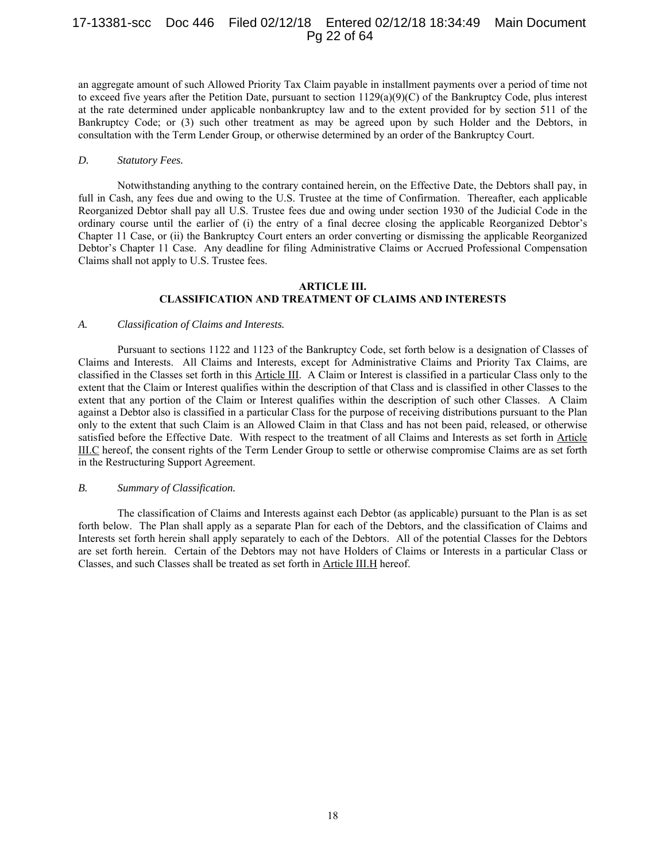# 17-13381-scc Doc 446 Filed 02/12/18 Entered 02/12/18 18:34:49 Main Document Pg 22 of 64

an aggregate amount of such Allowed Priority Tax Claim payable in installment payments over a period of time not to exceed five years after the Petition Date, pursuant to section  $1129(a)(9)(C)$  of the Bankruptcy Code, plus interest at the rate determined under applicable nonbankruptcy law and to the extent provided for by section 511 of the Bankruptcy Code; or (3) such other treatment as may be agreed upon by such Holder and the Debtors, in consultation with the Term Lender Group, or otherwise determined by an order of the Bankruptcy Court.

#### *D. Statutory Fees.*

Notwithstanding anything to the contrary contained herein, on the Effective Date, the Debtors shall pay, in full in Cash, any fees due and owing to the U.S. Trustee at the time of Confirmation. Thereafter, each applicable Reorganized Debtor shall pay all U.S. Trustee fees due and owing under section 1930 of the Judicial Code in the ordinary course until the earlier of (i) the entry of a final decree closing the applicable Reorganized Debtor's Chapter 11 Case, or (ii) the Bankruptcy Court enters an order converting or dismissing the applicable Reorganized Debtor's Chapter 11 Case. Any deadline for filing Administrative Claims or Accrued Professional Compensation Claims shall not apply to U.S. Trustee fees.

#### **ARTICLE III. CLASSIFICATION AND TREATMENT OF CLAIMS AND INTERESTS**

#### *A. Classification of Claims and Interests.*

Pursuant to sections 1122 and 1123 of the Bankruptcy Code, set forth below is a designation of Classes of Claims and Interests. All Claims and Interests, except for Administrative Claims and Priority Tax Claims, are classified in the Classes set forth in this Article III. A Claim or Interest is classified in a particular Class only to the extent that the Claim or Interest qualifies within the description of that Class and is classified in other Classes to the extent that any portion of the Claim or Interest qualifies within the description of such other Classes. A Claim against a Debtor also is classified in a particular Class for the purpose of receiving distributions pursuant to the Plan only to the extent that such Claim is an Allowed Claim in that Class and has not been paid, released, or otherwise satisfied before the Effective Date. With respect to the treatment of all Claims and Interests as set forth in Article III.C hereof, the consent rights of the Term Lender Group to settle or otherwise compromise Claims are as set forth in the Restructuring Support Agreement.

#### *B. Summary of Classification.*

The classification of Claims and Interests against each Debtor (as applicable) pursuant to the Plan is as set forth below. The Plan shall apply as a separate Plan for each of the Debtors, and the classification of Claims and Interests set forth herein shall apply separately to each of the Debtors. All of the potential Classes for the Debtors are set forth herein. Certain of the Debtors may not have Holders of Claims or Interests in a particular Class or Classes, and such Classes shall be treated as set forth in Article III.H hereof.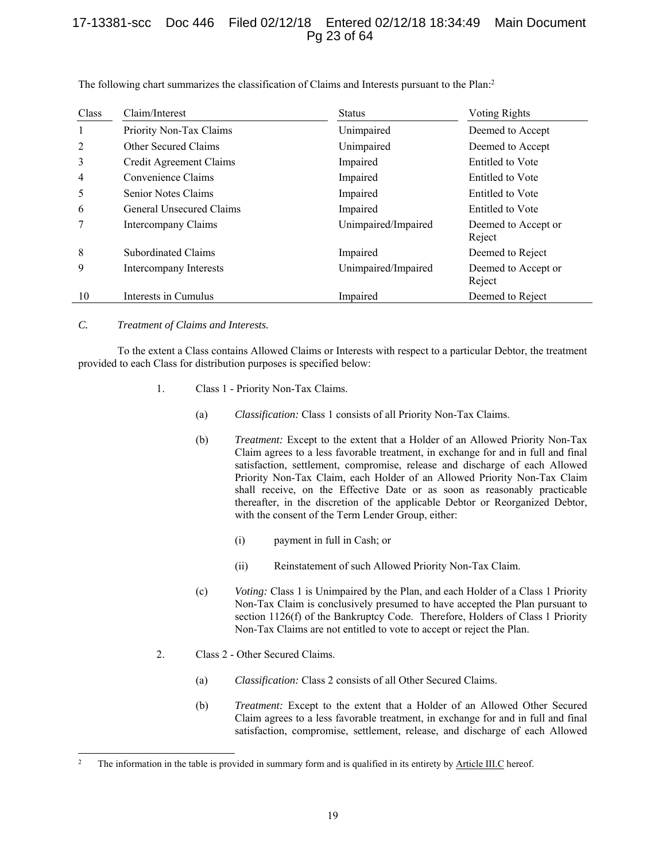# 17-13381-scc Doc 446 Filed 02/12/18 Entered 02/12/18 18:34:49 Main Document Pg 23 of 64

| Class | Claim/Interest           | <b>Status</b>       | Voting Rights                 |  |
|-------|--------------------------|---------------------|-------------------------------|--|
|       | Priority Non-Tax Claims  | Unimpaired          | Deemed to Accept              |  |
| 2     | Other Secured Claims     | Unimpaired          | Deemed to Accept              |  |
| 3     | Credit Agreement Claims  | Impaired            | Entitled to Vote              |  |
| 4     | Convenience Claims       | Impaired            | Entitled to Vote              |  |
| 5     | Senior Notes Claims      | Impaired            | Entitled to Vote              |  |
| 6     | General Unsecured Claims | Impaired            | Entitled to Vote              |  |
|       | Intercompany Claims      | Unimpaired/Impaired | Deemed to Accept or<br>Reject |  |
| 8     | Subordinated Claims      | Impaired            | Deemed to Reject              |  |
| 9     | Intercompany Interests   | Unimpaired/Impaired | Deemed to Accept or<br>Reject |  |
| 10    | Interests in Cumulus     | Impaired            | Deemed to Reject              |  |

The following chart summarizes the classification of Claims and Interests pursuant to the Plan:<sup>2</sup>

## *C. Treatment of Claims and Interests.*

-

To the extent a Class contains Allowed Claims or Interests with respect to a particular Debtor, the treatment provided to each Class for distribution purposes is specified below:

- 1. Class 1 Priority Non-Tax Claims.
	- (a) *Classification:* Class 1 consists of all Priority Non-Tax Claims.
	- (b) *Treatment:* Except to the extent that a Holder of an Allowed Priority Non-Tax Claim agrees to a less favorable treatment, in exchange for and in full and final satisfaction, settlement, compromise, release and discharge of each Allowed Priority Non-Tax Claim, each Holder of an Allowed Priority Non-Tax Claim shall receive, on the Effective Date or as soon as reasonably practicable thereafter, in the discretion of the applicable Debtor or Reorganized Debtor, with the consent of the Term Lender Group, either:
		- (i) payment in full in Cash; or
		- (ii) Reinstatement of such Allowed Priority Non-Tax Claim.
	- (c) *Voting:* Class 1 is Unimpaired by the Plan, and each Holder of a Class 1 Priority Non-Tax Claim is conclusively presumed to have accepted the Plan pursuant to section 1126(f) of the Bankruptcy Code. Therefore, Holders of Class 1 Priority Non-Tax Claims are not entitled to vote to accept or reject the Plan.
- 2. Class 2 Other Secured Claims.
	- (a) *Classification:* Class 2 consists of all Other Secured Claims.
	- (b) *Treatment:* Except to the extent that a Holder of an Allowed Other Secured Claim agrees to a less favorable treatment, in exchange for and in full and final satisfaction, compromise, settlement, release, and discharge of each Allowed

<sup>&</sup>lt;sup>2</sup> The information in the table is provided in summary form and is qualified in its entirety by Article III.C hereof.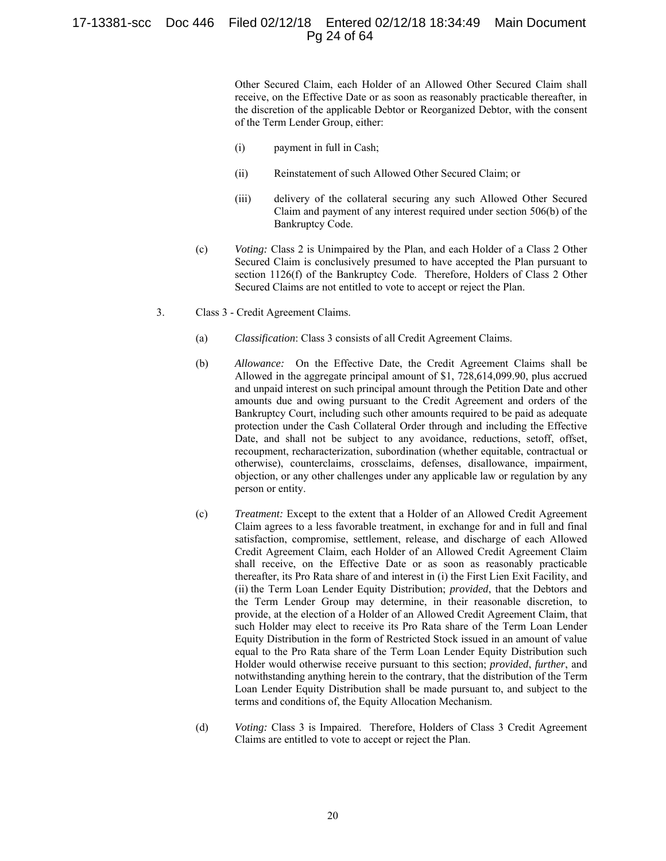# 17-13381-scc Doc 446 Filed 02/12/18 Entered 02/12/18 18:34:49 Main Document Pg 24 of 64

Other Secured Claim, each Holder of an Allowed Other Secured Claim shall receive, on the Effective Date or as soon as reasonably practicable thereafter, in the discretion of the applicable Debtor or Reorganized Debtor, with the consent of the Term Lender Group, either:

- (i) payment in full in Cash;
- (ii) Reinstatement of such Allowed Other Secured Claim; or
- (iii) delivery of the collateral securing any such Allowed Other Secured Claim and payment of any interest required under section 506(b) of the Bankruptcy Code.
- (c) *Voting:* Class 2 is Unimpaired by the Plan, and each Holder of a Class 2 Other Secured Claim is conclusively presumed to have accepted the Plan pursuant to section 1126(f) of the Bankruptcy Code. Therefore, Holders of Class 2 Other Secured Claims are not entitled to vote to accept or reject the Plan.
- 3. Class 3 Credit Agreement Claims.
	- (a) *Classification*: Class 3 consists of all Credit Agreement Claims.
	- (b) *Allowance:* On the Effective Date, the Credit Agreement Claims shall be Allowed in the aggregate principal amount of \$1, 728,614,099.90, plus accrued and unpaid interest on such principal amount through the Petition Date and other amounts due and owing pursuant to the Credit Agreement and orders of the Bankruptcy Court, including such other amounts required to be paid as adequate protection under the Cash Collateral Order through and including the Effective Date, and shall not be subject to any avoidance, reductions, setoff, offset, recoupment, recharacterization, subordination (whether equitable, contractual or otherwise), counterclaims, crossclaims, defenses, disallowance, impairment, objection, or any other challenges under any applicable law or regulation by any person or entity.
	- (c) *Treatment:* Except to the extent that a Holder of an Allowed Credit Agreement Claim agrees to a less favorable treatment, in exchange for and in full and final satisfaction, compromise, settlement, release, and discharge of each Allowed Credit Agreement Claim, each Holder of an Allowed Credit Agreement Claim shall receive, on the Effective Date or as soon as reasonably practicable thereafter, its Pro Rata share of and interest in (i) the First Lien Exit Facility, and (ii) the Term Loan Lender Equity Distribution; *provided*, that the Debtors and the Term Lender Group may determine, in their reasonable discretion, to provide, at the election of a Holder of an Allowed Credit Agreement Claim, that such Holder may elect to receive its Pro Rata share of the Term Loan Lender Equity Distribution in the form of Restricted Stock issued in an amount of value equal to the Pro Rata share of the Term Loan Lender Equity Distribution such Holder would otherwise receive pursuant to this section; *provided*, *further*, and notwithstanding anything herein to the contrary, that the distribution of the Term Loan Lender Equity Distribution shall be made pursuant to, and subject to the terms and conditions of, the Equity Allocation Mechanism.
	- (d) *Voting:* Class 3 is Impaired. Therefore, Holders of Class 3 Credit Agreement Claims are entitled to vote to accept or reject the Plan.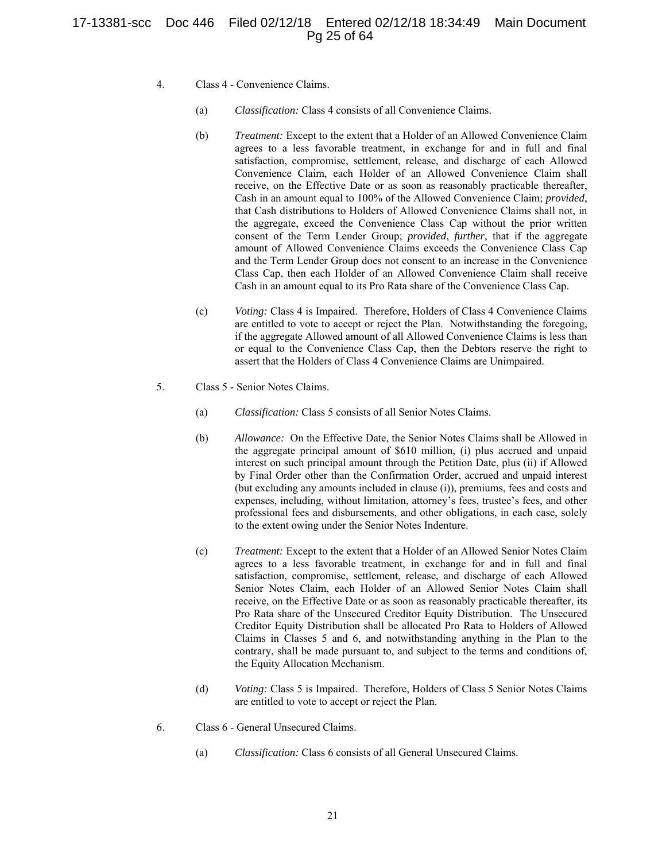# 17-13381-scc Doc 446 Filed 02/12/18 Entered 02/12/18 18:34:49 Main Document Pg 25 of 64

- 4. Class 4 Convenience Claims.
	- (a) *Classification:* Class 4 consists of all Convenience Claims.
	- (b) *Treatment:* Except to the extent that a Holder of an Allowed Convenience Claim agrees to a less favorable treatment, in exchange for and in full and final satisfaction, compromise, settlement, release, and discharge of each Allowed Convenience Claim, each Holder of an Allowed Convenience Claim shall receive, on the Effective Date or as soon as reasonably practicable thereafter, Cash in an amount equal to 100% of the Allowed Convenience Claim; *provided*, that Cash distributions to Holders of Allowed Convenience Claims shall not, in the aggregate, exceed the Convenience Class Cap without the prior written consent of the Term Lender Group; *provided*, *further*, that if the aggregate amount of Allowed Convenience Claims exceeds the Convenience Class Cap and the Term Lender Group does not consent to an increase in the Convenience Class Cap, then each Holder of an Allowed Convenience Claim shall receive Cash in an amount equal to its Pro Rata share of the Convenience Class Cap.
	- (c) *Voting:* Class 4 is Impaired. Therefore, Holders of Class 4 Convenience Claims are entitled to vote to accept or reject the Plan. Notwithstanding the foregoing, if the aggregate Allowed amount of all Allowed Convenience Claims is less than or equal to the Convenience Class Cap, then the Debtors reserve the right to assert that the Holders of Class 4 Convenience Claims are Unimpaired.
- 5. Class 5 Senior Notes Claims.
	- (a) *Classification:* Class 5 consists of all Senior Notes Claims.
	- (b) *Allowance:* On the Effective Date, the Senior Notes Claims shall be Allowed in the aggregate principal amount of \$610 million, (i) plus accrued and unpaid interest on such principal amount through the Petition Date, plus (ii) if Allowed by Final Order other than the Confirmation Order, accrued and unpaid interest (but excluding any amounts included in clause (i)), premiums, fees and costs and expenses, including, without limitation, attorney's fees, trustee's fees, and other professional fees and disbursements, and other obligations, in each case, solely to the extent owing under the Senior Notes Indenture.
	- (c) *Treatment:* Except to the extent that a Holder of an Allowed Senior Notes Claim agrees to a less favorable treatment, in exchange for and in full and final satisfaction, compromise, settlement, release, and discharge of each Allowed Senior Notes Claim, each Holder of an Allowed Senior Notes Claim shall receive, on the Effective Date or as soon as reasonably practicable thereafter, its Pro Rata share of the Unsecured Creditor Equity Distribution. The Unsecured Creditor Equity Distribution shall be allocated Pro Rata to Holders of Allowed Claims in Classes 5 and 6, and notwithstanding anything in the Plan to the contrary, shall be made pursuant to, and subject to the terms and conditions of, the Equity Allocation Mechanism.
	- (d) *Voting:* Class 5 is Impaired. Therefore, Holders of Class 5 Senior Notes Claims are entitled to vote to accept or reject the Plan.
- 6. Class 6 General Unsecured Claims.
	- (a) *Classification:* Class 6 consists of all General Unsecured Claims.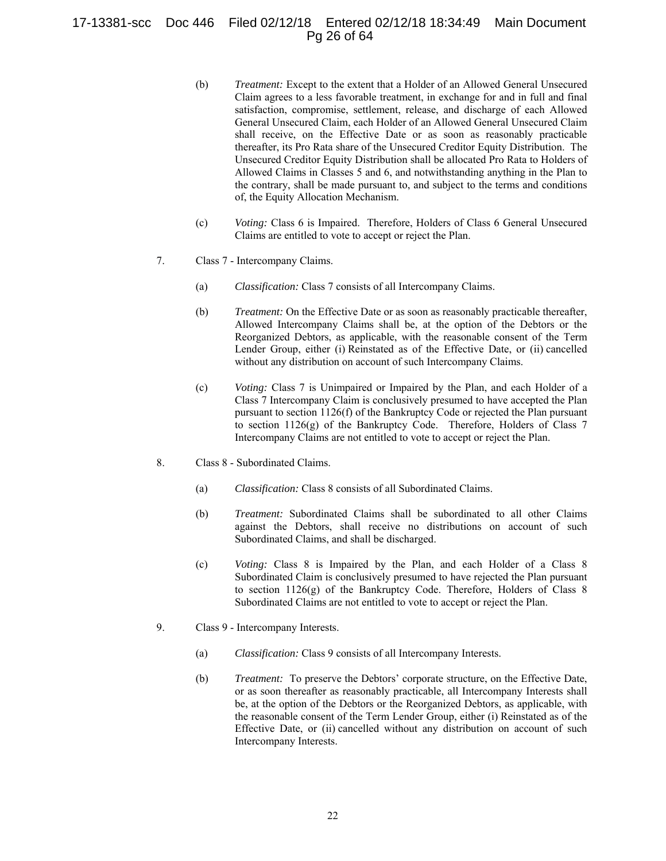# 17-13381-scc Doc 446 Filed 02/12/18 Entered 02/12/18 18:34:49 Main Document Pg 26 of 64

- (b) *Treatment:* Except to the extent that a Holder of an Allowed General Unsecured Claim agrees to a less favorable treatment, in exchange for and in full and final satisfaction, compromise, settlement, release, and discharge of each Allowed General Unsecured Claim, each Holder of an Allowed General Unsecured Claim shall receive, on the Effective Date or as soon as reasonably practicable thereafter, its Pro Rata share of the Unsecured Creditor Equity Distribution. The Unsecured Creditor Equity Distribution shall be allocated Pro Rata to Holders of Allowed Claims in Classes 5 and 6, and notwithstanding anything in the Plan to the contrary, shall be made pursuant to, and subject to the terms and conditions of, the Equity Allocation Mechanism.
- (c) *Voting:* Class 6 is Impaired. Therefore, Holders of Class 6 General Unsecured Claims are entitled to vote to accept or reject the Plan.
- 7. Class 7 Intercompany Claims.
	- (a) *Classification:* Class 7 consists of all Intercompany Claims.
	- (b) *Treatment:* On the Effective Date or as soon as reasonably practicable thereafter, Allowed Intercompany Claims shall be, at the option of the Debtors or the Reorganized Debtors, as applicable, with the reasonable consent of the Term Lender Group, either (i) Reinstated as of the Effective Date, or (ii) cancelled without any distribution on account of such Intercompany Claims.
	- (c) *Voting:* Class 7 is Unimpaired or Impaired by the Plan, and each Holder of a Class 7 Intercompany Claim is conclusively presumed to have accepted the Plan pursuant to section 1126(f) of the Bankruptcy Code or rejected the Plan pursuant to section 1126(g) of the Bankruptcy Code. Therefore, Holders of Class 7 Intercompany Claims are not entitled to vote to accept or reject the Plan.
- 8. Class 8 Subordinated Claims.
	- (a) *Classification:* Class 8 consists of all Subordinated Claims.
	- (b) *Treatment:* Subordinated Claims shall be subordinated to all other Claims against the Debtors, shall receive no distributions on account of such Subordinated Claims, and shall be discharged.
	- (c) *Voting:* Class 8 is Impaired by the Plan, and each Holder of a Class 8 Subordinated Claim is conclusively presumed to have rejected the Plan pursuant to section 1126(g) of the Bankruptcy Code. Therefore, Holders of Class 8 Subordinated Claims are not entitled to vote to accept or reject the Plan.
- 9. Class 9 Intercompany Interests.
	- (a) *Classification:* Class 9 consists of all Intercompany Interests.
	- (b) *Treatment:* To preserve the Debtors' corporate structure, on the Effective Date, or as soon thereafter as reasonably practicable, all Intercompany Interests shall be, at the option of the Debtors or the Reorganized Debtors, as applicable, with the reasonable consent of the Term Lender Group, either (i) Reinstated as of the Effective Date, or (ii) cancelled without any distribution on account of such Intercompany Interests.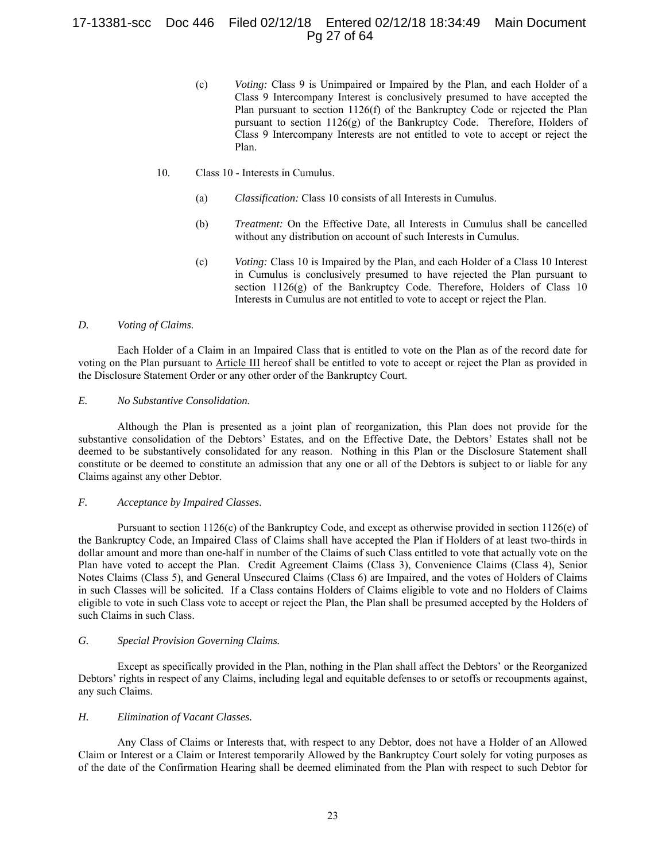# 17-13381-scc Doc 446 Filed 02/12/18 Entered 02/12/18 18:34:49 Main Document Pg 27 of 64

(c) *Voting:* Class 9 is Unimpaired or Impaired by the Plan, and each Holder of a Class 9 Intercompany Interest is conclusively presumed to have accepted the Plan pursuant to section 1126(f) of the Bankruptcy Code or rejected the Plan pursuant to section 1126(g) of the Bankruptcy Code. Therefore, Holders of Class 9 Intercompany Interests are not entitled to vote to accept or reject the Plan.

#### 10. Class 10 - Interests in Cumulus.

- (a) *Classification:* Class 10 consists of all Interests in Cumulus.
- (b) *Treatment:* On the Effective Date, all Interests in Cumulus shall be cancelled without any distribution on account of such Interests in Cumulus.
- (c) *Voting:* Class 10 is Impaired by the Plan, and each Holder of a Class 10 Interest in Cumulus is conclusively presumed to have rejected the Plan pursuant to section 1126(g) of the Bankruptcy Code. Therefore, Holders of Class 10 Interests in Cumulus are not entitled to vote to accept or reject the Plan.

#### *D. Voting of Claims*.

Each Holder of a Claim in an Impaired Class that is entitled to vote on the Plan as of the record date for voting on the Plan pursuant to Article III hereof shall be entitled to vote to accept or reject the Plan as provided in the Disclosure Statement Order or any other order of the Bankruptcy Court.

# *E. No Substantive Consolidation.*

Although the Plan is presented as a joint plan of reorganization, this Plan does not provide for the substantive consolidation of the Debtors' Estates, and on the Effective Date, the Debtors' Estates shall not be deemed to be substantively consolidated for any reason. Nothing in this Plan or the Disclosure Statement shall constitute or be deemed to constitute an admission that any one or all of the Debtors is subject to or liable for any Claims against any other Debtor.

## *F. Acceptance by Impaired Classes*.

Pursuant to section 1126(c) of the Bankruptcy Code, and except as otherwise provided in section 1126(e) of the Bankruptcy Code, an Impaired Class of Claims shall have accepted the Plan if Holders of at least two-thirds in dollar amount and more than one-half in number of the Claims of such Class entitled to vote that actually vote on the Plan have voted to accept the Plan. Credit Agreement Claims (Class 3), Convenience Claims (Class 4), Senior Notes Claims (Class 5), and General Unsecured Claims (Class 6) are Impaired, and the votes of Holders of Claims in such Classes will be solicited. If a Class contains Holders of Claims eligible to vote and no Holders of Claims eligible to vote in such Class vote to accept or reject the Plan, the Plan shall be presumed accepted by the Holders of such Claims in such Class.

#### *G. Special Provision Governing Claims.*

Except as specifically provided in the Plan, nothing in the Plan shall affect the Debtors' or the Reorganized Debtors' rights in respect of any Claims, including legal and equitable defenses to or setoffs or recoupments against, any such Claims.

## *H. Elimination of Vacant Classes.*

Any Class of Claims or Interests that, with respect to any Debtor, does not have a Holder of an Allowed Claim or Interest or a Claim or Interest temporarily Allowed by the Bankruptcy Court solely for voting purposes as of the date of the Confirmation Hearing shall be deemed eliminated from the Plan with respect to such Debtor for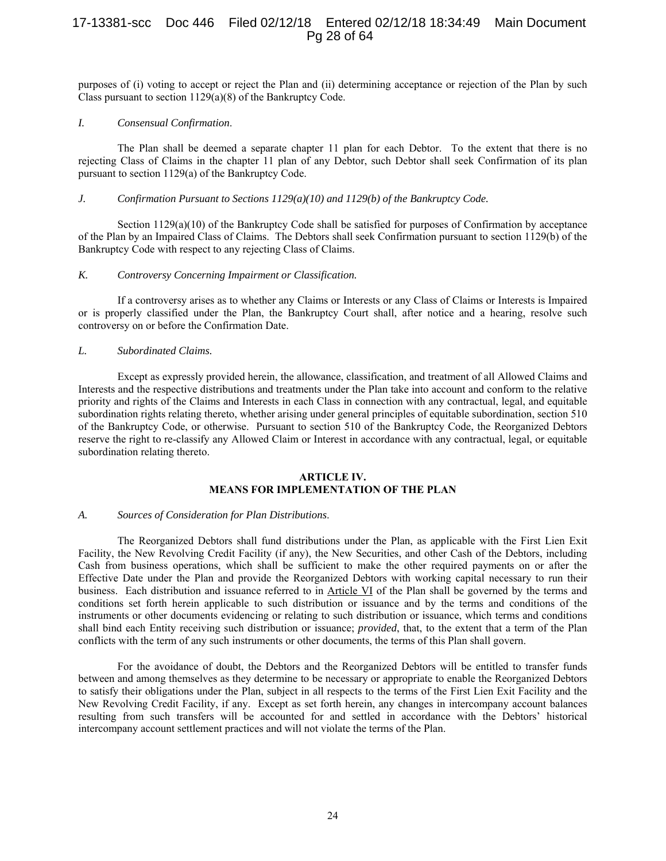# 17-13381-scc Doc 446 Filed 02/12/18 Entered 02/12/18 18:34:49 Main Document Pg 28 of 64

purposes of (i) voting to accept or reject the Plan and (ii) determining acceptance or rejection of the Plan by such Class pursuant to section 1129(a)(8) of the Bankruptcy Code.

#### *I. Consensual Confirmation*.

The Plan shall be deemed a separate chapter 11 plan for each Debtor. To the extent that there is no rejecting Class of Claims in the chapter 11 plan of any Debtor, such Debtor shall seek Confirmation of its plan pursuant to section 1129(a) of the Bankruptcy Code.

## *J. Confirmation Pursuant to Sections 1129(a)(10) and 1129(b) of the Bankruptcy Code.*

Section  $1129(a)(10)$  of the Bankruptcy Code shall be satisfied for purposes of Confirmation by acceptance of the Plan by an Impaired Class of Claims. The Debtors shall seek Confirmation pursuant to section 1129(b) of the Bankruptcy Code with respect to any rejecting Class of Claims.

## *K. Controversy Concerning Impairment or Classification.*

If a controversy arises as to whether any Claims or Interests or any Class of Claims or Interests is Impaired or is properly classified under the Plan, the Bankruptcy Court shall, after notice and a hearing, resolve such controversy on or before the Confirmation Date.

## *L. Subordinated Claims.*

Except as expressly provided herein, the allowance, classification, and treatment of all Allowed Claims and Interests and the respective distributions and treatments under the Plan take into account and conform to the relative priority and rights of the Claims and Interests in each Class in connection with any contractual, legal, and equitable subordination rights relating thereto, whether arising under general principles of equitable subordination, section 510 of the Bankruptcy Code, or otherwise. Pursuant to section 510 of the Bankruptcy Code, the Reorganized Debtors reserve the right to re-classify any Allowed Claim or Interest in accordance with any contractual, legal, or equitable subordination relating thereto.

## **ARTICLE IV. MEANS FOR IMPLEMENTATION OF THE PLAN**

#### *A. Sources of Consideration for Plan Distributions*.

The Reorganized Debtors shall fund distributions under the Plan, as applicable with the First Lien Exit Facility, the New Revolving Credit Facility (if any), the New Securities, and other Cash of the Debtors, including Cash from business operations, which shall be sufficient to make the other required payments on or after the Effective Date under the Plan and provide the Reorganized Debtors with working capital necessary to run their business. Each distribution and issuance referred to in Article VI of the Plan shall be governed by the terms and conditions set forth herein applicable to such distribution or issuance and by the terms and conditions of the instruments or other documents evidencing or relating to such distribution or issuance, which terms and conditions shall bind each Entity receiving such distribution or issuance; *provided*, that, to the extent that a term of the Plan conflicts with the term of any such instruments or other documents, the terms of this Plan shall govern.

For the avoidance of doubt, the Debtors and the Reorganized Debtors will be entitled to transfer funds between and among themselves as they determine to be necessary or appropriate to enable the Reorganized Debtors to satisfy their obligations under the Plan, subject in all respects to the terms of the First Lien Exit Facility and the New Revolving Credit Facility, if any. Except as set forth herein, any changes in intercompany account balances resulting from such transfers will be accounted for and settled in accordance with the Debtors' historical intercompany account settlement practices and will not violate the terms of the Plan.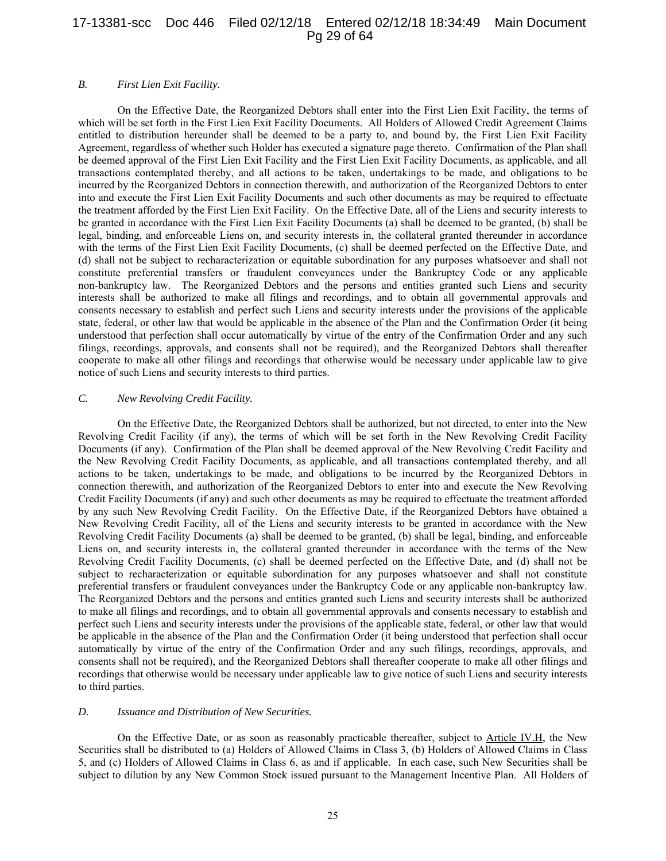# 17-13381-scc Doc 446 Filed 02/12/18 Entered 02/12/18 18:34:49 Main Document Pg 29 of 64

## *B. First Lien Exit Facility.*

On the Effective Date, the Reorganized Debtors shall enter into the First Lien Exit Facility, the terms of which will be set forth in the First Lien Exit Facility Documents. All Holders of Allowed Credit Agreement Claims entitled to distribution hereunder shall be deemed to be a party to, and bound by, the First Lien Exit Facility Agreement, regardless of whether such Holder has executed a signature page thereto. Confirmation of the Plan shall be deemed approval of the First Lien Exit Facility and the First Lien Exit Facility Documents, as applicable, and all transactions contemplated thereby, and all actions to be taken, undertakings to be made, and obligations to be incurred by the Reorganized Debtors in connection therewith, and authorization of the Reorganized Debtors to enter into and execute the First Lien Exit Facility Documents and such other documents as may be required to effectuate the treatment afforded by the First Lien Exit Facility. On the Effective Date, all of the Liens and security interests to be granted in accordance with the First Lien Exit Facility Documents (a) shall be deemed to be granted, (b) shall be legal, binding, and enforceable Liens on, and security interests in, the collateral granted thereunder in accordance with the terms of the First Lien Exit Facility Documents, (c) shall be deemed perfected on the Effective Date, and (d) shall not be subject to recharacterization or equitable subordination for any purposes whatsoever and shall not constitute preferential transfers or fraudulent conveyances under the Bankruptcy Code or any applicable non-bankruptcy law. The Reorganized Debtors and the persons and entities granted such Liens and security interests shall be authorized to make all filings and recordings, and to obtain all governmental approvals and consents necessary to establish and perfect such Liens and security interests under the provisions of the applicable state, federal, or other law that would be applicable in the absence of the Plan and the Confirmation Order (it being understood that perfection shall occur automatically by virtue of the entry of the Confirmation Order and any such filings, recordings, approvals, and consents shall not be required), and the Reorganized Debtors shall thereafter cooperate to make all other filings and recordings that otherwise would be necessary under applicable law to give notice of such Liens and security interests to third parties.

#### *C. New Revolving Credit Facility.*

On the Effective Date, the Reorganized Debtors shall be authorized, but not directed, to enter into the New Revolving Credit Facility (if any), the terms of which will be set forth in the New Revolving Credit Facility Documents (if any). Confirmation of the Plan shall be deemed approval of the New Revolving Credit Facility and the New Revolving Credit Facility Documents, as applicable, and all transactions contemplated thereby, and all actions to be taken, undertakings to be made, and obligations to be incurred by the Reorganized Debtors in connection therewith, and authorization of the Reorganized Debtors to enter into and execute the New Revolving Credit Facility Documents (if any) and such other documents as may be required to effectuate the treatment afforded by any such New Revolving Credit Facility. On the Effective Date, if the Reorganized Debtors have obtained a New Revolving Credit Facility, all of the Liens and security interests to be granted in accordance with the New Revolving Credit Facility Documents (a) shall be deemed to be granted, (b) shall be legal, binding, and enforceable Liens on, and security interests in, the collateral granted thereunder in accordance with the terms of the New Revolving Credit Facility Documents, (c) shall be deemed perfected on the Effective Date, and (d) shall not be subject to recharacterization or equitable subordination for any purposes whatsoever and shall not constitute preferential transfers or fraudulent conveyances under the Bankruptcy Code or any applicable non-bankruptcy law. The Reorganized Debtors and the persons and entities granted such Liens and security interests shall be authorized to make all filings and recordings, and to obtain all governmental approvals and consents necessary to establish and perfect such Liens and security interests under the provisions of the applicable state, federal, or other law that would be applicable in the absence of the Plan and the Confirmation Order (it being understood that perfection shall occur automatically by virtue of the entry of the Confirmation Order and any such filings, recordings, approvals, and consents shall not be required), and the Reorganized Debtors shall thereafter cooperate to make all other filings and recordings that otherwise would be necessary under applicable law to give notice of such Liens and security interests to third parties.

#### *D. Issuance and Distribution of New Securities.*

On the Effective Date, or as soon as reasonably practicable thereafter, subject to Article IV.H, the New Securities shall be distributed to (a) Holders of Allowed Claims in Class 3, (b) Holders of Allowed Claims in Class 5, and (c) Holders of Allowed Claims in Class 6, as and if applicable. In each case, such New Securities shall be subject to dilution by any New Common Stock issued pursuant to the Management Incentive Plan. All Holders of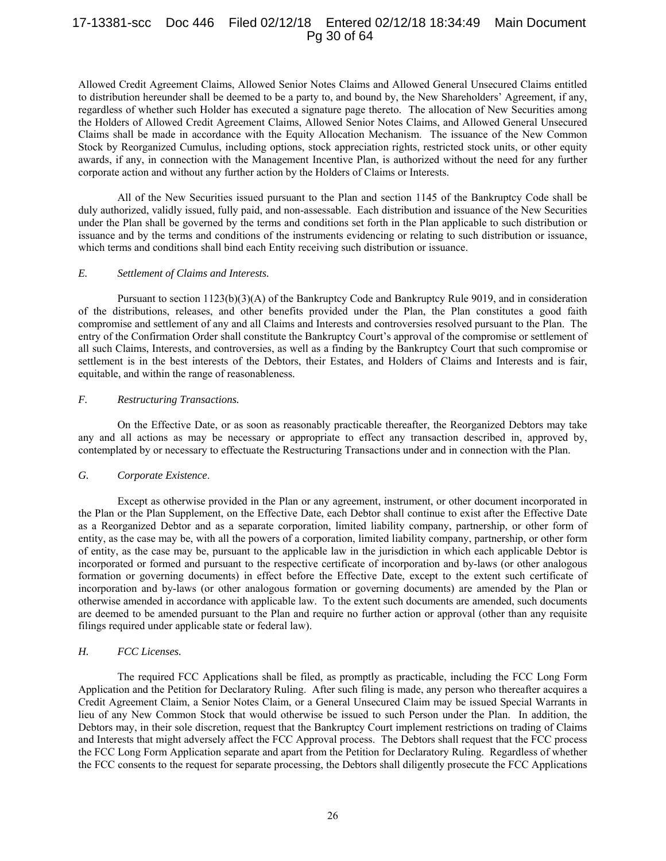# 17-13381-scc Doc 446 Filed 02/12/18 Entered 02/12/18 18:34:49 Main Document Pg 30 of 64

Allowed Credit Agreement Claims, Allowed Senior Notes Claims and Allowed General Unsecured Claims entitled to distribution hereunder shall be deemed to be a party to, and bound by, the New Shareholders' Agreement, if any, regardless of whether such Holder has executed a signature page thereto. The allocation of New Securities among the Holders of Allowed Credit Agreement Claims, Allowed Senior Notes Claims, and Allowed General Unsecured Claims shall be made in accordance with the Equity Allocation Mechanism. The issuance of the New Common Stock by Reorganized Cumulus, including options, stock appreciation rights, restricted stock units, or other equity awards, if any, in connection with the Management Incentive Plan, is authorized without the need for any further corporate action and without any further action by the Holders of Claims or Interests.

All of the New Securities issued pursuant to the Plan and section 1145 of the Bankruptcy Code shall be duly authorized, validly issued, fully paid, and non-assessable. Each distribution and issuance of the New Securities under the Plan shall be governed by the terms and conditions set forth in the Plan applicable to such distribution or issuance and by the terms and conditions of the instruments evidencing or relating to such distribution or issuance, which terms and conditions shall bind each Entity receiving such distribution or issuance.

#### *E. Settlement of Claims and Interests.*

Pursuant to section 1123(b)(3)(A) of the Bankruptcy Code and Bankruptcy Rule 9019, and in consideration of the distributions, releases, and other benefits provided under the Plan, the Plan constitutes a good faith compromise and settlement of any and all Claims and Interests and controversies resolved pursuant to the Plan. The entry of the Confirmation Order shall constitute the Bankruptcy Court's approval of the compromise or settlement of all such Claims, Interests, and controversies, as well as a finding by the Bankruptcy Court that such compromise or settlement is in the best interests of the Debtors, their Estates, and Holders of Claims and Interests and is fair, equitable, and within the range of reasonableness.

#### *F. Restructuring Transactions.*

On the Effective Date, or as soon as reasonably practicable thereafter, the Reorganized Debtors may take any and all actions as may be necessary or appropriate to effect any transaction described in, approved by, contemplated by or necessary to effectuate the Restructuring Transactions under and in connection with the Plan.

#### *G. Corporate Existence*.

Except as otherwise provided in the Plan or any agreement, instrument, or other document incorporated in the Plan or the Plan Supplement, on the Effective Date, each Debtor shall continue to exist after the Effective Date as a Reorganized Debtor and as a separate corporation, limited liability company, partnership, or other form of entity, as the case may be, with all the powers of a corporation, limited liability company, partnership, or other form of entity, as the case may be, pursuant to the applicable law in the jurisdiction in which each applicable Debtor is incorporated or formed and pursuant to the respective certificate of incorporation and by-laws (or other analogous formation or governing documents) in effect before the Effective Date, except to the extent such certificate of incorporation and by-laws (or other analogous formation or governing documents) are amended by the Plan or otherwise amended in accordance with applicable law. To the extent such documents are amended, such documents are deemed to be amended pursuant to the Plan and require no further action or approval (other than any requisite filings required under applicable state or federal law).

## *H. FCC Licenses.*

The required FCC Applications shall be filed, as promptly as practicable, including the FCC Long Form Application and the Petition for Declaratory Ruling. After such filing is made, any person who thereafter acquires a Credit Agreement Claim, a Senior Notes Claim, or a General Unsecured Claim may be issued Special Warrants in lieu of any New Common Stock that would otherwise be issued to such Person under the Plan. In addition, the Debtors may, in their sole discretion, request that the Bankruptcy Court implement restrictions on trading of Claims and Interests that might adversely affect the FCC Approval process. The Debtors shall request that the FCC process the FCC Long Form Application separate and apart from the Petition for Declaratory Ruling. Regardless of whether the FCC consents to the request for separate processing, the Debtors shall diligently prosecute the FCC Applications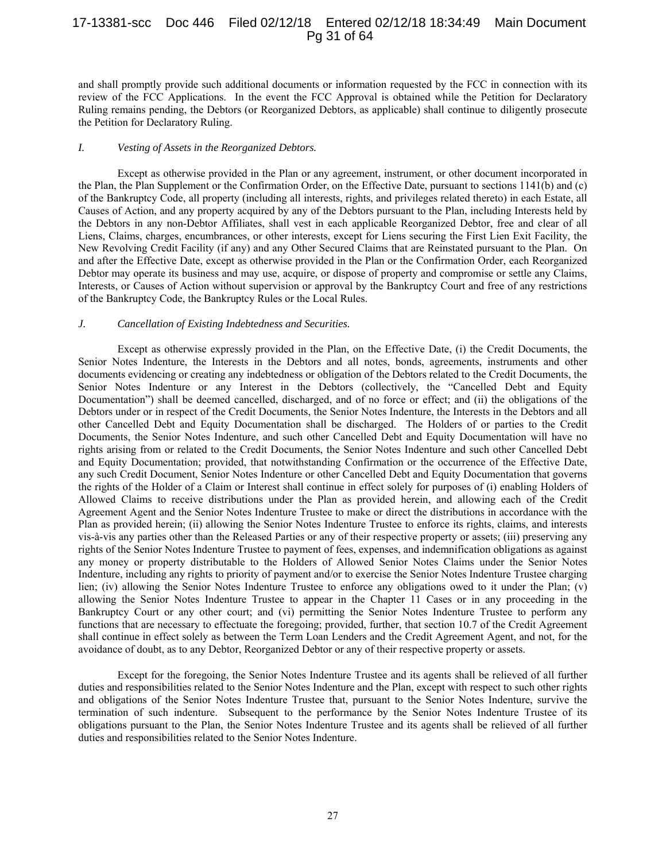# 17-13381-scc Doc 446 Filed 02/12/18 Entered 02/12/18 18:34:49 Main Document Pg 31 of 64

and shall promptly provide such additional documents or information requested by the FCC in connection with its review of the FCC Applications. In the event the FCC Approval is obtained while the Petition for Declaratory Ruling remains pending, the Debtors (or Reorganized Debtors, as applicable) shall continue to diligently prosecute the Petition for Declaratory Ruling.

#### *I. Vesting of Assets in the Reorganized Debtors.*

Except as otherwise provided in the Plan or any agreement, instrument, or other document incorporated in the Plan, the Plan Supplement or the Confirmation Order, on the Effective Date, pursuant to sections 1141(b) and (c) of the Bankruptcy Code, all property (including all interests, rights, and privileges related thereto) in each Estate, all Causes of Action, and any property acquired by any of the Debtors pursuant to the Plan, including Interests held by the Debtors in any non-Debtor Affiliates, shall vest in each applicable Reorganized Debtor, free and clear of all Liens, Claims, charges, encumbrances, or other interests, except for Liens securing the First Lien Exit Facility, the New Revolving Credit Facility (if any) and any Other Secured Claims that are Reinstated pursuant to the Plan. On and after the Effective Date, except as otherwise provided in the Plan or the Confirmation Order, each Reorganized Debtor may operate its business and may use, acquire, or dispose of property and compromise or settle any Claims, Interests, or Causes of Action without supervision or approval by the Bankruptcy Court and free of any restrictions of the Bankruptcy Code, the Bankruptcy Rules or the Local Rules.

## *J. Cancellation of Existing Indebtedness and Securities.*

Except as otherwise expressly provided in the Plan, on the Effective Date, (i) the Credit Documents, the Senior Notes Indenture, the Interests in the Debtors and all notes, bonds, agreements, instruments and other documents evidencing or creating any indebtedness or obligation of the Debtors related to the Credit Documents, the Senior Notes Indenture or any Interest in the Debtors (collectively, the "Cancelled Debt and Equity Documentation") shall be deemed cancelled, discharged, and of no force or effect; and (ii) the obligations of the Debtors under or in respect of the Credit Documents, the Senior Notes Indenture, the Interests in the Debtors and all other Cancelled Debt and Equity Documentation shall be discharged. The Holders of or parties to the Credit Documents, the Senior Notes Indenture, and such other Cancelled Debt and Equity Documentation will have no rights arising from or related to the Credit Documents, the Senior Notes Indenture and such other Cancelled Debt and Equity Documentation; provided, that notwithstanding Confirmation or the occurrence of the Effective Date, any such Credit Document, Senior Notes Indenture or other Cancelled Debt and Equity Documentation that governs the rights of the Holder of a Claim or Interest shall continue in effect solely for purposes of (i) enabling Holders of Allowed Claims to receive distributions under the Plan as provided herein, and allowing each of the Credit Agreement Agent and the Senior Notes Indenture Trustee to make or direct the distributions in accordance with the Plan as provided herein; (ii) allowing the Senior Notes Indenture Trustee to enforce its rights, claims, and interests vis-à-vis any parties other than the Released Parties or any of their respective property or assets; (iii) preserving any rights of the Senior Notes Indenture Trustee to payment of fees, expenses, and indemnification obligations as against any money or property distributable to the Holders of Allowed Senior Notes Claims under the Senior Notes Indenture, including any rights to priority of payment and/or to exercise the Senior Notes Indenture Trustee charging lien; (iv) allowing the Senior Notes Indenture Trustee to enforce any obligations owed to it under the Plan; (v) allowing the Senior Notes Indenture Trustee to appear in the Chapter 11 Cases or in any proceeding in the Bankruptcy Court or any other court; and (vi) permitting the Senior Notes Indenture Trustee to perform any functions that are necessary to effectuate the foregoing; provided, further, that section 10.7 of the Credit Agreement shall continue in effect solely as between the Term Loan Lenders and the Credit Agreement Agent, and not, for the avoidance of doubt, as to any Debtor, Reorganized Debtor or any of their respective property or assets.

Except for the foregoing, the Senior Notes Indenture Trustee and its agents shall be relieved of all further duties and responsibilities related to the Senior Notes Indenture and the Plan, except with respect to such other rights and obligations of the Senior Notes Indenture Trustee that, pursuant to the Senior Notes Indenture, survive the termination of such indenture. Subsequent to the performance by the Senior Notes Indenture Trustee of its obligations pursuant to the Plan, the Senior Notes Indenture Trustee and its agents shall be relieved of all further duties and responsibilities related to the Senior Notes Indenture.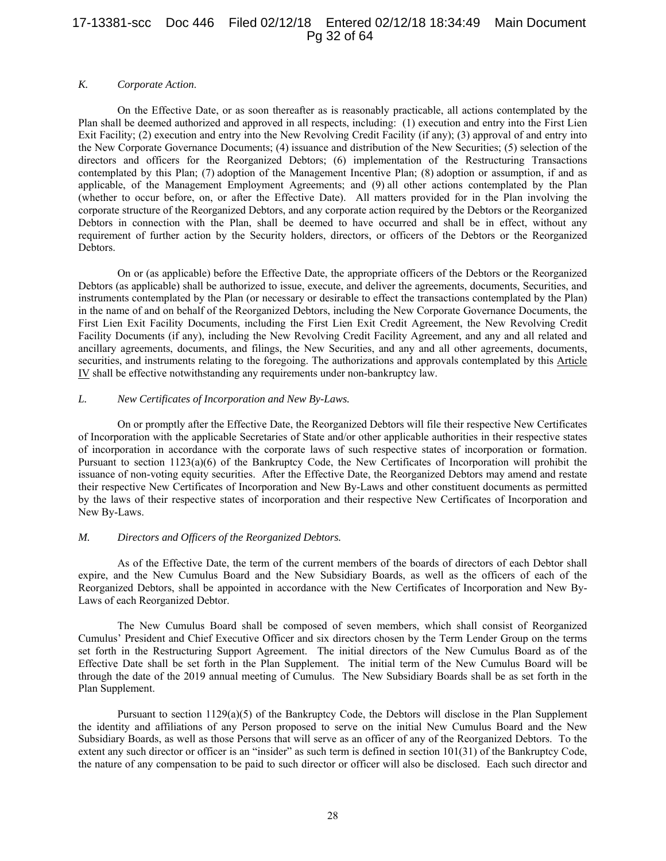# 17-13381-scc Doc 446 Filed 02/12/18 Entered 02/12/18 18:34:49 Main Document Pg 32 of 64

## *K. Corporate Action*.

On the Effective Date, or as soon thereafter as is reasonably practicable, all actions contemplated by the Plan shall be deemed authorized and approved in all respects, including: (1) execution and entry into the First Lien Exit Facility; (2) execution and entry into the New Revolving Credit Facility (if any); (3) approval of and entry into the New Corporate Governance Documents; (4) issuance and distribution of the New Securities; (5) selection of the directors and officers for the Reorganized Debtors; (6) implementation of the Restructuring Transactions contemplated by this Plan; (7) adoption of the Management Incentive Plan; (8) adoption or assumption, if and as applicable, of the Management Employment Agreements; and (9) all other actions contemplated by the Plan (whether to occur before, on, or after the Effective Date). All matters provided for in the Plan involving the corporate structure of the Reorganized Debtors, and any corporate action required by the Debtors or the Reorganized Debtors in connection with the Plan, shall be deemed to have occurred and shall be in effect, without any requirement of further action by the Security holders, directors, or officers of the Debtors or the Reorganized Debtors.

On or (as applicable) before the Effective Date, the appropriate officers of the Debtors or the Reorganized Debtors (as applicable) shall be authorized to issue, execute, and deliver the agreements, documents, Securities, and instruments contemplated by the Plan (or necessary or desirable to effect the transactions contemplated by the Plan) in the name of and on behalf of the Reorganized Debtors, including the New Corporate Governance Documents, the First Lien Exit Facility Documents, including the First Lien Exit Credit Agreement, the New Revolving Credit Facility Documents (if any), including the New Revolving Credit Facility Agreement, and any and all related and ancillary agreements, documents, and filings, the New Securities, and any and all other agreements, documents, securities, and instruments relating to the foregoing. The authorizations and approvals contemplated by this Article IV shall be effective notwithstanding any requirements under non-bankruptcy law.

#### *L. New Certificates of Incorporation and New By-Laws.*

On or promptly after the Effective Date, the Reorganized Debtors will file their respective New Certificates of Incorporation with the applicable Secretaries of State and/or other applicable authorities in their respective states of incorporation in accordance with the corporate laws of such respective states of incorporation or formation. Pursuant to section 1123(a)(6) of the Bankruptcy Code, the New Certificates of Incorporation will prohibit the issuance of non-voting equity securities. After the Effective Date, the Reorganized Debtors may amend and restate their respective New Certificates of Incorporation and New By-Laws and other constituent documents as permitted by the laws of their respective states of incorporation and their respective New Certificates of Incorporation and New By-Laws.

## *M. Directors and Officers of the Reorganized Debtors.*

As of the Effective Date, the term of the current members of the boards of directors of each Debtor shall expire, and the New Cumulus Board and the New Subsidiary Boards, as well as the officers of each of the Reorganized Debtors, shall be appointed in accordance with the New Certificates of Incorporation and New By-Laws of each Reorganized Debtor.

The New Cumulus Board shall be composed of seven members, which shall consist of Reorganized Cumulus' President and Chief Executive Officer and six directors chosen by the Term Lender Group on the terms set forth in the Restructuring Support Agreement. The initial directors of the New Cumulus Board as of the Effective Date shall be set forth in the Plan Supplement. The initial term of the New Cumulus Board will be through the date of the 2019 annual meeting of Cumulus. The New Subsidiary Boards shall be as set forth in the Plan Supplement.

Pursuant to section 1129(a)(5) of the Bankruptcy Code, the Debtors will disclose in the Plan Supplement the identity and affiliations of any Person proposed to serve on the initial New Cumulus Board and the New Subsidiary Boards, as well as those Persons that will serve as an officer of any of the Reorganized Debtors. To the extent any such director or officer is an "insider" as such term is defined in section 101(31) of the Bankruptcy Code, the nature of any compensation to be paid to such director or officer will also be disclosed. Each such director and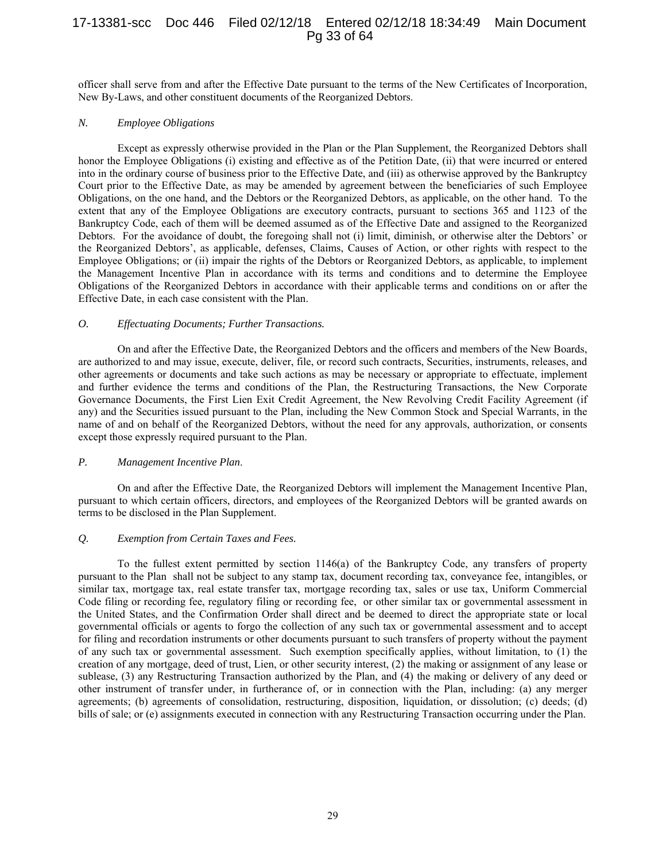# 17-13381-scc Doc 446 Filed 02/12/18 Entered 02/12/18 18:34:49 Main Document Pg 33 of 64

officer shall serve from and after the Effective Date pursuant to the terms of the New Certificates of Incorporation, New By-Laws, and other constituent documents of the Reorganized Debtors.

## *N. Employee Obligations*

Except as expressly otherwise provided in the Plan or the Plan Supplement, the Reorganized Debtors shall honor the Employee Obligations (i) existing and effective as of the Petition Date, (ii) that were incurred or entered into in the ordinary course of business prior to the Effective Date, and (iii) as otherwise approved by the Bankruptcy Court prior to the Effective Date, as may be amended by agreement between the beneficiaries of such Employee Obligations, on the one hand, and the Debtors or the Reorganized Debtors, as applicable, on the other hand. To the extent that any of the Employee Obligations are executory contracts, pursuant to sections 365 and 1123 of the Bankruptcy Code, each of them will be deemed assumed as of the Effective Date and assigned to the Reorganized Debtors. For the avoidance of doubt, the foregoing shall not (i) limit, diminish, or otherwise alter the Debtors' or the Reorganized Debtors', as applicable, defenses, Claims, Causes of Action, or other rights with respect to the Employee Obligations; or (ii) impair the rights of the Debtors or Reorganized Debtors, as applicable, to implement the Management Incentive Plan in accordance with its terms and conditions and to determine the Employee Obligations of the Reorganized Debtors in accordance with their applicable terms and conditions on or after the Effective Date, in each case consistent with the Plan.

#### *O. Effectuating Documents; Further Transactions.*

On and after the Effective Date, the Reorganized Debtors and the officers and members of the New Boards, are authorized to and may issue, execute, deliver, file, or record such contracts, Securities, instruments, releases, and other agreements or documents and take such actions as may be necessary or appropriate to effectuate, implement and further evidence the terms and conditions of the Plan, the Restructuring Transactions, the New Corporate Governance Documents, the First Lien Exit Credit Agreement, the New Revolving Credit Facility Agreement (if any) and the Securities issued pursuant to the Plan, including the New Common Stock and Special Warrants, in the name of and on behalf of the Reorganized Debtors, without the need for any approvals, authorization, or consents except those expressly required pursuant to the Plan.

#### *P. Management Incentive Plan*.

On and after the Effective Date, the Reorganized Debtors will implement the Management Incentive Plan, pursuant to which certain officers, directors, and employees of the Reorganized Debtors will be granted awards on terms to be disclosed in the Plan Supplement.

## *Q. Exemption from Certain Taxes and Fees.*

To the fullest extent permitted by section 1146(a) of the Bankruptcy Code, any transfers of property pursuant to the Plan shall not be subject to any stamp tax, document recording tax, conveyance fee, intangibles, or similar tax, mortgage tax, real estate transfer tax, mortgage recording tax, sales or use tax, Uniform Commercial Code filing or recording fee, regulatory filing or recording fee, or other similar tax or governmental assessment in the United States, and the Confirmation Order shall direct and be deemed to direct the appropriate state or local governmental officials or agents to forgo the collection of any such tax or governmental assessment and to accept for filing and recordation instruments or other documents pursuant to such transfers of property without the payment of any such tax or governmental assessment. Such exemption specifically applies, without limitation, to (1) the creation of any mortgage, deed of trust, Lien, or other security interest, (2) the making or assignment of any lease or sublease, (3) any Restructuring Transaction authorized by the Plan, and (4) the making or delivery of any deed or other instrument of transfer under, in furtherance of, or in connection with the Plan, including: (a) any merger agreements; (b) agreements of consolidation, restructuring, disposition, liquidation, or dissolution; (c) deeds; (d) bills of sale; or (e) assignments executed in connection with any Restructuring Transaction occurring under the Plan.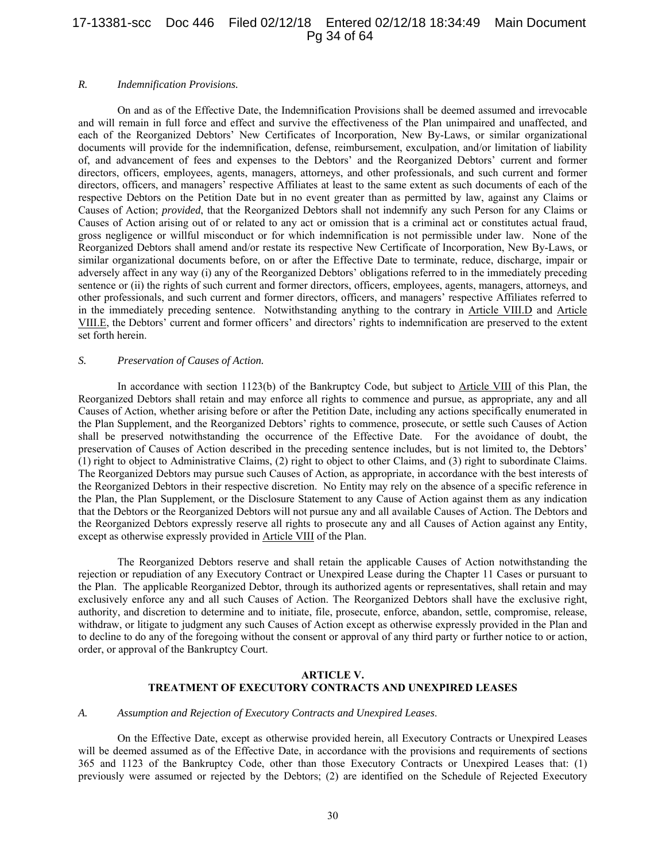# 17-13381-scc Doc 446 Filed 02/12/18 Entered 02/12/18 18:34:49 Main Document Pg 34 of 64

#### *R. Indemnification Provisions.*

On and as of the Effective Date, the Indemnification Provisions shall be deemed assumed and irrevocable and will remain in full force and effect and survive the effectiveness of the Plan unimpaired and unaffected, and each of the Reorganized Debtors' New Certificates of Incorporation, New By-Laws, or similar organizational documents will provide for the indemnification, defense, reimbursement, exculpation, and/or limitation of liability of, and advancement of fees and expenses to the Debtors' and the Reorganized Debtors' current and former directors, officers, employees, agents, managers, attorneys, and other professionals, and such current and former directors, officers, and managers' respective Affiliates at least to the same extent as such documents of each of the respective Debtors on the Petition Date but in no event greater than as permitted by law, against any Claims or Causes of Action; *provided*, that the Reorganized Debtors shall not indemnify any such Person for any Claims or Causes of Action arising out of or related to any act or omission that is a criminal act or constitutes actual fraud, gross negligence or willful misconduct or for which indemnification is not permissible under law. None of the Reorganized Debtors shall amend and/or restate its respective New Certificate of Incorporation, New By-Laws, or similar organizational documents before, on or after the Effective Date to terminate, reduce, discharge, impair or adversely affect in any way (i) any of the Reorganized Debtors' obligations referred to in the immediately preceding sentence or (ii) the rights of such current and former directors, officers, employees, agents, managers, attorneys, and other professionals, and such current and former directors, officers, and managers' respective Affiliates referred to in the immediately preceding sentence. Notwithstanding anything to the contrary in Article VIII.D and Article VIII.E, the Debtors' current and former officers' and directors' rights to indemnification are preserved to the extent set forth herein.

## *S. Preservation of Causes of Action.*

In accordance with section 1123(b) of the Bankruptcy Code, but subject to Article VIII of this Plan, the Reorganized Debtors shall retain and may enforce all rights to commence and pursue, as appropriate, any and all Causes of Action, whether arising before or after the Petition Date, including any actions specifically enumerated in the Plan Supplement, and the Reorganized Debtors' rights to commence, prosecute, or settle such Causes of Action shall be preserved notwithstanding the occurrence of the Effective Date. For the avoidance of doubt, the preservation of Causes of Action described in the preceding sentence includes, but is not limited to, the Debtors' (1) right to object to Administrative Claims, (2) right to object to other Claims, and (3) right to subordinate Claims. The Reorganized Debtors may pursue such Causes of Action, as appropriate, in accordance with the best interests of the Reorganized Debtors in their respective discretion. No Entity may rely on the absence of a specific reference in the Plan, the Plan Supplement, or the Disclosure Statement to any Cause of Action against them as any indication that the Debtors or the Reorganized Debtors will not pursue any and all available Causes of Action. The Debtors and the Reorganized Debtors expressly reserve all rights to prosecute any and all Causes of Action against any Entity, except as otherwise expressly provided in Article VIII of the Plan.

The Reorganized Debtors reserve and shall retain the applicable Causes of Action notwithstanding the rejection or repudiation of any Executory Contract or Unexpired Lease during the Chapter 11 Cases or pursuant to the Plan. The applicable Reorganized Debtor, through its authorized agents or representatives, shall retain and may exclusively enforce any and all such Causes of Action. The Reorganized Debtors shall have the exclusive right, authority, and discretion to determine and to initiate, file, prosecute, enforce, abandon, settle, compromise, release, withdraw, or litigate to judgment any such Causes of Action except as otherwise expressly provided in the Plan and to decline to do any of the foregoing without the consent or approval of any third party or further notice to or action, order, or approval of the Bankruptcy Court.

## **ARTICLE V. TREATMENT OF EXECUTORY CONTRACTS AND UNEXPIRED LEASES**

#### *A. Assumption and Rejection of Executory Contracts and Unexpired Leases*.

On the Effective Date, except as otherwise provided herein, all Executory Contracts or Unexpired Leases will be deemed assumed as of the Effective Date, in accordance with the provisions and requirements of sections 365 and 1123 of the Bankruptcy Code, other than those Executory Contracts or Unexpired Leases that: (1) previously were assumed or rejected by the Debtors; (2) are identified on the Schedule of Rejected Executory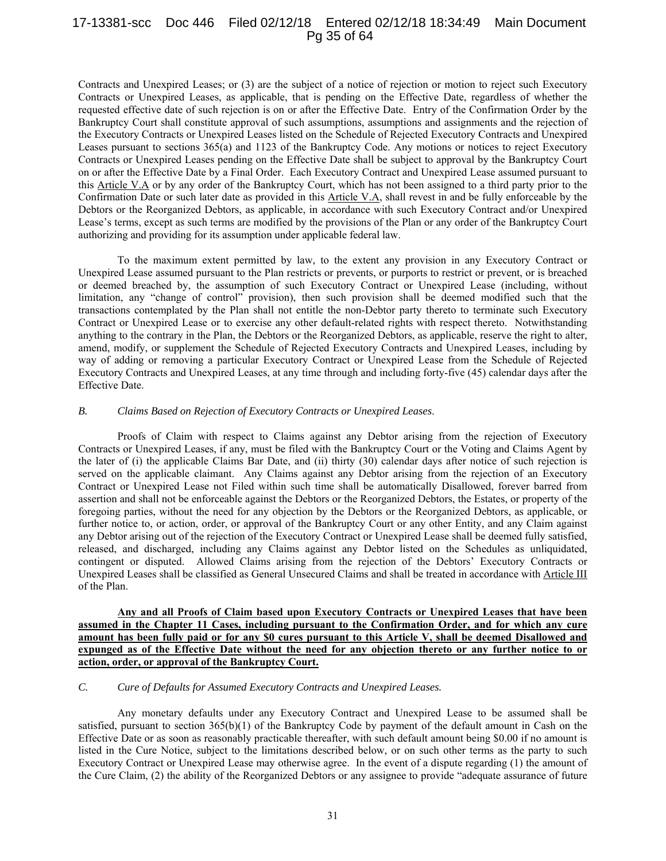# 17-13381-scc Doc 446 Filed 02/12/18 Entered 02/12/18 18:34:49 Main Document Pg 35 of 64

Contracts and Unexpired Leases; or (3) are the subject of a notice of rejection or motion to reject such Executory Contracts or Unexpired Leases, as applicable, that is pending on the Effective Date, regardless of whether the requested effective date of such rejection is on or after the Effective Date. Entry of the Confirmation Order by the Bankruptcy Court shall constitute approval of such assumptions, assumptions and assignments and the rejection of the Executory Contracts or Unexpired Leases listed on the Schedule of Rejected Executory Contracts and Unexpired Leases pursuant to sections 365(a) and 1123 of the Bankruptcy Code. Any motions or notices to reject Executory Contracts or Unexpired Leases pending on the Effective Date shall be subject to approval by the Bankruptcy Court on or after the Effective Date by a Final Order. Each Executory Contract and Unexpired Lease assumed pursuant to this Article V.A or by any order of the Bankruptcy Court, which has not been assigned to a third party prior to the Confirmation Date or such later date as provided in this Article V.A, shall revest in and be fully enforceable by the Debtors or the Reorganized Debtors, as applicable, in accordance with such Executory Contract and/or Unexpired Lease's terms, except as such terms are modified by the provisions of the Plan or any order of the Bankruptcy Court authorizing and providing for its assumption under applicable federal law.

To the maximum extent permitted by law, to the extent any provision in any Executory Contract or Unexpired Lease assumed pursuant to the Plan restricts or prevents, or purports to restrict or prevent, or is breached or deemed breached by, the assumption of such Executory Contract or Unexpired Lease (including, without limitation, any "change of control" provision), then such provision shall be deemed modified such that the transactions contemplated by the Plan shall not entitle the non-Debtor party thereto to terminate such Executory Contract or Unexpired Lease or to exercise any other default-related rights with respect thereto. Notwithstanding anything to the contrary in the Plan, the Debtors or the Reorganized Debtors, as applicable, reserve the right to alter, amend, modify, or supplement the Schedule of Rejected Executory Contracts and Unexpired Leases, including by way of adding or removing a particular Executory Contract or Unexpired Lease from the Schedule of Rejected Executory Contracts and Unexpired Leases, at any time through and including forty-five (45) calendar days after the Effective Date.

#### *B. Claims Based on Rejection of Executory Contracts or Unexpired Leases*.

Proofs of Claim with respect to Claims against any Debtor arising from the rejection of Executory Contracts or Unexpired Leases, if any, must be filed with the Bankruptcy Court or the Voting and Claims Agent by the later of (i) the applicable Claims Bar Date, and (ii) thirty (30) calendar days after notice of such rejection is served on the applicable claimant. Any Claims against any Debtor arising from the rejection of an Executory Contract or Unexpired Lease not Filed within such time shall be automatically Disallowed, forever barred from assertion and shall not be enforceable against the Debtors or the Reorganized Debtors, the Estates, or property of the foregoing parties, without the need for any objection by the Debtors or the Reorganized Debtors, as applicable, or further notice to, or action, order, or approval of the Bankruptcy Court or any other Entity, and any Claim against any Debtor arising out of the rejection of the Executory Contract or Unexpired Lease shall be deemed fully satisfied, released, and discharged, including any Claims against any Debtor listed on the Schedules as unliquidated, contingent or disputed. Allowed Claims arising from the rejection of the Debtors' Executory Contracts or Unexpired Leases shall be classified as General Unsecured Claims and shall be treated in accordance with Article III of the Plan.

**Any and all Proofs of Claim based upon Executory Contracts or Unexpired Leases that have been assumed in the Chapter 11 Cases, including pursuant to the Confirmation Order, and for which any cure amount has been fully paid or for any \$0 cures pursuant to this Article V, shall be deemed Disallowed and expunged as of the Effective Date without the need for any objection thereto or any further notice to or action, order, or approval of the Bankruptcy Court.** 

# *C. Cure of Defaults for Assumed Executory Contracts and Unexpired Leases.*

Any monetary defaults under any Executory Contract and Unexpired Lease to be assumed shall be satisfied, pursuant to section  $365(b)(1)$  of the Bankruptcy Code by payment of the default amount in Cash on the Effective Date or as soon as reasonably practicable thereafter, with such default amount being \$0.00 if no amount is listed in the Cure Notice, subject to the limitations described below, or on such other terms as the party to such Executory Contract or Unexpired Lease may otherwise agree. In the event of a dispute regarding (1) the amount of the Cure Claim, (2) the ability of the Reorganized Debtors or any assignee to provide "adequate assurance of future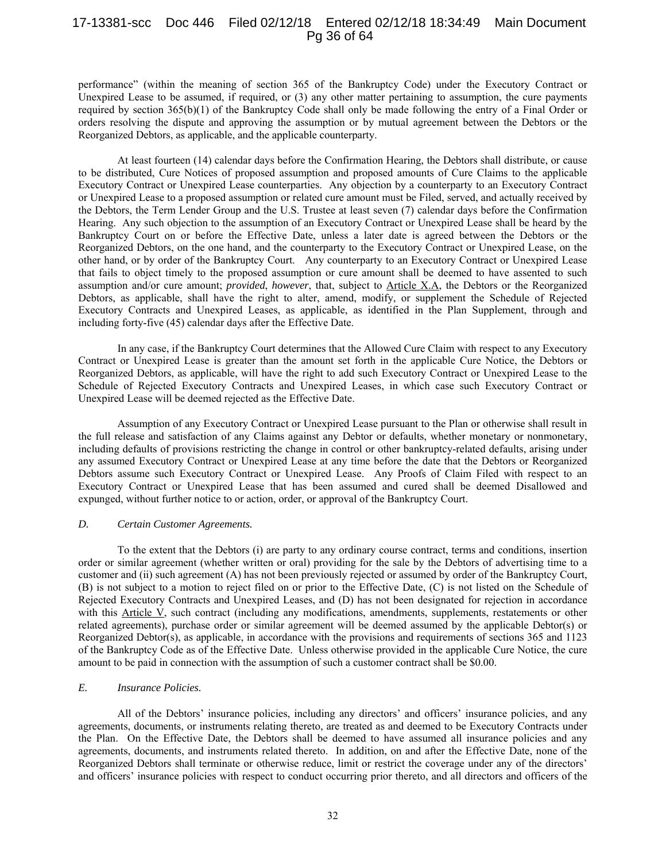# 17-13381-scc Doc 446 Filed 02/12/18 Entered 02/12/18 18:34:49 Main Document Pg 36 of 64

performance" (within the meaning of section 365 of the Bankruptcy Code) under the Executory Contract or Unexpired Lease to be assumed, if required, or (3) any other matter pertaining to assumption, the cure payments required by section 365(b)(1) of the Bankruptcy Code shall only be made following the entry of a Final Order or orders resolving the dispute and approving the assumption or by mutual agreement between the Debtors or the Reorganized Debtors, as applicable, and the applicable counterparty.

At least fourteen (14) calendar days before the Confirmation Hearing, the Debtors shall distribute, or cause to be distributed, Cure Notices of proposed assumption and proposed amounts of Cure Claims to the applicable Executory Contract or Unexpired Lease counterparties. Any objection by a counterparty to an Executory Contract or Unexpired Lease to a proposed assumption or related cure amount must be Filed, served, and actually received by the Debtors, the Term Lender Group and the U.S. Trustee at least seven (7) calendar days before the Confirmation Hearing. Any such objection to the assumption of an Executory Contract or Unexpired Lease shall be heard by the Bankruptcy Court on or before the Effective Date, unless a later date is agreed between the Debtors or the Reorganized Debtors, on the one hand, and the counterparty to the Executory Contract or Unexpired Lease, on the other hand, or by order of the Bankruptcy Court. Any counterparty to an Executory Contract or Unexpired Lease that fails to object timely to the proposed assumption or cure amount shall be deemed to have assented to such assumption and/or cure amount; *provided*, *however*, that, subject to Article X.A, the Debtors or the Reorganized Debtors, as applicable, shall have the right to alter, amend, modify, or supplement the Schedule of Rejected Executory Contracts and Unexpired Leases, as applicable, as identified in the Plan Supplement, through and including forty-five (45) calendar days after the Effective Date.

In any case, if the Bankruptcy Court determines that the Allowed Cure Claim with respect to any Executory Contract or Unexpired Lease is greater than the amount set forth in the applicable Cure Notice, the Debtors or Reorganized Debtors, as applicable, will have the right to add such Executory Contract or Unexpired Lease to the Schedule of Rejected Executory Contracts and Unexpired Leases, in which case such Executory Contract or Unexpired Lease will be deemed rejected as the Effective Date.

Assumption of any Executory Contract or Unexpired Lease pursuant to the Plan or otherwise shall result in the full release and satisfaction of any Claims against any Debtor or defaults, whether monetary or nonmonetary, including defaults of provisions restricting the change in control or other bankruptcy-related defaults, arising under any assumed Executory Contract or Unexpired Lease at any time before the date that the Debtors or Reorganized Debtors assume such Executory Contract or Unexpired Lease. Any Proofs of Claim Filed with respect to an Executory Contract or Unexpired Lease that has been assumed and cured shall be deemed Disallowed and expunged, without further notice to or action, order, or approval of the Bankruptcy Court.

#### *D. Certain Customer Agreements.*

To the extent that the Debtors (i) are party to any ordinary course contract, terms and conditions, insertion order or similar agreement (whether written or oral) providing for the sale by the Debtors of advertising time to a customer and (ii) such agreement (A) has not been previously rejected or assumed by order of the Bankruptcy Court, (B) is not subject to a motion to reject filed on or prior to the Effective Date, (C) is not listed on the Schedule of Rejected Executory Contracts and Unexpired Leases, and (D) has not been designated for rejection in accordance with this Article V, such contract (including any modifications, amendments, supplements, restatements or other related agreements), purchase order or similar agreement will be deemed assumed by the applicable Debtor(s) or Reorganized Debtor(s), as applicable, in accordance with the provisions and requirements of sections 365 and 1123 of the Bankruptcy Code as of the Effective Date. Unless otherwise provided in the applicable Cure Notice, the cure amount to be paid in connection with the assumption of such a customer contract shall be \$0.00.

# *E. Insurance Policies.*

All of the Debtors' insurance policies, including any directors' and officers' insurance policies, and any agreements, documents, or instruments relating thereto, are treated as and deemed to be Executory Contracts under the Plan. On the Effective Date, the Debtors shall be deemed to have assumed all insurance policies and any agreements, documents, and instruments related thereto. In addition, on and after the Effective Date, none of the Reorganized Debtors shall terminate or otherwise reduce, limit or restrict the coverage under any of the directors' and officers' insurance policies with respect to conduct occurring prior thereto, and all directors and officers of the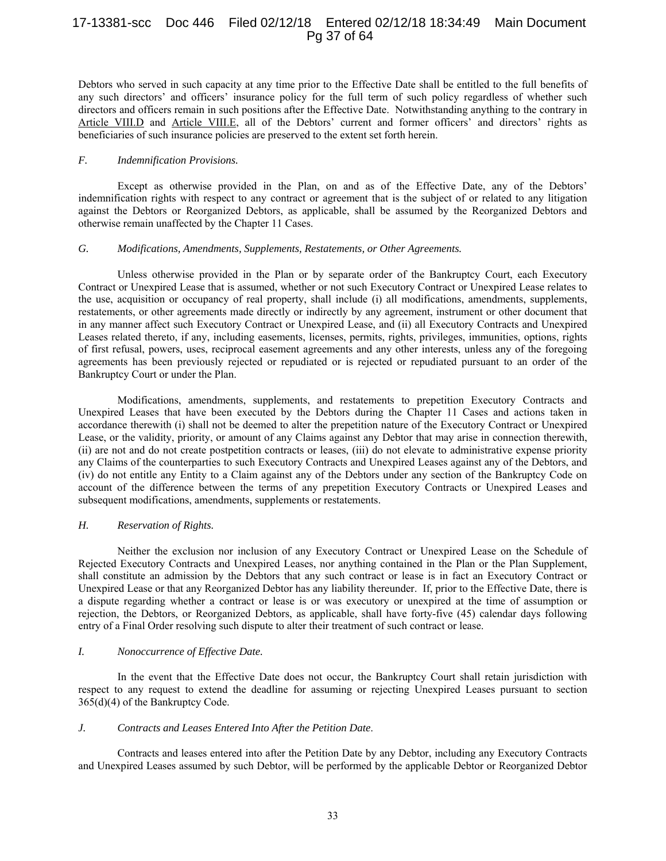# 17-13381-scc Doc 446 Filed 02/12/18 Entered 02/12/18 18:34:49 Main Document Pg 37 of 64

Debtors who served in such capacity at any time prior to the Effective Date shall be entitled to the full benefits of any such directors' and officers' insurance policy for the full term of such policy regardless of whether such directors and officers remain in such positions after the Effective Date. Notwithstanding anything to the contrary in Article VIII.D and Article VIII.E, all of the Debtors' current and former officers' and directors' rights as beneficiaries of such insurance policies are preserved to the extent set forth herein.

#### *F. Indemnification Provisions.*

Except as otherwise provided in the Plan, on and as of the Effective Date, any of the Debtors' indemnification rights with respect to any contract or agreement that is the subject of or related to any litigation against the Debtors or Reorganized Debtors, as applicable, shall be assumed by the Reorganized Debtors and otherwise remain unaffected by the Chapter 11 Cases.

#### *G. Modifications, Amendments, Supplements, Restatements, or Other Agreements.*

Unless otherwise provided in the Plan or by separate order of the Bankruptcy Court, each Executory Contract or Unexpired Lease that is assumed, whether or not such Executory Contract or Unexpired Lease relates to the use, acquisition or occupancy of real property, shall include (i) all modifications, amendments, supplements, restatements, or other agreements made directly or indirectly by any agreement, instrument or other document that in any manner affect such Executory Contract or Unexpired Lease, and (ii) all Executory Contracts and Unexpired Leases related thereto, if any, including easements, licenses, permits, rights, privileges, immunities, options, rights of first refusal, powers, uses, reciprocal easement agreements and any other interests, unless any of the foregoing agreements has been previously rejected or repudiated or is rejected or repudiated pursuant to an order of the Bankruptcy Court or under the Plan.

Modifications, amendments, supplements, and restatements to prepetition Executory Contracts and Unexpired Leases that have been executed by the Debtors during the Chapter 11 Cases and actions taken in accordance therewith (i) shall not be deemed to alter the prepetition nature of the Executory Contract or Unexpired Lease, or the validity, priority, or amount of any Claims against any Debtor that may arise in connection therewith, (ii) are not and do not create postpetition contracts or leases, (iii) do not elevate to administrative expense priority any Claims of the counterparties to such Executory Contracts and Unexpired Leases against any of the Debtors, and (iv) do not entitle any Entity to a Claim against any of the Debtors under any section of the Bankruptcy Code on account of the difference between the terms of any prepetition Executory Contracts or Unexpired Leases and subsequent modifications, amendments, supplements or restatements.

## *H. Reservation of Rights.*

Neither the exclusion nor inclusion of any Executory Contract or Unexpired Lease on the Schedule of Rejected Executory Contracts and Unexpired Leases, nor anything contained in the Plan or the Plan Supplement, shall constitute an admission by the Debtors that any such contract or lease is in fact an Executory Contract or Unexpired Lease or that any Reorganized Debtor has any liability thereunder. If, prior to the Effective Date, there is a dispute regarding whether a contract or lease is or was executory or unexpired at the time of assumption or rejection, the Debtors, or Reorganized Debtors, as applicable, shall have forty-five (45) calendar days following entry of a Final Order resolving such dispute to alter their treatment of such contract or lease.

## *I. Nonoccurrence of Effective Date.*

In the event that the Effective Date does not occur, the Bankruptcy Court shall retain jurisdiction with respect to any request to extend the deadline for assuming or rejecting Unexpired Leases pursuant to section 365(d)(4) of the Bankruptcy Code.

## *J. Contracts and Leases Entered Into After the Petition Date*.

Contracts and leases entered into after the Petition Date by any Debtor, including any Executory Contracts and Unexpired Leases assumed by such Debtor, will be performed by the applicable Debtor or Reorganized Debtor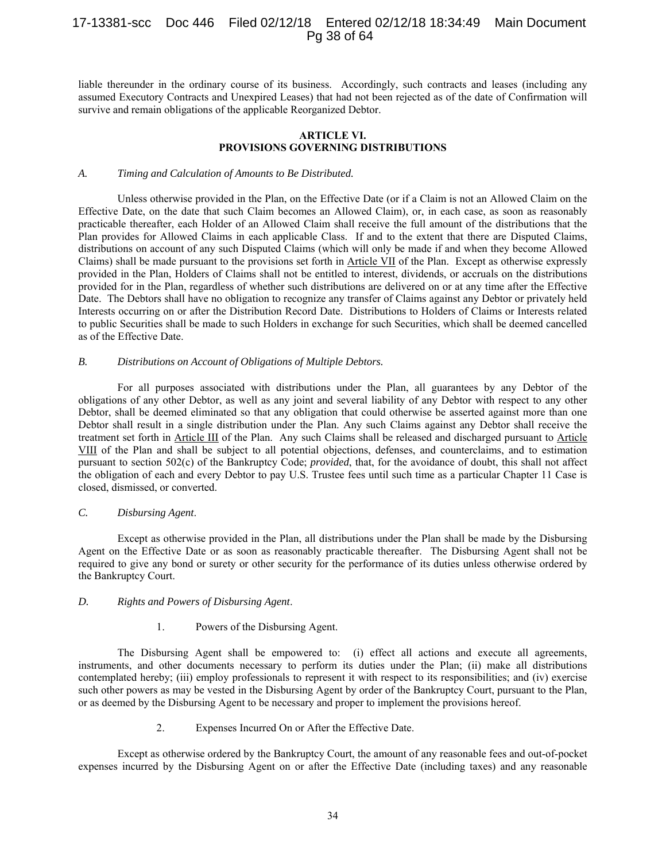# 17-13381-scc Doc 446 Filed 02/12/18 Entered 02/12/18 18:34:49 Main Document Pg 38 of 64

liable thereunder in the ordinary course of its business. Accordingly, such contracts and leases (including any assumed Executory Contracts and Unexpired Leases) that had not been rejected as of the date of Confirmation will survive and remain obligations of the applicable Reorganized Debtor.

## **ARTICLE VI. PROVISIONS GOVERNING DISTRIBUTIONS**

## *A. Timing and Calculation of Amounts to Be Distributed.*

Unless otherwise provided in the Plan, on the Effective Date (or if a Claim is not an Allowed Claim on the Effective Date, on the date that such Claim becomes an Allowed Claim), or, in each case, as soon as reasonably practicable thereafter, each Holder of an Allowed Claim shall receive the full amount of the distributions that the Plan provides for Allowed Claims in each applicable Class. If and to the extent that there are Disputed Claims, distributions on account of any such Disputed Claims (which will only be made if and when they become Allowed Claims) shall be made pursuant to the provisions set forth in Article VII of the Plan. Except as otherwise expressly provided in the Plan, Holders of Claims shall not be entitled to interest, dividends, or accruals on the distributions provided for in the Plan, regardless of whether such distributions are delivered on or at any time after the Effective Date. The Debtors shall have no obligation to recognize any transfer of Claims against any Debtor or privately held Interests occurring on or after the Distribution Record Date. Distributions to Holders of Claims or Interests related to public Securities shall be made to such Holders in exchange for such Securities, which shall be deemed cancelled as of the Effective Date.

## *B. Distributions on Account of Obligations of Multiple Debtors.*

For all purposes associated with distributions under the Plan, all guarantees by any Debtor of the obligations of any other Debtor, as well as any joint and several liability of any Debtor with respect to any other Debtor, shall be deemed eliminated so that any obligation that could otherwise be asserted against more than one Debtor shall result in a single distribution under the Plan. Any such Claims against any Debtor shall receive the treatment set forth in Article III of the Plan. Any such Claims shall be released and discharged pursuant to Article VIII of the Plan and shall be subject to all potential objections, defenses, and counterclaims, and to estimation pursuant to section 502(c) of the Bankruptcy Code; *provided*, that, for the avoidance of doubt, this shall not affect the obligation of each and every Debtor to pay U.S. Trustee fees until such time as a particular Chapter 11 Case is closed, dismissed, or converted.

#### *C. Disbursing Agent*.

Except as otherwise provided in the Plan, all distributions under the Plan shall be made by the Disbursing Agent on the Effective Date or as soon as reasonably practicable thereafter. The Disbursing Agent shall not be required to give any bond or surety or other security for the performance of its duties unless otherwise ordered by the Bankruptcy Court.

## *D. Rights and Powers of Disbursing Agent*.

## 1. Powers of the Disbursing Agent.

The Disbursing Agent shall be empowered to: (i) effect all actions and execute all agreements, instruments, and other documents necessary to perform its duties under the Plan; (ii) make all distributions contemplated hereby; (iii) employ professionals to represent it with respect to its responsibilities; and (iv) exercise such other powers as may be vested in the Disbursing Agent by order of the Bankruptcy Court, pursuant to the Plan, or as deemed by the Disbursing Agent to be necessary and proper to implement the provisions hereof.

2. Expenses Incurred On or After the Effective Date.

Except as otherwise ordered by the Bankruptcy Court, the amount of any reasonable fees and out-of-pocket expenses incurred by the Disbursing Agent on or after the Effective Date (including taxes) and any reasonable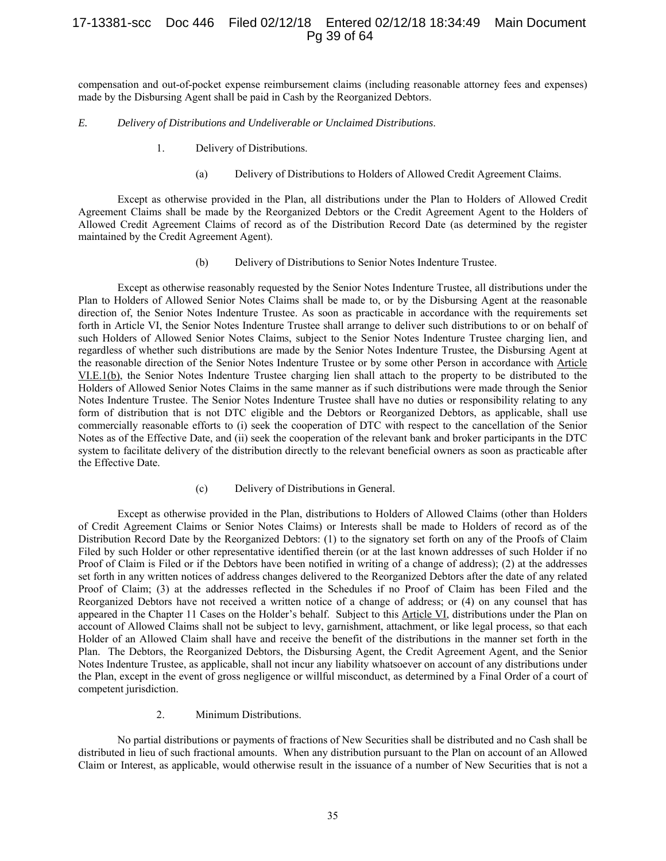# 17-13381-scc Doc 446 Filed 02/12/18 Entered 02/12/18 18:34:49 Main Document Pg 39 of 64

compensation and out-of-pocket expense reimbursement claims (including reasonable attorney fees and expenses) made by the Disbursing Agent shall be paid in Cash by the Reorganized Debtors.

#### *E. Delivery of Distributions and Undeliverable or Unclaimed Distributions*.

- 1. Delivery of Distributions.
	- (a) Delivery of Distributions to Holders of Allowed Credit Agreement Claims.

Except as otherwise provided in the Plan, all distributions under the Plan to Holders of Allowed Credit Agreement Claims shall be made by the Reorganized Debtors or the Credit Agreement Agent to the Holders of Allowed Credit Agreement Claims of record as of the Distribution Record Date (as determined by the register maintained by the Credit Agreement Agent).

(b) Delivery of Distributions to Senior Notes Indenture Trustee.

Except as otherwise reasonably requested by the Senior Notes Indenture Trustee, all distributions under the Plan to Holders of Allowed Senior Notes Claims shall be made to, or by the Disbursing Agent at the reasonable direction of, the Senior Notes Indenture Trustee. As soon as practicable in accordance with the requirements set forth in Article VI, the Senior Notes Indenture Trustee shall arrange to deliver such distributions to or on behalf of such Holders of Allowed Senior Notes Claims, subject to the Senior Notes Indenture Trustee charging lien, and regardless of whether such distributions are made by the Senior Notes Indenture Trustee, the Disbursing Agent at the reasonable direction of the Senior Notes Indenture Trustee or by some other Person in accordance with Article VI.E.1(b), the Senior Notes Indenture Trustee charging lien shall attach to the property to be distributed to the Holders of Allowed Senior Notes Claims in the same manner as if such distributions were made through the Senior Notes Indenture Trustee. The Senior Notes Indenture Trustee shall have no duties or responsibility relating to any form of distribution that is not DTC eligible and the Debtors or Reorganized Debtors, as applicable, shall use commercially reasonable efforts to (i) seek the cooperation of DTC with respect to the cancellation of the Senior Notes as of the Effective Date, and (ii) seek the cooperation of the relevant bank and broker participants in the DTC system to facilitate delivery of the distribution directly to the relevant beneficial owners as soon as practicable after the Effective Date.

(c) Delivery of Distributions in General.

Except as otherwise provided in the Plan, distributions to Holders of Allowed Claims (other than Holders of Credit Agreement Claims or Senior Notes Claims) or Interests shall be made to Holders of record as of the Distribution Record Date by the Reorganized Debtors: (1) to the signatory set forth on any of the Proofs of Claim Filed by such Holder or other representative identified therein (or at the last known addresses of such Holder if no Proof of Claim is Filed or if the Debtors have been notified in writing of a change of address); (2) at the addresses set forth in any written notices of address changes delivered to the Reorganized Debtors after the date of any related Proof of Claim; (3) at the addresses reflected in the Schedules if no Proof of Claim has been Filed and the Reorganized Debtors have not received a written notice of a change of address; or (4) on any counsel that has appeared in the Chapter 11 Cases on the Holder's behalf. Subject to this Article VI, distributions under the Plan on account of Allowed Claims shall not be subject to levy, garnishment, attachment, or like legal process, so that each Holder of an Allowed Claim shall have and receive the benefit of the distributions in the manner set forth in the Plan. The Debtors, the Reorganized Debtors, the Disbursing Agent, the Credit Agreement Agent, and the Senior Notes Indenture Trustee, as applicable, shall not incur any liability whatsoever on account of any distributions under the Plan, except in the event of gross negligence or willful misconduct, as determined by a Final Order of a court of competent jurisdiction.

2. Minimum Distributions.

No partial distributions or payments of fractions of New Securities shall be distributed and no Cash shall be distributed in lieu of such fractional amounts. When any distribution pursuant to the Plan on account of an Allowed Claim or Interest, as applicable, would otherwise result in the issuance of a number of New Securities that is not a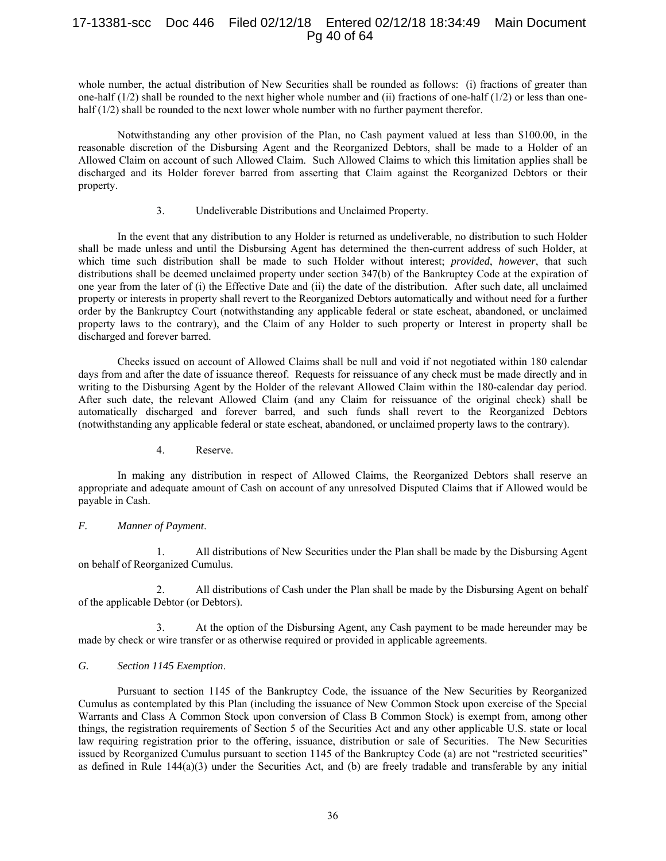# 17-13381-scc Doc 446 Filed 02/12/18 Entered 02/12/18 18:34:49 Main Document Pg 40 of 64

whole number, the actual distribution of New Securities shall be rounded as follows: (i) fractions of greater than one-half  $(1/2)$  shall be rounded to the next higher whole number and (ii) fractions of one-half  $(1/2)$  or less than onehalf (1/2) shall be rounded to the next lower whole number with no further payment therefor.

Notwithstanding any other provision of the Plan, no Cash payment valued at less than \$100.00, in the reasonable discretion of the Disbursing Agent and the Reorganized Debtors, shall be made to a Holder of an Allowed Claim on account of such Allowed Claim. Such Allowed Claims to which this limitation applies shall be discharged and its Holder forever barred from asserting that Claim against the Reorganized Debtors or their property.

### 3. Undeliverable Distributions and Unclaimed Property.

In the event that any distribution to any Holder is returned as undeliverable, no distribution to such Holder shall be made unless and until the Disbursing Agent has determined the then-current address of such Holder, at which time such distribution shall be made to such Holder without interest; *provided*, *however*, that such distributions shall be deemed unclaimed property under section 347(b) of the Bankruptcy Code at the expiration of one year from the later of (i) the Effective Date and (ii) the date of the distribution. After such date, all unclaimed property or interests in property shall revert to the Reorganized Debtors automatically and without need for a further order by the Bankruptcy Court (notwithstanding any applicable federal or state escheat, abandoned, or unclaimed property laws to the contrary), and the Claim of any Holder to such property or Interest in property shall be discharged and forever barred.

Checks issued on account of Allowed Claims shall be null and void if not negotiated within 180 calendar days from and after the date of issuance thereof. Requests for reissuance of any check must be made directly and in writing to the Disbursing Agent by the Holder of the relevant Allowed Claim within the 180-calendar day period. After such date, the relevant Allowed Claim (and any Claim for reissuance of the original check) shall be automatically discharged and forever barred, and such funds shall revert to the Reorganized Debtors (notwithstanding any applicable federal or state escheat, abandoned, or unclaimed property laws to the contrary).

## 4. Reserve.

In making any distribution in respect of Allowed Claims, the Reorganized Debtors shall reserve an appropriate and adequate amount of Cash on account of any unresolved Disputed Claims that if Allowed would be payable in Cash.

## *F. Manner of Payment*.

1. All distributions of New Securities under the Plan shall be made by the Disbursing Agent on behalf of Reorganized Cumulus.

2. All distributions of Cash under the Plan shall be made by the Disbursing Agent on behalf of the applicable Debtor (or Debtors).

3. At the option of the Disbursing Agent, any Cash payment to be made hereunder may be made by check or wire transfer or as otherwise required or provided in applicable agreements.

## *G. Section 1145 Exemption*.

Pursuant to section 1145 of the Bankruptcy Code, the issuance of the New Securities by Reorganized Cumulus as contemplated by this Plan (including the issuance of New Common Stock upon exercise of the Special Warrants and Class A Common Stock upon conversion of Class B Common Stock) is exempt from, among other things, the registration requirements of Section 5 of the Securities Act and any other applicable U.S. state or local law requiring registration prior to the offering, issuance, distribution or sale of Securities. The New Securities issued by Reorganized Cumulus pursuant to section 1145 of the Bankruptcy Code (a) are not "restricted securities" as defined in Rule 144(a)(3) under the Securities Act, and (b) are freely tradable and transferable by any initial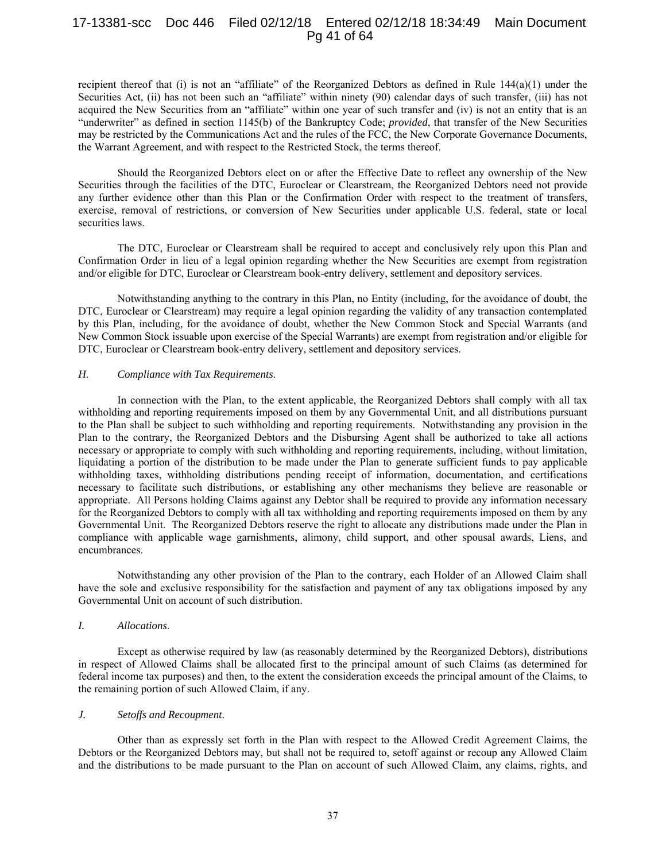# 17-13381-scc Doc 446 Filed 02/12/18 Entered 02/12/18 18:34:49 Main Document Pg 41 of 64

recipient thereof that (i) is not an "affiliate" of the Reorganized Debtors as defined in Rule 144(a)(1) under the Securities Act, (ii) has not been such an "affiliate" within ninety (90) calendar days of such transfer, (iii) has not acquired the New Securities from an "affiliate" within one year of such transfer and (iv) is not an entity that is an "underwriter" as defined in section 1145(b) of the Bankruptcy Code; *provided*, that transfer of the New Securities may be restricted by the Communications Act and the rules of the FCC, the New Corporate Governance Documents, the Warrant Agreement, and with respect to the Restricted Stock, the terms thereof.

Should the Reorganized Debtors elect on or after the Effective Date to reflect any ownership of the New Securities through the facilities of the DTC, Euroclear or Clearstream, the Reorganized Debtors need not provide any further evidence other than this Plan or the Confirmation Order with respect to the treatment of transfers, exercise, removal of restrictions, or conversion of New Securities under applicable U.S. federal, state or local securities laws.

The DTC, Euroclear or Clearstream shall be required to accept and conclusively rely upon this Plan and Confirmation Order in lieu of a legal opinion regarding whether the New Securities are exempt from registration and/or eligible for DTC, Euroclear or Clearstream book-entry delivery, settlement and depository services.

Notwithstanding anything to the contrary in this Plan, no Entity (including, for the avoidance of doubt, the DTC, Euroclear or Clearstream) may require a legal opinion regarding the validity of any transaction contemplated by this Plan, including, for the avoidance of doubt, whether the New Common Stock and Special Warrants (and New Common Stock issuable upon exercise of the Special Warrants) are exempt from registration and/or eligible for DTC, Euroclear or Clearstream book-entry delivery, settlement and depository services.

## *H. Compliance with Tax Requirements*.

In connection with the Plan, to the extent applicable, the Reorganized Debtors shall comply with all tax withholding and reporting requirements imposed on them by any Governmental Unit, and all distributions pursuant to the Plan shall be subject to such withholding and reporting requirements. Notwithstanding any provision in the Plan to the contrary, the Reorganized Debtors and the Disbursing Agent shall be authorized to take all actions necessary or appropriate to comply with such withholding and reporting requirements, including, without limitation, liquidating a portion of the distribution to be made under the Plan to generate sufficient funds to pay applicable withholding taxes, withholding distributions pending receipt of information, documentation, and certifications necessary to facilitate such distributions, or establishing any other mechanisms they believe are reasonable or appropriate. All Persons holding Claims against any Debtor shall be required to provide any information necessary for the Reorganized Debtors to comply with all tax withholding and reporting requirements imposed on them by any Governmental Unit. The Reorganized Debtors reserve the right to allocate any distributions made under the Plan in compliance with applicable wage garnishments, alimony, child support, and other spousal awards, Liens, and encumbrances.

Notwithstanding any other provision of the Plan to the contrary, each Holder of an Allowed Claim shall have the sole and exclusive responsibility for the satisfaction and payment of any tax obligations imposed by any Governmental Unit on account of such distribution.

#### *I. Allocations*.

Except as otherwise required by law (as reasonably determined by the Reorganized Debtors), distributions in respect of Allowed Claims shall be allocated first to the principal amount of such Claims (as determined for federal income tax purposes) and then, to the extent the consideration exceeds the principal amount of the Claims, to the remaining portion of such Allowed Claim, if any.

## *J. Setoffs and Recoupment*.

Other than as expressly set forth in the Plan with respect to the Allowed Credit Agreement Claims, the Debtors or the Reorganized Debtors may, but shall not be required to, setoff against or recoup any Allowed Claim and the distributions to be made pursuant to the Plan on account of such Allowed Claim, any claims, rights, and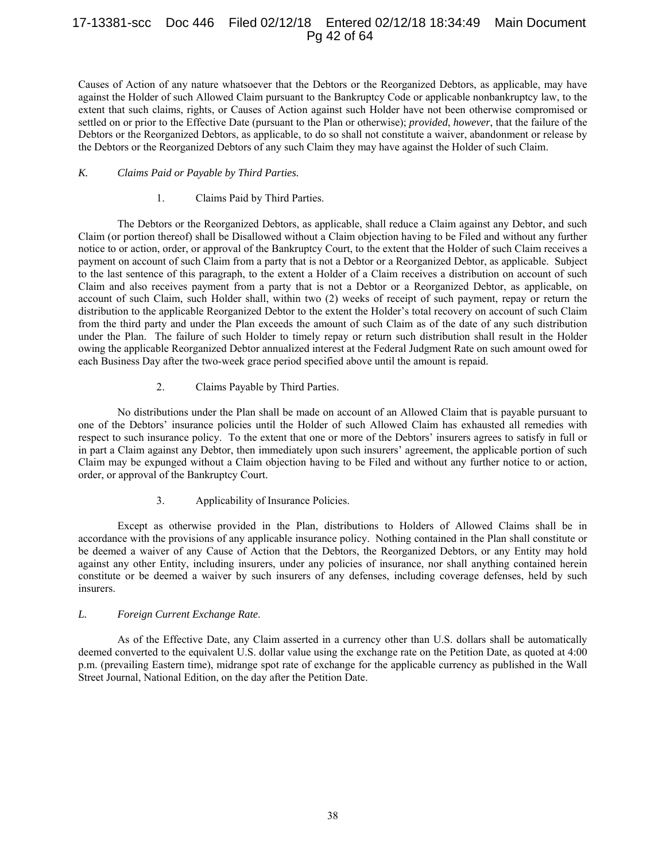# 17-13381-scc Doc 446 Filed 02/12/18 Entered 02/12/18 18:34:49 Main Document Pg 42 of 64

Causes of Action of any nature whatsoever that the Debtors or the Reorganized Debtors, as applicable, may have against the Holder of such Allowed Claim pursuant to the Bankruptcy Code or applicable nonbankruptcy law, to the extent that such claims, rights, or Causes of Action against such Holder have not been otherwise compromised or settled on or prior to the Effective Date (pursuant to the Plan or otherwise); *provided*, *however*, that the failure of the Debtors or the Reorganized Debtors, as applicable, to do so shall not constitute a waiver, abandonment or release by the Debtors or the Reorganized Debtors of any such Claim they may have against the Holder of such Claim.

## *K. Claims Paid or Payable by Third Parties.*

## 1. Claims Paid by Third Parties.

The Debtors or the Reorganized Debtors, as applicable, shall reduce a Claim against any Debtor, and such Claim (or portion thereof) shall be Disallowed without a Claim objection having to be Filed and without any further notice to or action, order, or approval of the Bankruptcy Court, to the extent that the Holder of such Claim receives a payment on account of such Claim from a party that is not a Debtor or a Reorganized Debtor, as applicable. Subject to the last sentence of this paragraph, to the extent a Holder of a Claim receives a distribution on account of such Claim and also receives payment from a party that is not a Debtor or a Reorganized Debtor, as applicable, on account of such Claim, such Holder shall, within two (2) weeks of receipt of such payment, repay or return the distribution to the applicable Reorganized Debtor to the extent the Holder's total recovery on account of such Claim from the third party and under the Plan exceeds the amount of such Claim as of the date of any such distribution under the Plan. The failure of such Holder to timely repay or return such distribution shall result in the Holder owing the applicable Reorganized Debtor annualized interest at the Federal Judgment Rate on such amount owed for each Business Day after the two-week grace period specified above until the amount is repaid.

## 2. Claims Payable by Third Parties.

No distributions under the Plan shall be made on account of an Allowed Claim that is payable pursuant to one of the Debtors' insurance policies until the Holder of such Allowed Claim has exhausted all remedies with respect to such insurance policy. To the extent that one or more of the Debtors' insurers agrees to satisfy in full or in part a Claim against any Debtor, then immediately upon such insurers' agreement, the applicable portion of such Claim may be expunged without a Claim objection having to be Filed and without any further notice to or action, order, or approval of the Bankruptcy Court.

## 3. Applicability of Insurance Policies.

Except as otherwise provided in the Plan, distributions to Holders of Allowed Claims shall be in accordance with the provisions of any applicable insurance policy. Nothing contained in the Plan shall constitute or be deemed a waiver of any Cause of Action that the Debtors, the Reorganized Debtors, or any Entity may hold against any other Entity, including insurers, under any policies of insurance, nor shall anything contained herein constitute or be deemed a waiver by such insurers of any defenses, including coverage defenses, held by such insurers.

## *L. Foreign Current Exchange Rate*.

As of the Effective Date, any Claim asserted in a currency other than U.S. dollars shall be automatically deemed converted to the equivalent U.S. dollar value using the exchange rate on the Petition Date, as quoted at 4:00 p.m. (prevailing Eastern time), midrange spot rate of exchange for the applicable currency as published in the Wall Street Journal, National Edition, on the day after the Petition Date.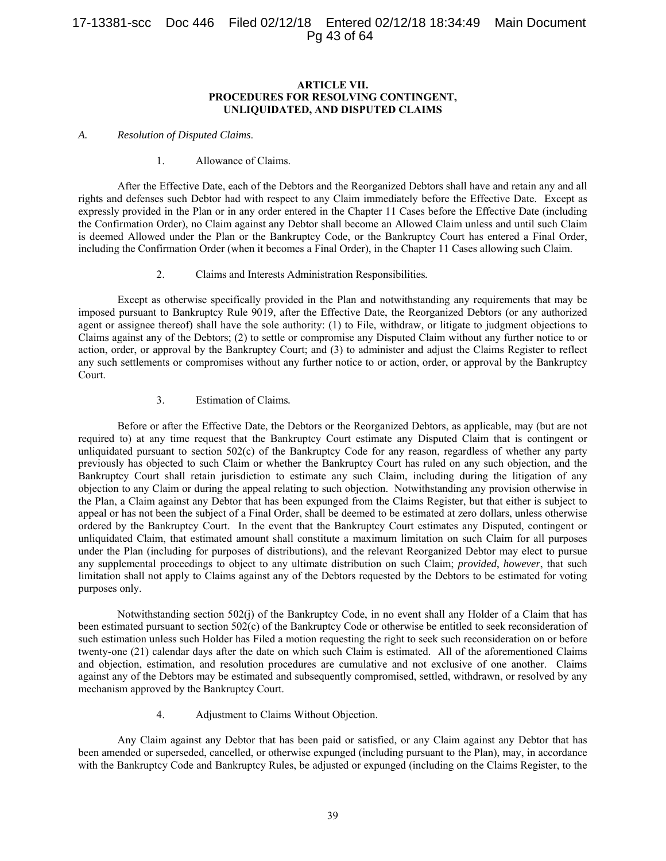# 17-13381-scc Doc 446 Filed 02/12/18 Entered 02/12/18 18:34:49 Main Document Pg 43 of 64

## **ARTICLE VII. PROCEDURES FOR RESOLVING CONTINGENT, UNLIQUIDATED, AND DISPUTED CLAIMS**

#### *A. Resolution of Disputed Claims*.

## 1. Allowance of Claims.

After the Effective Date, each of the Debtors and the Reorganized Debtors shall have and retain any and all rights and defenses such Debtor had with respect to any Claim immediately before the Effective Date. Except as expressly provided in the Plan or in any order entered in the Chapter 11 Cases before the Effective Date (including the Confirmation Order), no Claim against any Debtor shall become an Allowed Claim unless and until such Claim is deemed Allowed under the Plan or the Bankruptcy Code, or the Bankruptcy Court has entered a Final Order, including the Confirmation Order (when it becomes a Final Order), in the Chapter 11 Cases allowing such Claim.

2. Claims and Interests Administration Responsibilities*.*

Except as otherwise specifically provided in the Plan and notwithstanding any requirements that may be imposed pursuant to Bankruptcy Rule 9019, after the Effective Date, the Reorganized Debtors (or any authorized agent or assignee thereof) shall have the sole authority: (1) to File, withdraw, or litigate to judgment objections to Claims against any of the Debtors; (2) to settle or compromise any Disputed Claim without any further notice to or action, order, or approval by the Bankruptcy Court; and (3) to administer and adjust the Claims Register to reflect any such settlements or compromises without any further notice to or action, order, or approval by the Bankruptcy Court.

## 3. Estimation of Claims*.*

Before or after the Effective Date, the Debtors or the Reorganized Debtors, as applicable, may (but are not required to) at any time request that the Bankruptcy Court estimate any Disputed Claim that is contingent or unliquidated pursuant to section 502(c) of the Bankruptcy Code for any reason, regardless of whether any party previously has objected to such Claim or whether the Bankruptcy Court has ruled on any such objection, and the Bankruptcy Court shall retain jurisdiction to estimate any such Claim, including during the litigation of any objection to any Claim or during the appeal relating to such objection. Notwithstanding any provision otherwise in the Plan, a Claim against any Debtor that has been expunged from the Claims Register, but that either is subject to appeal or has not been the subject of a Final Order, shall be deemed to be estimated at zero dollars, unless otherwise ordered by the Bankruptcy Court. In the event that the Bankruptcy Court estimates any Disputed, contingent or unliquidated Claim, that estimated amount shall constitute a maximum limitation on such Claim for all purposes under the Plan (including for purposes of distributions), and the relevant Reorganized Debtor may elect to pursue any supplemental proceedings to object to any ultimate distribution on such Claim; *provided*, *however*, that such limitation shall not apply to Claims against any of the Debtors requested by the Debtors to be estimated for voting purposes only.

Notwithstanding section 502(j) of the Bankruptcy Code, in no event shall any Holder of a Claim that has been estimated pursuant to section 502(c) of the Bankruptcy Code or otherwise be entitled to seek reconsideration of such estimation unless such Holder has Filed a motion requesting the right to seek such reconsideration on or before twenty-one (21) calendar days after the date on which such Claim is estimated. All of the aforementioned Claims and objection, estimation, and resolution procedures are cumulative and not exclusive of one another. Claims against any of the Debtors may be estimated and subsequently compromised, settled, withdrawn, or resolved by any mechanism approved by the Bankruptcy Court.

4. Adjustment to Claims Without Objection.

Any Claim against any Debtor that has been paid or satisfied, or any Claim against any Debtor that has been amended or superseded, cancelled, or otherwise expunged (including pursuant to the Plan), may, in accordance with the Bankruptcy Code and Bankruptcy Rules, be adjusted or expunged (including on the Claims Register, to the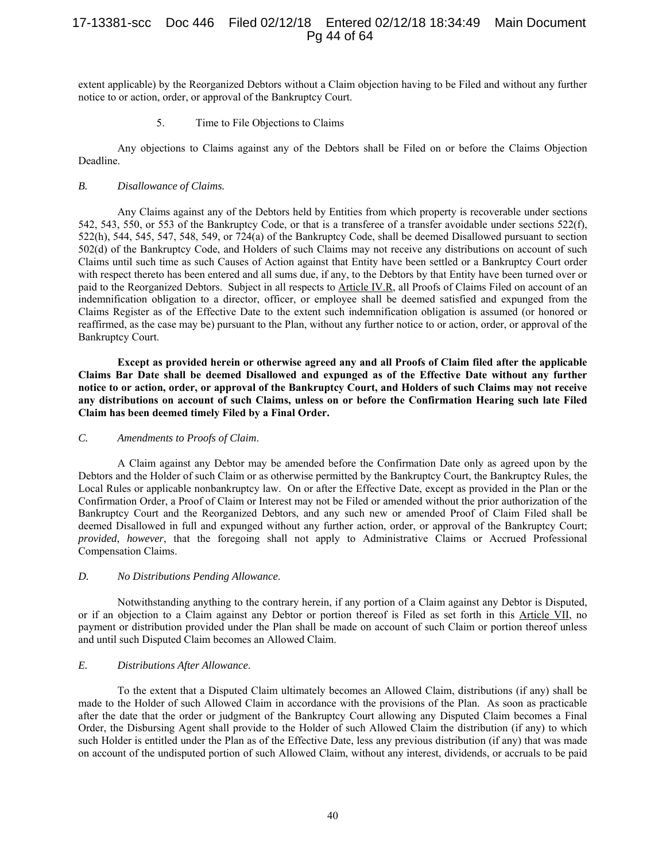# 17-13381-scc Doc 446 Filed 02/12/18 Entered 02/12/18 18:34:49 Main Document Pg 44 of 64

extent applicable) by the Reorganized Debtors without a Claim objection having to be Filed and without any further notice to or action, order, or approval of the Bankruptcy Court.

5. Time to File Objections to Claims

Any objections to Claims against any of the Debtors shall be Filed on or before the Claims Objection Deadline.

## *B. Disallowance of Claims.*

Any Claims against any of the Debtors held by Entities from which property is recoverable under sections 542, 543, 550, or 553 of the Bankruptcy Code, or that is a transferee of a transfer avoidable under sections 522(f), 522(h), 544, 545, 547, 548, 549, or 724(a) of the Bankruptcy Code, shall be deemed Disallowed pursuant to section 502(d) of the Bankruptcy Code, and Holders of such Claims may not receive any distributions on account of such Claims until such time as such Causes of Action against that Entity have been settled or a Bankruptcy Court order with respect thereto has been entered and all sums due, if any, to the Debtors by that Entity have been turned over or paid to the Reorganized Debtors. Subject in all respects to Article IV.R, all Proofs of Claims Filed on account of an indemnification obligation to a director, officer, or employee shall be deemed satisfied and expunged from the Claims Register as of the Effective Date to the extent such indemnification obligation is assumed (or honored or reaffirmed, as the case may be) pursuant to the Plan, without any further notice to or action, order, or approval of the Bankruptcy Court.

**Except as provided herein or otherwise agreed any and all Proofs of Claim filed after the applicable Claims Bar Date shall be deemed Disallowed and expunged as of the Effective Date without any further notice to or action, order, or approval of the Bankruptcy Court, and Holders of such Claims may not receive any distributions on account of such Claims, unless on or before the Confirmation Hearing such late Filed Claim has been deemed timely Filed by a Final Order.** 

#### *C. Amendments to Proofs of Claim*.

A Claim against any Debtor may be amended before the Confirmation Date only as agreed upon by the Debtors and the Holder of such Claim or as otherwise permitted by the Bankruptcy Court, the Bankruptcy Rules, the Local Rules or applicable nonbankruptcy law. On or after the Effective Date, except as provided in the Plan or the Confirmation Order, a Proof of Claim or Interest may not be Filed or amended without the prior authorization of the Bankruptcy Court and the Reorganized Debtors, and any such new or amended Proof of Claim Filed shall be deemed Disallowed in full and expunged without any further action, order, or approval of the Bankruptcy Court; *provided*, *however*, that the foregoing shall not apply to Administrative Claims or Accrued Professional Compensation Claims.

#### *D. No Distributions Pending Allowance*.

Notwithstanding anything to the contrary herein, if any portion of a Claim against any Debtor is Disputed, or if an objection to a Claim against any Debtor or portion thereof is Filed as set forth in this Article VII, no payment or distribution provided under the Plan shall be made on account of such Claim or portion thereof unless and until such Disputed Claim becomes an Allowed Claim.

# *E. Distributions After Allowance*.

To the extent that a Disputed Claim ultimately becomes an Allowed Claim, distributions (if any) shall be made to the Holder of such Allowed Claim in accordance with the provisions of the Plan. As soon as practicable after the date that the order or judgment of the Bankruptcy Court allowing any Disputed Claim becomes a Final Order, the Disbursing Agent shall provide to the Holder of such Allowed Claim the distribution (if any) to which such Holder is entitled under the Plan as of the Effective Date, less any previous distribution (if any) that was made on account of the undisputed portion of such Allowed Claim, without any interest, dividends, or accruals to be paid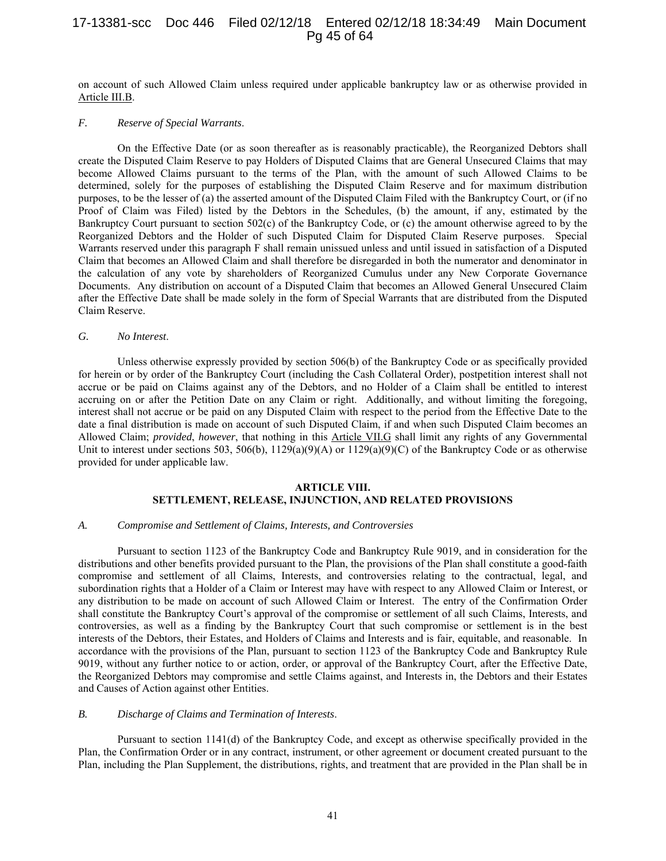# 17-13381-scc Doc 446 Filed 02/12/18 Entered 02/12/18 18:34:49 Main Document Pg 45 of 64

on account of such Allowed Claim unless required under applicable bankruptcy law or as otherwise provided in Article III.B.

## *F. Reserve of Special Warrants*.

On the Effective Date (or as soon thereafter as is reasonably practicable), the Reorganized Debtors shall create the Disputed Claim Reserve to pay Holders of Disputed Claims that are General Unsecured Claims that may become Allowed Claims pursuant to the terms of the Plan, with the amount of such Allowed Claims to be determined, solely for the purposes of establishing the Disputed Claim Reserve and for maximum distribution purposes, to be the lesser of (a) the asserted amount of the Disputed Claim Filed with the Bankruptcy Court, or (if no Proof of Claim was Filed) listed by the Debtors in the Schedules, (b) the amount, if any, estimated by the Bankruptcy Court pursuant to section 502(c) of the Bankruptcy Code, or (c) the amount otherwise agreed to by the Reorganized Debtors and the Holder of such Disputed Claim for Disputed Claim Reserve purposes. Special Warrants reserved under this paragraph F shall remain unissued unless and until issued in satisfaction of a Disputed Claim that becomes an Allowed Claim and shall therefore be disregarded in both the numerator and denominator in the calculation of any vote by shareholders of Reorganized Cumulus under any New Corporate Governance Documents. Any distribution on account of a Disputed Claim that becomes an Allowed General Unsecured Claim after the Effective Date shall be made solely in the form of Special Warrants that are distributed from the Disputed Claim Reserve.

#### *G. No Interest*.

Unless otherwise expressly provided by section 506(b) of the Bankruptcy Code or as specifically provided for herein or by order of the Bankruptcy Court (including the Cash Collateral Order), postpetition interest shall not accrue or be paid on Claims against any of the Debtors, and no Holder of a Claim shall be entitled to interest accruing on or after the Petition Date on any Claim or right. Additionally, and without limiting the foregoing, interest shall not accrue or be paid on any Disputed Claim with respect to the period from the Effective Date to the date a final distribution is made on account of such Disputed Claim, if and when such Disputed Claim becomes an Allowed Claim; *provided*, *however*, that nothing in this Article VII.G shall limit any rights of any Governmental Unit to interest under sections 503, 506(b),  $1129(a)(9)(A)$  or  $1129(a)(9)(C)$  of the Bankruptcy Code or as otherwise provided for under applicable law.

## **ARTICLE VIII. SETTLEMENT, RELEASE, INJUNCTION, AND RELATED PROVISIONS**

#### *A. Compromise and Settlement of Claims, Interests, and Controversies*

Pursuant to section 1123 of the Bankruptcy Code and Bankruptcy Rule 9019, and in consideration for the distributions and other benefits provided pursuant to the Plan, the provisions of the Plan shall constitute a good-faith compromise and settlement of all Claims, Interests, and controversies relating to the contractual, legal, and subordination rights that a Holder of a Claim or Interest may have with respect to any Allowed Claim or Interest, or any distribution to be made on account of such Allowed Claim or Interest. The entry of the Confirmation Order shall constitute the Bankruptcy Court's approval of the compromise or settlement of all such Claims, Interests, and controversies, as well as a finding by the Bankruptcy Court that such compromise or settlement is in the best interests of the Debtors, their Estates, and Holders of Claims and Interests and is fair, equitable, and reasonable. In accordance with the provisions of the Plan, pursuant to section 1123 of the Bankruptcy Code and Bankruptcy Rule 9019, without any further notice to or action, order, or approval of the Bankruptcy Court, after the Effective Date, the Reorganized Debtors may compromise and settle Claims against, and Interests in, the Debtors and their Estates and Causes of Action against other Entities.

#### *B. Discharge of Claims and Termination of Interests*.

Pursuant to section 1141(d) of the Bankruptcy Code, and except as otherwise specifically provided in the Plan, the Confirmation Order or in any contract, instrument, or other agreement or document created pursuant to the Plan, including the Plan Supplement, the distributions, rights, and treatment that are provided in the Plan shall be in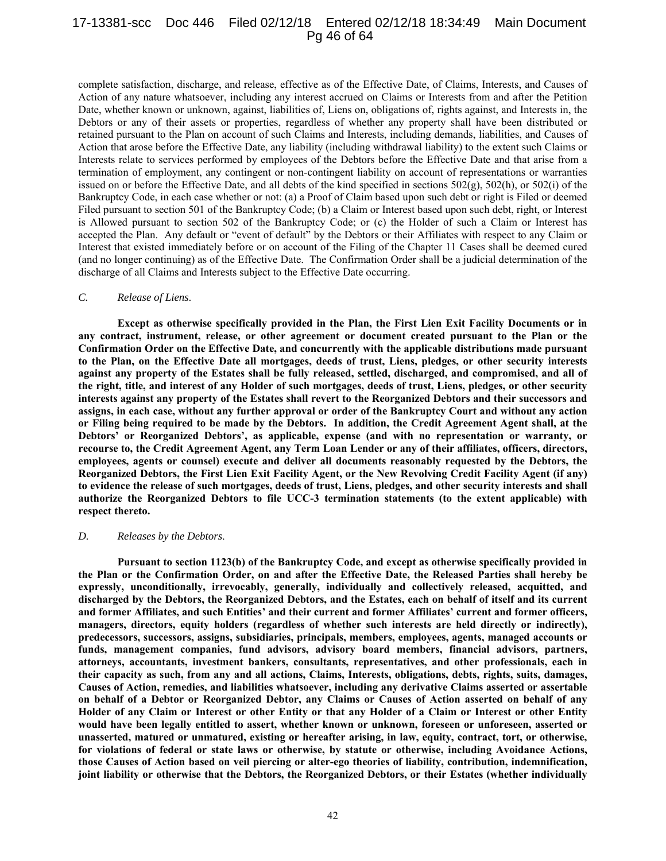# 17-13381-scc Doc 446 Filed 02/12/18 Entered 02/12/18 18:34:49 Main Document Pg 46 of 64

complete satisfaction, discharge, and release, effective as of the Effective Date, of Claims, Interests, and Causes of Action of any nature whatsoever, including any interest accrued on Claims or Interests from and after the Petition Date, whether known or unknown, against, liabilities of, Liens on, obligations of, rights against, and Interests in, the Debtors or any of their assets or properties, regardless of whether any property shall have been distributed or retained pursuant to the Plan on account of such Claims and Interests, including demands, liabilities, and Causes of Action that arose before the Effective Date, any liability (including withdrawal liability) to the extent such Claims or Interests relate to services performed by employees of the Debtors before the Effective Date and that arise from a termination of employment, any contingent or non-contingent liability on account of representations or warranties issued on or before the Effective Date, and all debts of the kind specified in sections  $502(g)$ ,  $502(h)$ , or  $502(i)$  of the Bankruptcy Code, in each case whether or not: (a) a Proof of Claim based upon such debt or right is Filed or deemed Filed pursuant to section 501 of the Bankruptcy Code; (b) a Claim or Interest based upon such debt, right, or Interest is Allowed pursuant to section 502 of the Bankruptcy Code; or (c) the Holder of such a Claim or Interest has accepted the Plan. Any default or "event of default" by the Debtors or their Affiliates with respect to any Claim or Interest that existed immediately before or on account of the Filing of the Chapter 11 Cases shall be deemed cured (and no longer continuing) as of the Effective Date. The Confirmation Order shall be a judicial determination of the discharge of all Claims and Interests subject to the Effective Date occurring.

#### *C. Release of Liens*.

**Except as otherwise specifically provided in the Plan, the First Lien Exit Facility Documents or in any contract, instrument, release, or other agreement or document created pursuant to the Plan or the Confirmation Order on the Effective Date, and concurrently with the applicable distributions made pursuant to the Plan, on the Effective Date all mortgages, deeds of trust, Liens, pledges, or other security interests against any property of the Estates shall be fully released, settled, discharged, and compromised, and all of the right, title, and interest of any Holder of such mortgages, deeds of trust, Liens, pledges, or other security interests against any property of the Estates shall revert to the Reorganized Debtors and their successors and assigns, in each case, without any further approval or order of the Bankruptcy Court and without any action or Filing being required to be made by the Debtors. In addition, the Credit Agreement Agent shall, at the Debtors' or Reorganized Debtors', as applicable, expense (and with no representation or warranty, or recourse to, the Credit Agreement Agent, any Term Loan Lender or any of their affiliates, officers, directors, employees, agents or counsel) execute and deliver all documents reasonably requested by the Debtors, the Reorganized Debtors, the First Lien Exit Facility Agent, or the New Revolving Credit Facility Agent (if any) to evidence the release of such mortgages, deeds of trust, Liens, pledges, and other security interests and shall authorize the Reorganized Debtors to file UCC-3 termination statements (to the extent applicable) with respect thereto.** 

#### *D. Releases by the Debtors*.

**Pursuant to section 1123(b) of the Bankruptcy Code, and except as otherwise specifically provided in the Plan or the Confirmation Order, on and after the Effective Date, the Released Parties shall hereby be expressly, unconditionally, irrevocably, generally, individually and collectively released, acquitted, and discharged by the Debtors, the Reorganized Debtors, and the Estates, each on behalf of itself and its current and former Affiliates, and such Entities' and their current and former Affiliates' current and former officers, managers, directors, equity holders (regardless of whether such interests are held directly or indirectly), predecessors, successors, assigns, subsidiaries, principals, members, employees, agents, managed accounts or funds, management companies, fund advisors, advisory board members, financial advisors, partners, attorneys, accountants, investment bankers, consultants, representatives, and other professionals, each in their capacity as such, from any and all actions, Claims, Interests, obligations, debts, rights, suits, damages, Causes of Action, remedies, and liabilities whatsoever, including any derivative Claims asserted or assertable on behalf of a Debtor or Reorganized Debtor, any Claims or Causes of Action asserted on behalf of any Holder of any Claim or Interest or other Entity or that any Holder of a Claim or Interest or other Entity would have been legally entitled to assert, whether known or unknown, foreseen or unforeseen, asserted or unasserted, matured or unmatured, existing or hereafter arising, in law, equity, contract, tort, or otherwise, for violations of federal or state laws or otherwise, by statute or otherwise, including Avoidance Actions, those Causes of Action based on veil piercing or alter-ego theories of liability, contribution, indemnification, joint liability or otherwise that the Debtors, the Reorganized Debtors, or their Estates (whether individually**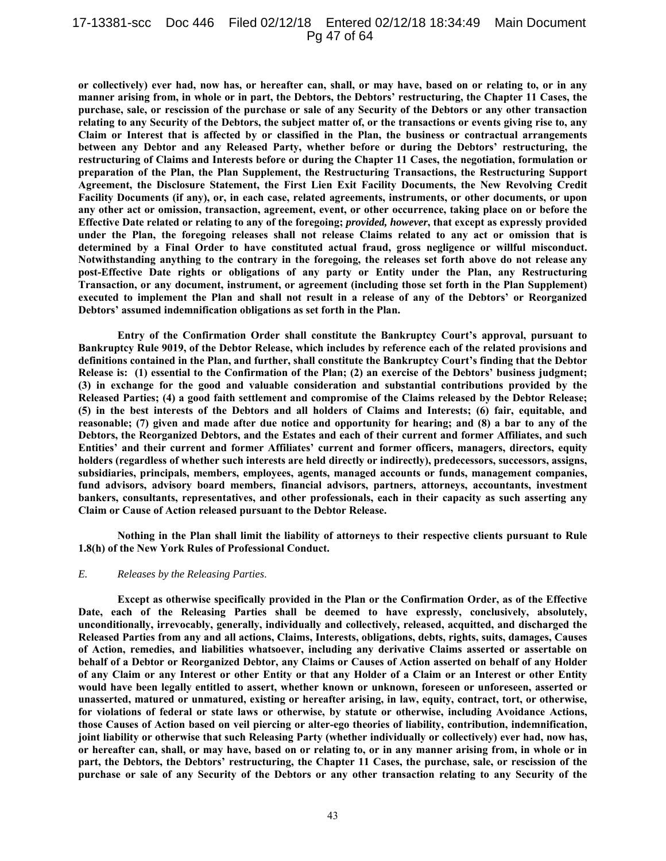## 17-13381-scc Doc 446 Filed 02/12/18 Entered 02/12/18 18:34:49 Main Document Pg 47 of 64

**or collectively) ever had, now has, or hereafter can, shall, or may have, based on or relating to, or in any manner arising from, in whole or in part, the Debtors, the Debtors' restructuring, the Chapter 11 Cases, the purchase, sale, or rescission of the purchase or sale of any Security of the Debtors or any other transaction relating to any Security of the Debtors, the subject matter of, or the transactions or events giving rise to, any Claim or Interest that is affected by or classified in the Plan, the business or contractual arrangements between any Debtor and any Released Party, whether before or during the Debtors' restructuring, the restructuring of Claims and Interests before or during the Chapter 11 Cases, the negotiation, formulation or preparation of the Plan, the Plan Supplement, the Restructuring Transactions, the Restructuring Support Agreement, the Disclosure Statement, the First Lien Exit Facility Documents, the New Revolving Credit Facility Documents (if any), or, in each case, related agreements, instruments, or other documents, or upon any other act or omission, transaction, agreement, event, or other occurrence, taking place on or before the Effective Date related or relating to any of the foregoing;** *provided, however***, that except as expressly provided under the Plan, the foregoing releases shall not release Claims related to any act or omission that is determined by a Final Order to have constituted actual fraud, gross negligence or willful misconduct. Notwithstanding anything to the contrary in the foregoing, the releases set forth above do not release any post-Effective Date rights or obligations of any party or Entity under the Plan, any Restructuring Transaction, or any document, instrument, or agreement (including those set forth in the Plan Supplement) executed to implement the Plan and shall not result in a release of any of the Debtors' or Reorganized Debtors' assumed indemnification obligations as set forth in the Plan.** 

**Entry of the Confirmation Order shall constitute the Bankruptcy Court's approval, pursuant to Bankruptcy Rule 9019, of the Debtor Release, which includes by reference each of the related provisions and definitions contained in the Plan, and further, shall constitute the Bankruptcy Court's finding that the Debtor Release is: (1) essential to the Confirmation of the Plan; (2) an exercise of the Debtors' business judgment; (3) in exchange for the good and valuable consideration and substantial contributions provided by the Released Parties; (4) a good faith settlement and compromise of the Claims released by the Debtor Release; (5) in the best interests of the Debtors and all holders of Claims and Interests; (6) fair, equitable, and reasonable; (7) given and made after due notice and opportunity for hearing; and (8) a bar to any of the Debtors, the Reorganized Debtors, and the Estates and each of their current and former Affiliates, and such Entities' and their current and former Affiliates' current and former officers, managers, directors, equity holders (regardless of whether such interests are held directly or indirectly), predecessors, successors, assigns, subsidiaries, principals, members, employees, agents, managed accounts or funds, management companies, fund advisors, advisory board members, financial advisors, partners, attorneys, accountants, investment bankers, consultants, representatives, and other professionals, each in their capacity as such asserting any Claim or Cause of Action released pursuant to the Debtor Release.** 

**Nothing in the Plan shall limit the liability of attorneys to their respective clients pursuant to Rule 1.8(h) of the New York Rules of Professional Conduct.** 

#### *E. Releases by the Releasing Parties*.

**Except as otherwise specifically provided in the Plan or the Confirmation Order, as of the Effective Date, each of the Releasing Parties shall be deemed to have expressly, conclusively, absolutely, unconditionally, irrevocably, generally, individually and collectively, released, acquitted, and discharged the Released Parties from any and all actions, Claims, Interests, obligations, debts, rights, suits, damages, Causes of Action, remedies, and liabilities whatsoever, including any derivative Claims asserted or assertable on behalf of a Debtor or Reorganized Debtor, any Claims or Causes of Action asserted on behalf of any Holder of any Claim or any Interest or other Entity or that any Holder of a Claim or an Interest or other Entity would have been legally entitled to assert, whether known or unknown, foreseen or unforeseen, asserted or unasserted, matured or unmatured, existing or hereafter arising, in law, equity, contract, tort, or otherwise, for violations of federal or state laws or otherwise, by statute or otherwise, including Avoidance Actions, those Causes of Action based on veil piercing or alter-ego theories of liability, contribution, indemnification, joint liability or otherwise that such Releasing Party (whether individually or collectively) ever had, now has, or hereafter can, shall, or may have, based on or relating to, or in any manner arising from, in whole or in part, the Debtors, the Debtors' restructuring, the Chapter 11 Cases, the purchase, sale, or rescission of the purchase or sale of any Security of the Debtors or any other transaction relating to any Security of the**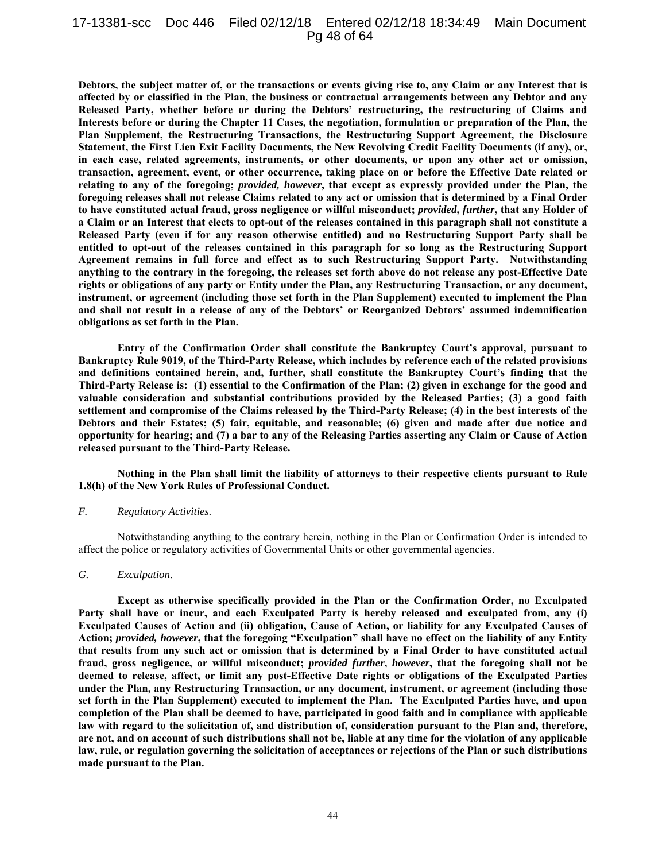## 17-13381-scc Doc 446 Filed 02/12/18 Entered 02/12/18 18:34:49 Main Document Pg 48 of 64

**Debtors, the subject matter of, or the transactions or events giving rise to, any Claim or any Interest that is affected by or classified in the Plan, the business or contractual arrangements between any Debtor and any Released Party, whether before or during the Debtors' restructuring, the restructuring of Claims and Interests before or during the Chapter 11 Cases, the negotiation, formulation or preparation of the Plan, the Plan Supplement, the Restructuring Transactions, the Restructuring Support Agreement, the Disclosure Statement, the First Lien Exit Facility Documents, the New Revolving Credit Facility Documents (if any), or, in each case, related agreements, instruments, or other documents, or upon any other act or omission, transaction, agreement, event, or other occurrence, taking place on or before the Effective Date related or relating to any of the foregoing;** *provided, however***, that except as expressly provided under the Plan, the foregoing releases shall not release Claims related to any act or omission that is determined by a Final Order to have constituted actual fraud, gross negligence or willful misconduct;** *provided***,** *further***, that any Holder of a Claim or an Interest that elects to opt-out of the releases contained in this paragraph shall not constitute a Released Party (even if for any reason otherwise entitled) and no Restructuring Support Party shall be entitled to opt-out of the releases contained in this paragraph for so long as the Restructuring Support Agreement remains in full force and effect as to such Restructuring Support Party. Notwithstanding anything to the contrary in the foregoing, the releases set forth above do not release any post-Effective Date rights or obligations of any party or Entity under the Plan, any Restructuring Transaction, or any document, instrument, or agreement (including those set forth in the Plan Supplement) executed to implement the Plan and shall not result in a release of any of the Debtors' or Reorganized Debtors' assumed indemnification obligations as set forth in the Plan.** 

**Entry of the Confirmation Order shall constitute the Bankruptcy Court's approval, pursuant to Bankruptcy Rule 9019, of the Third-Party Release, which includes by reference each of the related provisions and definitions contained herein, and, further, shall constitute the Bankruptcy Court's finding that the Third-Party Release is: (1) essential to the Confirmation of the Plan; (2) given in exchange for the good and valuable consideration and substantial contributions provided by the Released Parties; (3) a good faith settlement and compromise of the Claims released by the Third-Party Release; (4) in the best interests of the Debtors and their Estates; (5) fair, equitable, and reasonable; (6) given and made after due notice and opportunity for hearing; and (7) a bar to any of the Releasing Parties asserting any Claim or Cause of Action released pursuant to the Third-Party Release.** 

**Nothing in the Plan shall limit the liability of attorneys to their respective clients pursuant to Rule 1.8(h) of the New York Rules of Professional Conduct.** 

#### *F. Regulatory Activities*.

Notwithstanding anything to the contrary herein, nothing in the Plan or Confirmation Order is intended to affect the police or regulatory activities of Governmental Units or other governmental agencies.

## *G. Exculpation*.

**Except as otherwise specifically provided in the Plan or the Confirmation Order, no Exculpated Party shall have or incur, and each Exculpated Party is hereby released and exculpated from, any (i) Exculpated Causes of Action and (ii) obligation, Cause of Action, or liability for any Exculpated Causes of Action;** *provided, however***, that the foregoing "Exculpation" shall have no effect on the liability of any Entity that results from any such act or omission that is determined by a Final Order to have constituted actual fraud, gross negligence, or willful misconduct;** *provided further***,** *however***, that the foregoing shall not be deemed to release, affect, or limit any post-Effective Date rights or obligations of the Exculpated Parties under the Plan, any Restructuring Transaction, or any document, instrument, or agreement (including those set forth in the Plan Supplement) executed to implement the Plan. The Exculpated Parties have, and upon completion of the Plan shall be deemed to have, participated in good faith and in compliance with applicable law with regard to the solicitation of, and distribution of, consideration pursuant to the Plan and, therefore, are not, and on account of such distributions shall not be, liable at any time for the violation of any applicable law, rule, or regulation governing the solicitation of acceptances or rejections of the Plan or such distributions made pursuant to the Plan.**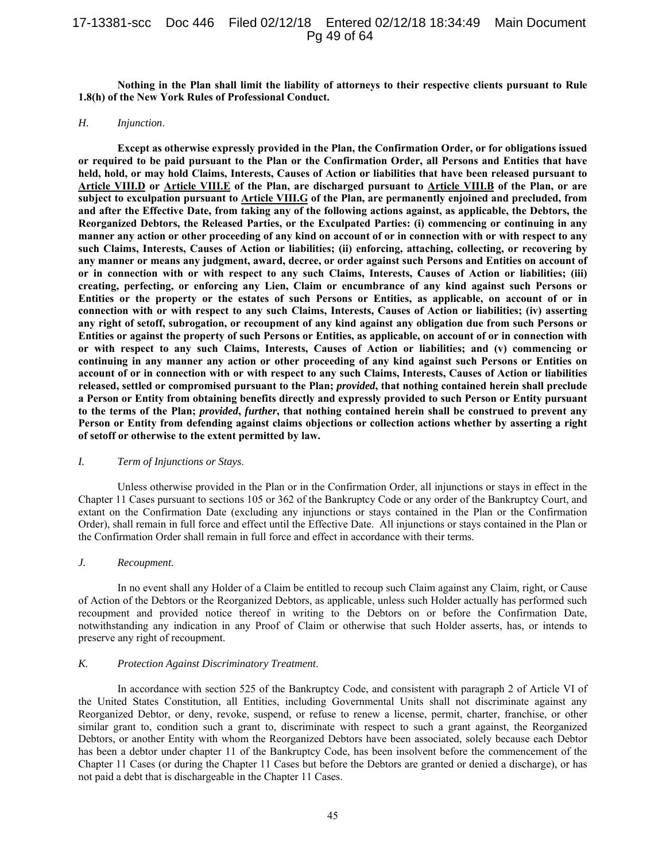# 17-13381-scc Doc 446 Filed 02/12/18 Entered 02/12/18 18:34:49 Main Document Pg 49 of 64

**Nothing in the Plan shall limit the liability of attorneys to their respective clients pursuant to Rule 1.8(h) of the New York Rules of Professional Conduct.** 

#### *H. Injunction*.

**Except as otherwise expressly provided in the Plan, the Confirmation Order, or for obligations issued or required to be paid pursuant to the Plan or the Confirmation Order, all Persons and Entities that have held, hold, or may hold Claims, Interests, Causes of Action or liabilities that have been released pursuant to Article VIII.D or Article VIII.E of the Plan, are discharged pursuant to Article VIII.B of the Plan, or are subject to exculpation pursuant to Article VIII.G of the Plan, are permanently enjoined and precluded, from and after the Effective Date, from taking any of the following actions against, as applicable, the Debtors, the Reorganized Debtors, the Released Parties, or the Exculpated Parties: (i) commencing or continuing in any manner any action or other proceeding of any kind on account of or in connection with or with respect to any such Claims, Interests, Causes of Action or liabilities; (ii) enforcing, attaching, collecting, or recovering by any manner or means any judgment, award, decree, or order against such Persons and Entities on account of or in connection with or with respect to any such Claims, Interests, Causes of Action or liabilities; (iii) creating, perfecting, or enforcing any Lien, Claim or encumbrance of any kind against such Persons or Entities or the property or the estates of such Persons or Entities, as applicable, on account of or in connection with or with respect to any such Claims, Interests, Causes of Action or liabilities; (iv) asserting any right of setoff, subrogation, or recoupment of any kind against any obligation due from such Persons or Entities or against the property of such Persons or Entities, as applicable, on account of or in connection with or with respect to any such Claims, Interests, Causes of Action or liabilities; and (v) commencing or continuing in any manner any action or other proceeding of any kind against such Persons or Entities on account of or in connection with or with respect to any such Claims, Interests, Causes of Action or liabilities released, settled or compromised pursuant to the Plan;** *provided***, that nothing contained herein shall preclude a Person or Entity from obtaining benefits directly and expressly provided to such Person or Entity pursuant to the terms of the Plan;** *provided***,** *further***, that nothing contained herein shall be construed to prevent any Person or Entity from defending against claims objections or collection actions whether by asserting a right of setoff or otherwise to the extent permitted by law.** 

#### *I. Term of Injunctions or Stays*.

Unless otherwise provided in the Plan or in the Confirmation Order, all injunctions or stays in effect in the Chapter 11 Cases pursuant to sections 105 or 362 of the Bankruptcy Code or any order of the Bankruptcy Court, and extant on the Confirmation Date (excluding any injunctions or stays contained in the Plan or the Confirmation Order), shall remain in full force and effect until the Effective Date. All injunctions or stays contained in the Plan or the Confirmation Order shall remain in full force and effect in accordance with their terms.

## *J. Recoupment*.

In no event shall any Holder of a Claim be entitled to recoup such Claim against any Claim, right, or Cause of Action of the Debtors or the Reorganized Debtors, as applicable, unless such Holder actually has performed such recoupment and provided notice thereof in writing to the Debtors on or before the Confirmation Date, notwithstanding any indication in any Proof of Claim or otherwise that such Holder asserts, has, or intends to preserve any right of recoupment.

#### *K. Protection Against Discriminatory Treatment*.

In accordance with section 525 of the Bankruptcy Code, and consistent with paragraph 2 of Article VI of the United States Constitution, all Entities, including Governmental Units shall not discriminate against any Reorganized Debtor, or deny, revoke, suspend, or refuse to renew a license, permit, charter, franchise, or other similar grant to, condition such a grant to, discriminate with respect to such a grant against, the Reorganized Debtors, or another Entity with whom the Reorganized Debtors have been associated, solely because each Debtor has been a debtor under chapter 11 of the Bankruptcy Code, has been insolvent before the commencement of the Chapter 11 Cases (or during the Chapter 11 Cases but before the Debtors are granted or denied a discharge), or has not paid a debt that is dischargeable in the Chapter 11 Cases.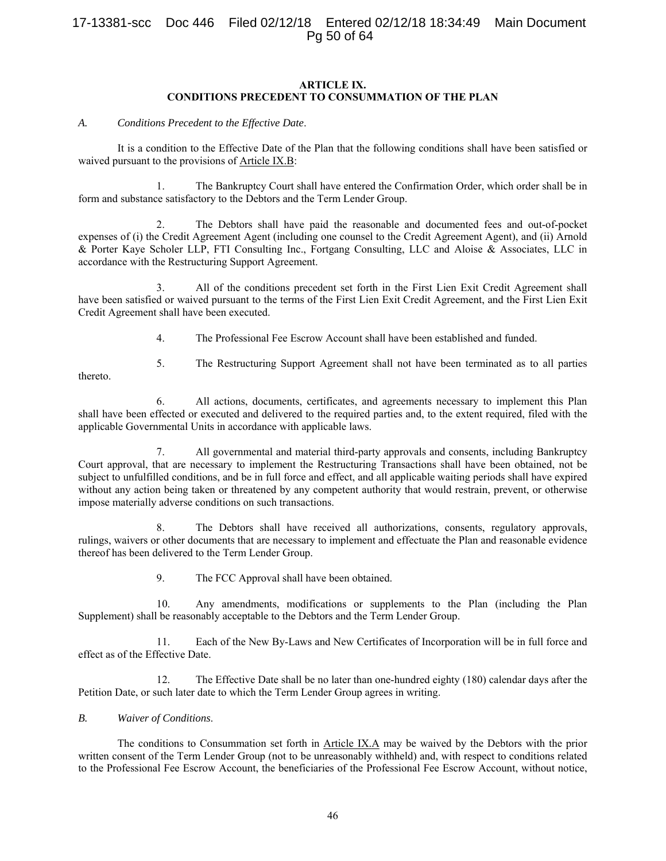# 17-13381-scc Doc 446 Filed 02/12/18 Entered 02/12/18 18:34:49 Main Document Pg 50 of 64

## **ARTICLE IX. CONDITIONS PRECEDENT TO CONSUMMATION OF THE PLAN**

*A. Conditions Precedent to the Effective Date*.

It is a condition to the Effective Date of the Plan that the following conditions shall have been satisfied or waived pursuant to the provisions of Article IX.B:

1. The Bankruptcy Court shall have entered the Confirmation Order, which order shall be in form and substance satisfactory to the Debtors and the Term Lender Group.

2. The Debtors shall have paid the reasonable and documented fees and out-of-pocket expenses of (i) the Credit Agreement Agent (including one counsel to the Credit Agreement Agent), and (ii) Arnold & Porter Kaye Scholer LLP, FTI Consulting Inc., Fortgang Consulting, LLC and Aloise & Associates, LLC in accordance with the Restructuring Support Agreement.

3. All of the conditions precedent set forth in the First Lien Exit Credit Agreement shall have been satisfied or waived pursuant to the terms of the First Lien Exit Credit Agreement, and the First Lien Exit Credit Agreement shall have been executed.

4. The Professional Fee Escrow Account shall have been established and funded.

thereto.

5. The Restructuring Support Agreement shall not have been terminated as to all parties

6. All actions, documents, certificates, and agreements necessary to implement this Plan shall have been effected or executed and delivered to the required parties and, to the extent required, filed with the applicable Governmental Units in accordance with applicable laws.

7. All governmental and material third-party approvals and consents, including Bankruptcy Court approval, that are necessary to implement the Restructuring Transactions shall have been obtained, not be subject to unfulfilled conditions, and be in full force and effect, and all applicable waiting periods shall have expired without any action being taken or threatened by any competent authority that would restrain, prevent, or otherwise impose materially adverse conditions on such transactions.

8. The Debtors shall have received all authorizations, consents, regulatory approvals, rulings, waivers or other documents that are necessary to implement and effectuate the Plan and reasonable evidence thereof has been delivered to the Term Lender Group.

9. The FCC Approval shall have been obtained.

10. Any amendments, modifications or supplements to the Plan (including the Plan Supplement) shall be reasonably acceptable to the Debtors and the Term Lender Group.

11. Each of the New By-Laws and New Certificates of Incorporation will be in full force and effect as of the Effective Date.

12. The Effective Date shall be no later than one-hundred eighty (180) calendar days after the Petition Date, or such later date to which the Term Lender Group agrees in writing.

## *B. Waiver of Conditions*.

The conditions to Consummation set forth in Article IX.A may be waived by the Debtors with the prior written consent of the Term Lender Group (not to be unreasonably withheld) and, with respect to conditions related to the Professional Fee Escrow Account, the beneficiaries of the Professional Fee Escrow Account, without notice,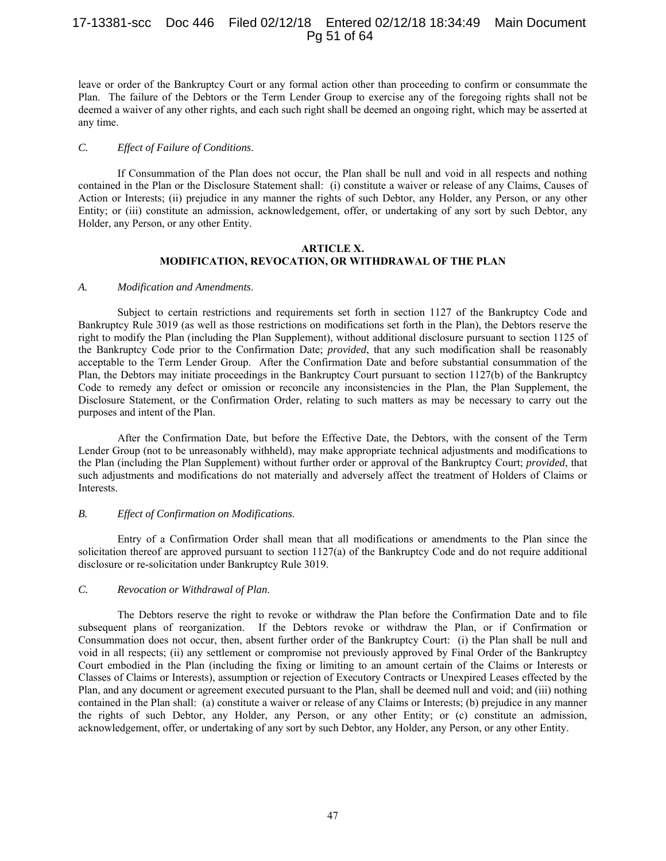# 17-13381-scc Doc 446 Filed 02/12/18 Entered 02/12/18 18:34:49 Main Document Pg 51 of 64

leave or order of the Bankruptcy Court or any formal action other than proceeding to confirm or consummate the Plan. The failure of the Debtors or the Term Lender Group to exercise any of the foregoing rights shall not be deemed a waiver of any other rights, and each such right shall be deemed an ongoing right, which may be asserted at any time.

#### *C. Effect of Failure of Conditions*.

If Consummation of the Plan does not occur, the Plan shall be null and void in all respects and nothing contained in the Plan or the Disclosure Statement shall: (i) constitute a waiver or release of any Claims, Causes of Action or Interests; (ii) prejudice in any manner the rights of such Debtor, any Holder, any Person, or any other Entity; or (iii) constitute an admission, acknowledgement, offer, or undertaking of any sort by such Debtor, any Holder, any Person, or any other Entity.

#### **ARTICLE X. MODIFICATION, REVOCATION, OR WITHDRAWAL OF THE PLAN**

#### *A. Modification and Amendments*.

Subject to certain restrictions and requirements set forth in section 1127 of the Bankruptcy Code and Bankruptcy Rule 3019 (as well as those restrictions on modifications set forth in the Plan), the Debtors reserve the right to modify the Plan (including the Plan Supplement), without additional disclosure pursuant to section 1125 of the Bankruptcy Code prior to the Confirmation Date; *provided*, that any such modification shall be reasonably acceptable to the Term Lender Group. After the Confirmation Date and before substantial consummation of the Plan, the Debtors may initiate proceedings in the Bankruptcy Court pursuant to section 1127(b) of the Bankruptcy Code to remedy any defect or omission or reconcile any inconsistencies in the Plan, the Plan Supplement, the Disclosure Statement, or the Confirmation Order, relating to such matters as may be necessary to carry out the purposes and intent of the Plan.

After the Confirmation Date, but before the Effective Date, the Debtors, with the consent of the Term Lender Group (not to be unreasonably withheld), may make appropriate technical adjustments and modifications to the Plan (including the Plan Supplement) without further order or approval of the Bankruptcy Court; *provided*, that such adjustments and modifications do not materially and adversely affect the treatment of Holders of Claims or Interests.

#### *B. Effect of Confirmation on Modifications*.

Entry of a Confirmation Order shall mean that all modifications or amendments to the Plan since the solicitation thereof are approved pursuant to section 1127(a) of the Bankruptcy Code and do not require additional disclosure or re-solicitation under Bankruptcy Rule 3019.

#### *C. Revocation or Withdrawal of Plan*.

The Debtors reserve the right to revoke or withdraw the Plan before the Confirmation Date and to file subsequent plans of reorganization. If the Debtors revoke or withdraw the Plan, or if Confirmation or Consummation does not occur, then, absent further order of the Bankruptcy Court: (i) the Plan shall be null and void in all respects; (ii) any settlement or compromise not previously approved by Final Order of the Bankruptcy Court embodied in the Plan (including the fixing or limiting to an amount certain of the Claims or Interests or Classes of Claims or Interests), assumption or rejection of Executory Contracts or Unexpired Leases effected by the Plan, and any document or agreement executed pursuant to the Plan, shall be deemed null and void; and (iii) nothing contained in the Plan shall: (a) constitute a waiver or release of any Claims or Interests; (b) prejudice in any manner the rights of such Debtor, any Holder, any Person, or any other Entity; or (c) constitute an admission, acknowledgement, offer, or undertaking of any sort by such Debtor, any Holder, any Person, or any other Entity.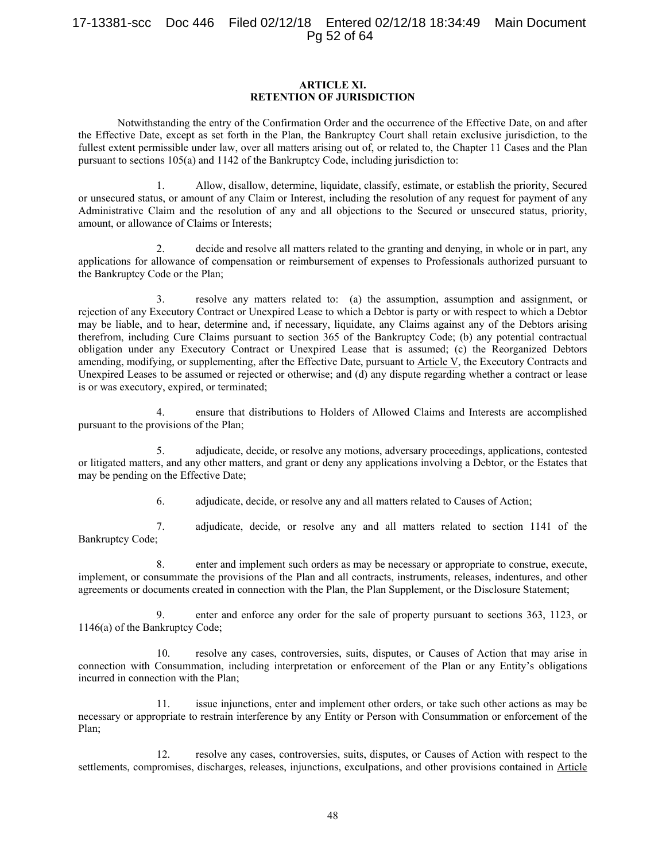# 17-13381-scc Doc 446 Filed 02/12/18 Entered 02/12/18 18:34:49 Main Document Pg 52 of 64

## **ARTICLE XI. RETENTION OF JURISDICTION**

Notwithstanding the entry of the Confirmation Order and the occurrence of the Effective Date, on and after the Effective Date, except as set forth in the Plan, the Bankruptcy Court shall retain exclusive jurisdiction, to the fullest extent permissible under law, over all matters arising out of, or related to, the Chapter 11 Cases and the Plan pursuant to sections 105(a) and 1142 of the Bankruptcy Code, including jurisdiction to:

1. Allow, disallow, determine, liquidate, classify, estimate, or establish the priority, Secured or unsecured status, or amount of any Claim or Interest, including the resolution of any request for payment of any Administrative Claim and the resolution of any and all objections to the Secured or unsecured status, priority, amount, or allowance of Claims or Interests;

2. decide and resolve all matters related to the granting and denying, in whole or in part, any applications for allowance of compensation or reimbursement of expenses to Professionals authorized pursuant to the Bankruptcy Code or the Plan;

3. resolve any matters related to: (a) the assumption, assumption and assignment, or rejection of any Executory Contract or Unexpired Lease to which a Debtor is party or with respect to which a Debtor may be liable, and to hear, determine and, if necessary, liquidate, any Claims against any of the Debtors arising therefrom, including Cure Claims pursuant to section 365 of the Bankruptcy Code; (b) any potential contractual obligation under any Executory Contract or Unexpired Lease that is assumed; (c) the Reorganized Debtors amending, modifying, or supplementing, after the Effective Date, pursuant to Article V, the Executory Contracts and Unexpired Leases to be assumed or rejected or otherwise; and (d) any dispute regarding whether a contract or lease is or was executory, expired, or terminated;

4. ensure that distributions to Holders of Allowed Claims and Interests are accomplished pursuant to the provisions of the Plan;

5. adjudicate, decide, or resolve any motions, adversary proceedings, applications, contested or litigated matters, and any other matters, and grant or deny any applications involving a Debtor, or the Estates that may be pending on the Effective Date;

6. adjudicate, decide, or resolve any and all matters related to Causes of Action;

7. adjudicate, decide, or resolve any and all matters related to section 1141 of the Bankruptcy Code;

8. enter and implement such orders as may be necessary or appropriate to construe, execute, implement, or consummate the provisions of the Plan and all contracts, instruments, releases, indentures, and other agreements or documents created in connection with the Plan, the Plan Supplement, or the Disclosure Statement;

9. enter and enforce any order for the sale of property pursuant to sections 363, 1123, or 1146(a) of the Bankruptcy Code;

10. resolve any cases, controversies, suits, disputes, or Causes of Action that may arise in connection with Consummation, including interpretation or enforcement of the Plan or any Entity's obligations incurred in connection with the Plan;

11. issue injunctions, enter and implement other orders, or take such other actions as may be necessary or appropriate to restrain interference by any Entity or Person with Consummation or enforcement of the Plan;

12. resolve any cases, controversies, suits, disputes, or Causes of Action with respect to the settlements, compromises, discharges, releases, injunctions, exculpations, and other provisions contained in Article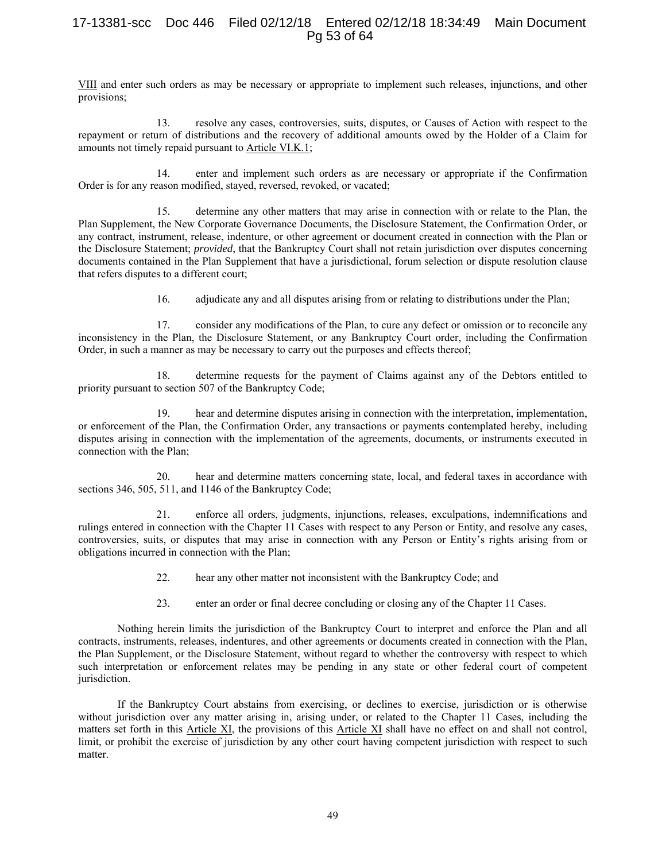# 17-13381-scc Doc 446 Filed 02/12/18 Entered 02/12/18 18:34:49 Main Document Pg 53 of 64

VIII and enter such orders as may be necessary or appropriate to implement such releases, injunctions, and other provisions;

13. resolve any cases, controversies, suits, disputes, or Causes of Action with respect to the repayment or return of distributions and the recovery of additional amounts owed by the Holder of a Claim for amounts not timely repaid pursuant to Article VI.K.1;

14. enter and implement such orders as are necessary or appropriate if the Confirmation Order is for any reason modified, stayed, reversed, revoked, or vacated;

15. determine any other matters that may arise in connection with or relate to the Plan, the Plan Supplement, the New Corporate Governance Documents, the Disclosure Statement, the Confirmation Order, or any contract, instrument, release, indenture, or other agreement or document created in connection with the Plan or the Disclosure Statement; *provided*, that the Bankruptcy Court shall not retain jurisdiction over disputes concerning documents contained in the Plan Supplement that have a jurisdictional, forum selection or dispute resolution clause that refers disputes to a different court;

16. adjudicate any and all disputes arising from or relating to distributions under the Plan;

17. consider any modifications of the Plan, to cure any defect or omission or to reconcile any inconsistency in the Plan, the Disclosure Statement, or any Bankruptcy Court order, including the Confirmation Order, in such a manner as may be necessary to carry out the purposes and effects thereof;

18. determine requests for the payment of Claims against any of the Debtors entitled to priority pursuant to section 507 of the Bankruptcy Code;

19. hear and determine disputes arising in connection with the interpretation, implementation, or enforcement of the Plan, the Confirmation Order, any transactions or payments contemplated hereby, including disputes arising in connection with the implementation of the agreements, documents, or instruments executed in connection with the Plan;

20. hear and determine matters concerning state, local, and federal taxes in accordance with sections 346, 505, 511, and 1146 of the Bankruptcy Code;

21. enforce all orders, judgments, injunctions, releases, exculpations, indemnifications and rulings entered in connection with the Chapter 11 Cases with respect to any Person or Entity, and resolve any cases, controversies, suits, or disputes that may arise in connection with any Person or Entity's rights arising from or obligations incurred in connection with the Plan;

- 22. hear any other matter not inconsistent with the Bankruptcy Code; and
- 23. enter an order or final decree concluding or closing any of the Chapter 11 Cases.

Nothing herein limits the jurisdiction of the Bankruptcy Court to interpret and enforce the Plan and all contracts, instruments, releases, indentures, and other agreements or documents created in connection with the Plan, the Plan Supplement, or the Disclosure Statement, without regard to whether the controversy with respect to which such interpretation or enforcement relates may be pending in any state or other federal court of competent jurisdiction.

If the Bankruptcy Court abstains from exercising, or declines to exercise, jurisdiction or is otherwise without jurisdiction over any matter arising in, arising under, or related to the Chapter 11 Cases, including the matters set forth in this Article XI, the provisions of this Article XI shall have no effect on and shall not control, limit, or prohibit the exercise of jurisdiction by any other court having competent jurisdiction with respect to such matter.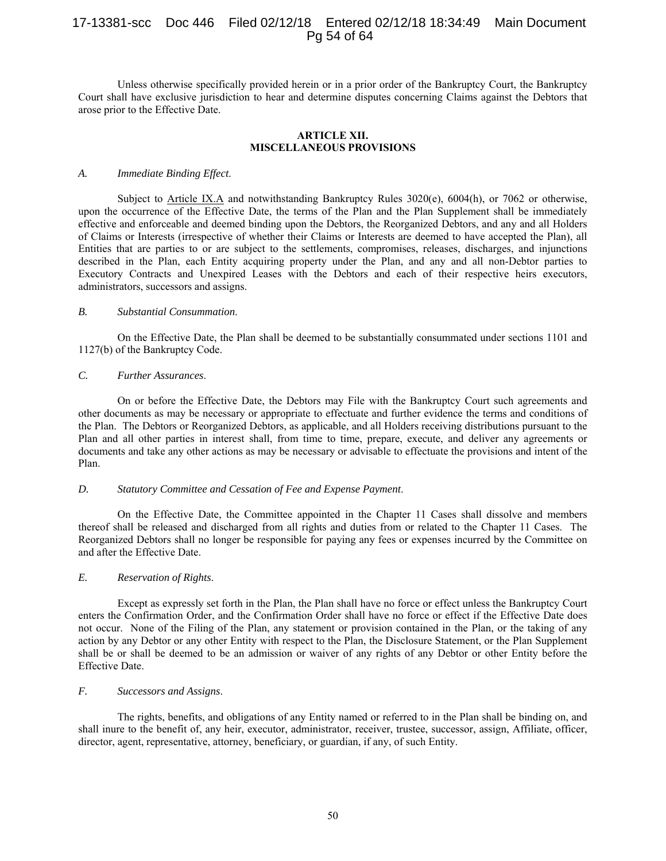# 17-13381-scc Doc 446 Filed 02/12/18 Entered 02/12/18 18:34:49 Main Document Pg 54 of 64

Unless otherwise specifically provided herein or in a prior order of the Bankruptcy Court, the Bankruptcy Court shall have exclusive jurisdiction to hear and determine disputes concerning Claims against the Debtors that arose prior to the Effective Date.

## **ARTICLE XII. MISCELLANEOUS PROVISIONS**

## *A. Immediate Binding Effect*.

Subject to Article IX.A and notwithstanding Bankruptcy Rules 3020(e), 6004(h), or 7062 or otherwise, upon the occurrence of the Effective Date, the terms of the Plan and the Plan Supplement shall be immediately effective and enforceable and deemed binding upon the Debtors, the Reorganized Debtors, and any and all Holders of Claims or Interests (irrespective of whether their Claims or Interests are deemed to have accepted the Plan), all Entities that are parties to or are subject to the settlements, compromises, releases, discharges, and injunctions described in the Plan, each Entity acquiring property under the Plan, and any and all non-Debtor parties to Executory Contracts and Unexpired Leases with the Debtors and each of their respective heirs executors, administrators, successors and assigns.

## *B. Substantial Consummation*.

On the Effective Date, the Plan shall be deemed to be substantially consummated under sections 1101 and 1127(b) of the Bankruptcy Code.

## *C. Further Assurances*.

On or before the Effective Date, the Debtors may File with the Bankruptcy Court such agreements and other documents as may be necessary or appropriate to effectuate and further evidence the terms and conditions of the Plan. The Debtors or Reorganized Debtors, as applicable, and all Holders receiving distributions pursuant to the Plan and all other parties in interest shall, from time to time, prepare, execute, and deliver any agreements or documents and take any other actions as may be necessary or advisable to effectuate the provisions and intent of the Plan.

#### *D. Statutory Committee and Cessation of Fee and Expense Payment*.

On the Effective Date, the Committee appointed in the Chapter 11 Cases shall dissolve and members thereof shall be released and discharged from all rights and duties from or related to the Chapter 11 Cases. The Reorganized Debtors shall no longer be responsible for paying any fees or expenses incurred by the Committee on and after the Effective Date.

# *E. Reservation of Rights*.

Except as expressly set forth in the Plan, the Plan shall have no force or effect unless the Bankruptcy Court enters the Confirmation Order, and the Confirmation Order shall have no force or effect if the Effective Date does not occur. None of the Filing of the Plan, any statement or provision contained in the Plan, or the taking of any action by any Debtor or any other Entity with respect to the Plan, the Disclosure Statement, or the Plan Supplement shall be or shall be deemed to be an admission or waiver of any rights of any Debtor or other Entity before the Effective Date.

## *F. Successors and Assigns*.

The rights, benefits, and obligations of any Entity named or referred to in the Plan shall be binding on, and shall inure to the benefit of, any heir, executor, administrator, receiver, trustee, successor, assign, Affiliate, officer, director, agent, representative, attorney, beneficiary, or guardian, if any, of such Entity.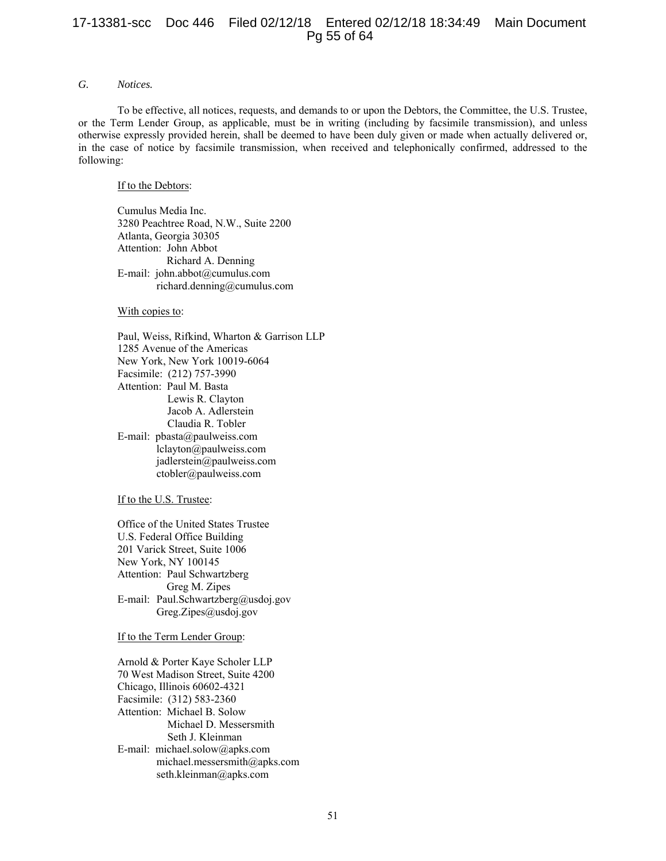# 17-13381-scc Doc 446 Filed 02/12/18 Entered 02/12/18 18:34:49 Main Document Pg 55 of 64

# *G. Notices.*

To be effective, all notices, requests, and demands to or upon the Debtors, the Committee, the U.S. Trustee, or the Term Lender Group, as applicable, must be in writing (including by facsimile transmission), and unless otherwise expressly provided herein, shall be deemed to have been duly given or made when actually delivered or, in the case of notice by facsimile transmission, when received and telephonically confirmed, addressed to the following:

## If to the Debtors:

Cumulus Media Inc. 3280 Peachtree Road, N.W., Suite 2200 Atlanta, Georgia 30305 Attention: John Abbot Richard A. Denning E-mail: john.abbot@cumulus.com richard.denning@cumulus.com

## With copies to:

 Paul, Weiss, Rifkind, Wharton & Garrison LLP 1285 Avenue of the Americas New York, New York 10019-6064 Facsimile: (212) 757-3990 Attention: Paul M. Basta Lewis R. Clayton Jacob A. Adlerstein Claudia R. Tobler E-mail: pbasta@paulweiss.com lclayton@paulweiss.com jadlerstein@paulweiss.com ctobler@paulweiss.com

#### If to the U.S. Trustee:

Office of the United States Trustee U.S. Federal Office Building 201 Varick Street, Suite 1006 New York, NY 100145 Attention: Paul Schwartzberg Greg M. Zipes E-mail: Paul.Schwartzberg@usdoj.gov Greg.Zipes@usdoj.gov

#### If to the Term Lender Group:

 Arnold & Porter Kaye Scholer LLP 70 West Madison Street, Suite 4200 Chicago, Illinois 60602-4321 Facsimile: (312) 583-2360 Attention: Michael B. Solow Michael D. Messersmith Seth J. Kleinman E-mail: michael.solow@apks.com michael.messersmith@apks.com seth.kleinman@apks.com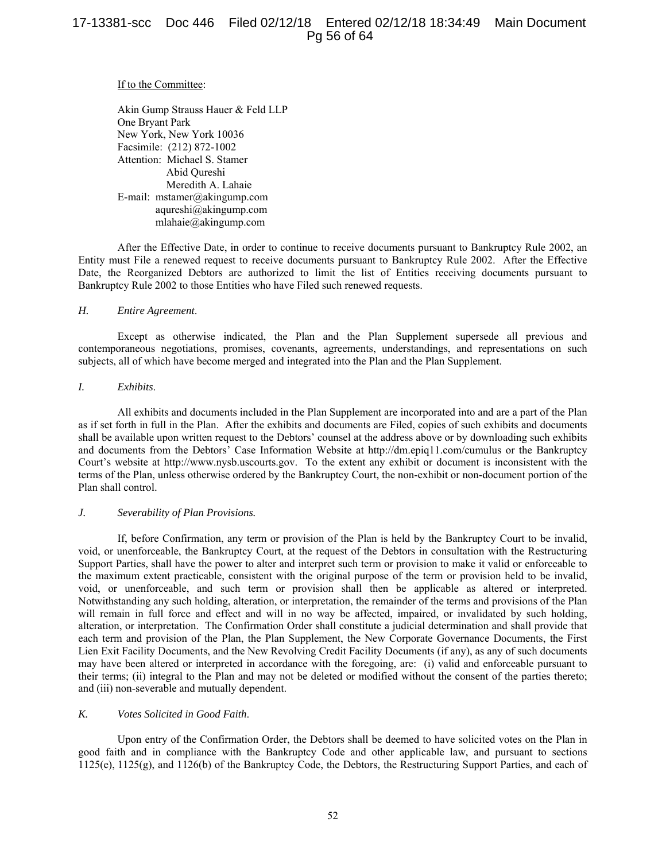## If to the Committee:

Akin Gump Strauss Hauer & Feld LLP One Bryant Park New York, New York 10036 Facsimile: (212) 872-1002 Attention: Michael S. Stamer Abid Qureshi Meredith A. Lahaie E-mail: mstamer@akingump.com aqureshi@akingump.com mlahaie@akingump.com

After the Effective Date, in order to continue to receive documents pursuant to Bankruptcy Rule 2002, an Entity must File a renewed request to receive documents pursuant to Bankruptcy Rule 2002. After the Effective Date, the Reorganized Debtors are authorized to limit the list of Entities receiving documents pursuant to Bankruptcy Rule 2002 to those Entities who have Filed such renewed requests.

## *H. Entire Agreement*.

Except as otherwise indicated, the Plan and the Plan Supplement supersede all previous and contemporaneous negotiations, promises, covenants, agreements, understandings, and representations on such subjects, all of which have become merged and integrated into the Plan and the Plan Supplement.

## *I. Exhibits*.

All exhibits and documents included in the Plan Supplement are incorporated into and are a part of the Plan as if set forth in full in the Plan. After the exhibits and documents are Filed, copies of such exhibits and documents shall be available upon written request to the Debtors' counsel at the address above or by downloading such exhibits and documents from the Debtors' Case Information Website at http://dm.epiq11.com/cumulus or the Bankruptcy Court's website at http://www.nysb.uscourts.gov. To the extent any exhibit or document is inconsistent with the terms of the Plan, unless otherwise ordered by the Bankruptcy Court, the non-exhibit or non-document portion of the Plan shall control.

#### *J. Severability of Plan Provisions.*

If, before Confirmation, any term or provision of the Plan is held by the Bankruptcy Court to be invalid, void, or unenforceable, the Bankruptcy Court, at the request of the Debtors in consultation with the Restructuring Support Parties, shall have the power to alter and interpret such term or provision to make it valid or enforceable to the maximum extent practicable, consistent with the original purpose of the term or provision held to be invalid, void, or unenforceable, and such term or provision shall then be applicable as altered or interpreted. Notwithstanding any such holding, alteration, or interpretation, the remainder of the terms and provisions of the Plan will remain in full force and effect and will in no way be affected, impaired, or invalidated by such holding, alteration, or interpretation. The Confirmation Order shall constitute a judicial determination and shall provide that each term and provision of the Plan, the Plan Supplement, the New Corporate Governance Documents, the First Lien Exit Facility Documents, and the New Revolving Credit Facility Documents (if any), as any of such documents may have been altered or interpreted in accordance with the foregoing, are: (i) valid and enforceable pursuant to their terms; (ii) integral to the Plan and may not be deleted or modified without the consent of the parties thereto; and (iii) non-severable and mutually dependent.

## *K. Votes Solicited in Good Faith*.

Upon entry of the Confirmation Order, the Debtors shall be deemed to have solicited votes on the Plan in good faith and in compliance with the Bankruptcy Code and other applicable law, and pursuant to sections 1125(e), 1125(g), and 1126(b) of the Bankruptcy Code, the Debtors, the Restructuring Support Parties, and each of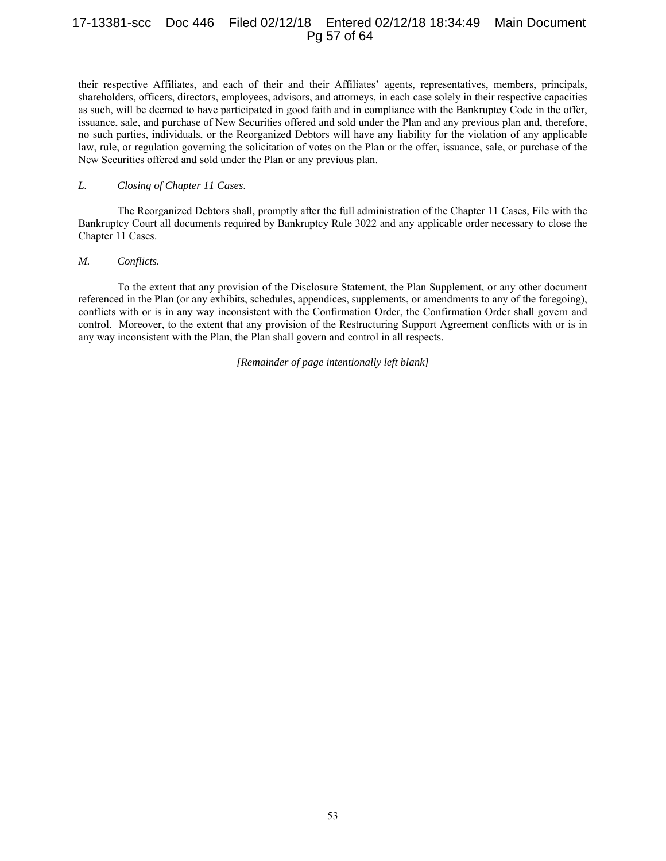# 17-13381-scc Doc 446 Filed 02/12/18 Entered 02/12/18 18:34:49 Main Document Pg 57 of 64

their respective Affiliates, and each of their and their Affiliates' agents, representatives, members, principals, shareholders, officers, directors, employees, advisors, and attorneys, in each case solely in their respective capacities as such, will be deemed to have participated in good faith and in compliance with the Bankruptcy Code in the offer, issuance, sale, and purchase of New Securities offered and sold under the Plan and any previous plan and, therefore, no such parties, individuals, or the Reorganized Debtors will have any liability for the violation of any applicable law, rule, or regulation governing the solicitation of votes on the Plan or the offer, issuance, sale, or purchase of the New Securities offered and sold under the Plan or any previous plan.

## *L. Closing of Chapter 11 Cases*.

The Reorganized Debtors shall, promptly after the full administration of the Chapter 11 Cases, File with the Bankruptcy Court all documents required by Bankruptcy Rule 3022 and any applicable order necessary to close the Chapter 11 Cases.

#### *M. Conflicts.*

To the extent that any provision of the Disclosure Statement, the Plan Supplement, or any other document referenced in the Plan (or any exhibits, schedules, appendices, supplements, or amendments to any of the foregoing), conflicts with or is in any way inconsistent with the Confirmation Order, the Confirmation Order shall govern and control. Moreover, to the extent that any provision of the Restructuring Support Agreement conflicts with or is in any way inconsistent with the Plan, the Plan shall govern and control in all respects.

*[Remainder of page intentionally left blank]*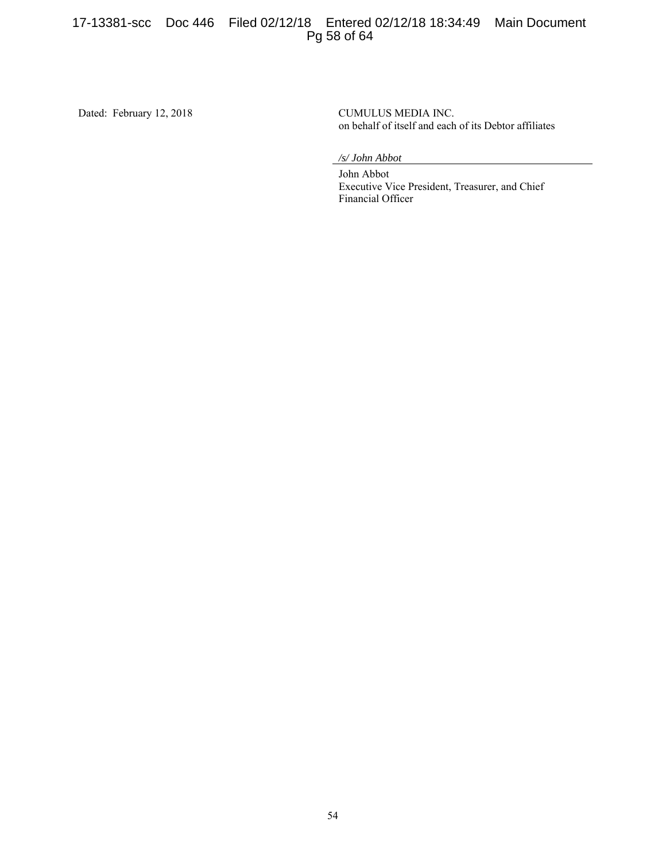# 17-13381-scc Doc 446 Filed 02/12/18 Entered 02/12/18 18:34:49 Main Document Pg 58 of 64

Dated: February 12, 2018 CUMULUS MEDIA INC.

on behalf of itself and each of its Debtor affiliates

*/s/ John Abbot* 

 John Abbot Executive Vice President, Treasurer, and Chief Financial Officer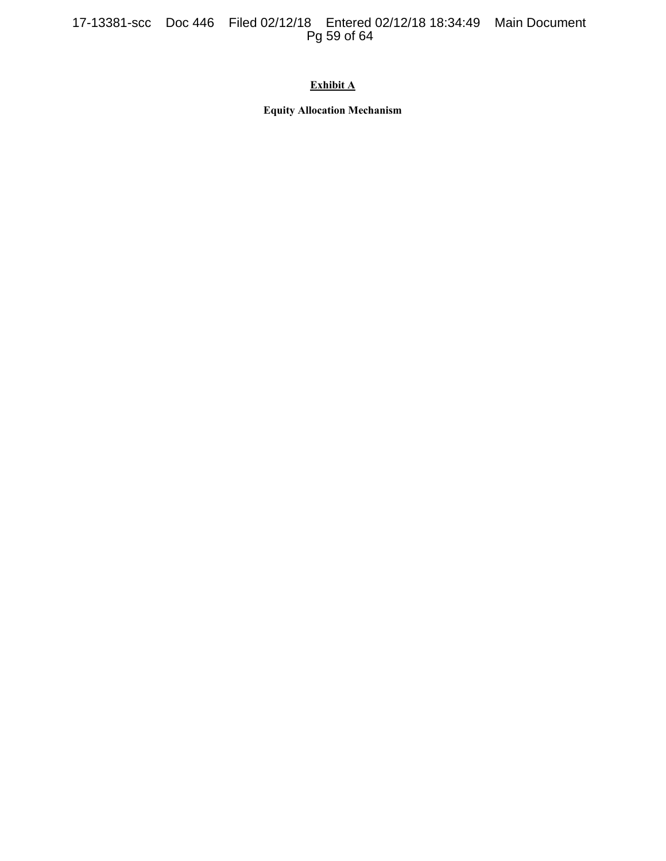# 17-13381-scc Doc 446 Filed 02/12/18 Entered 02/12/18 18:34:49 Main Document Pg 59 of 64

# **Exhibit A**

**Equity Allocation Mechanism**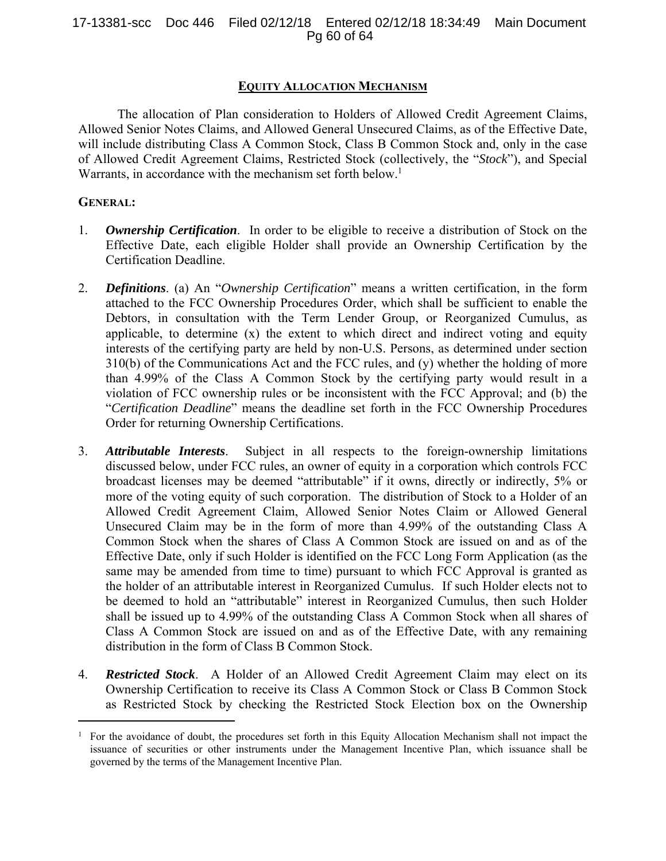# 17-13381-scc Doc 446 Filed 02/12/18 Entered 02/12/18 18:34:49 Main Document Pg 60 of 64

# **EQUITY ALLOCATION MECHANISM**

The allocation of Plan consideration to Holders of Allowed Credit Agreement Claims, Allowed Senior Notes Claims, and Allowed General Unsecured Claims, as of the Effective Date, will include distributing Class A Common Stock, Class B Common Stock and, only in the case of Allowed Credit Agreement Claims, Restricted Stock (collectively, the "*Stock*"), and Special Warrants, in accordance with the mechanism set forth below.<sup>1</sup>

# **GENERAL:**

 $\overline{a}$ 

- 1. *Ownership Certification*. In order to be eligible to receive a distribution of Stock on the Effective Date, each eligible Holder shall provide an Ownership Certification by the Certification Deadline.
- 2. *Definitions*. (a) An "*Ownership Certification*" means a written certification, in the form attached to the FCC Ownership Procedures Order, which shall be sufficient to enable the Debtors, in consultation with the Term Lender Group, or Reorganized Cumulus, as applicable, to determine (x) the extent to which direct and indirect voting and equity interests of the certifying party are held by non-U.S. Persons, as determined under section 310(b) of the Communications Act and the FCC rules, and (y) whether the holding of more than 4.99% of the Class A Common Stock by the certifying party would result in a violation of FCC ownership rules or be inconsistent with the FCC Approval; and (b) the "*Certification Deadline*" means the deadline set forth in the FCC Ownership Procedures Order for returning Ownership Certifications.
- 3. *Attributable Interests*.Subject in all respects to the foreign-ownership limitations discussed below, under FCC rules, an owner of equity in a corporation which controls FCC broadcast licenses may be deemed "attributable" if it owns, directly or indirectly, 5% or more of the voting equity of such corporation. The distribution of Stock to a Holder of an Allowed Credit Agreement Claim, Allowed Senior Notes Claim or Allowed General Unsecured Claim may be in the form of more than 4.99% of the outstanding Class A Common Stock when the shares of Class A Common Stock are issued on and as of the Effective Date, only if such Holder is identified on the FCC Long Form Application (as the same may be amended from time to time) pursuant to which FCC Approval is granted as the holder of an attributable interest in Reorganized Cumulus. If such Holder elects not to be deemed to hold an "attributable" interest in Reorganized Cumulus, then such Holder shall be issued up to 4.99% of the outstanding Class A Common Stock when all shares of Class A Common Stock are issued on and as of the Effective Date, with any remaining distribution in the form of Class B Common Stock.
- 4. *Restricted Stock*. A Holder of an Allowed Credit Agreement Claim may elect on its Ownership Certification to receive its Class A Common Stock or Class B Common Stock as Restricted Stock by checking the Restricted Stock Election box on the Ownership

<sup>1</sup> For the avoidance of doubt, the procedures set forth in this Equity Allocation Mechanism shall not impact the issuance of securities or other instruments under the Management Incentive Plan, which issuance shall be governed by the terms of the Management Incentive Plan.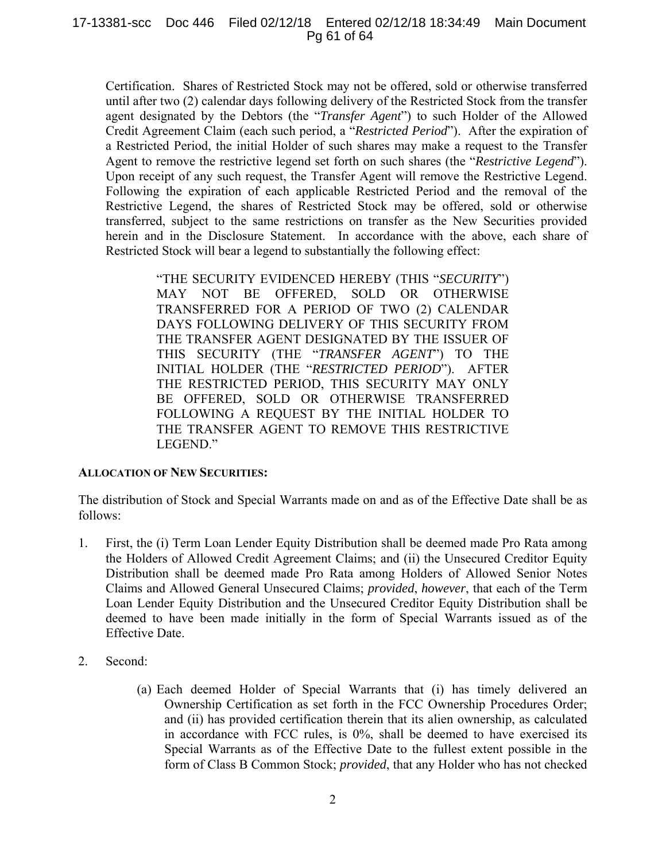# 17-13381-scc Doc 446 Filed 02/12/18 Entered 02/12/18 18:34:49 Main Document Pg 61 of 64

Certification. Shares of Restricted Stock may not be offered, sold or otherwise transferred until after two (2) calendar days following delivery of the Restricted Stock from the transfer agent designated by the Debtors (the "*Transfer Agent*") to such Holder of the Allowed Credit Agreement Claim (each such period, a "*Restricted Period*"). After the expiration of a Restricted Period, the initial Holder of such shares may make a request to the Transfer Agent to remove the restrictive legend set forth on such shares (the "*Restrictive Legend*"). Upon receipt of any such request, the Transfer Agent will remove the Restrictive Legend. Following the expiration of each applicable Restricted Period and the removal of the Restrictive Legend, the shares of Restricted Stock may be offered, sold or otherwise transferred, subject to the same restrictions on transfer as the New Securities provided herein and in the Disclosure Statement. In accordance with the above, each share of Restricted Stock will bear a legend to substantially the following effect:

> "THE SECURITY EVIDENCED HEREBY (THIS "*SECURITY*") MAY NOT BE OFFERED, SOLD OR OTHERWISE TRANSFERRED FOR A PERIOD OF TWO (2) CALENDAR DAYS FOLLOWING DELIVERY OF THIS SECURITY FROM THE TRANSFER AGENT DESIGNATED BY THE ISSUER OF THIS SECURITY (THE "*TRANSFER AGENT*") TO THE INITIAL HOLDER (THE "*RESTRICTED PERIOD*"). AFTER THE RESTRICTED PERIOD, THIS SECURITY MAY ONLY BE OFFERED, SOLD OR OTHERWISE TRANSFERRED FOLLOWING A REQUEST BY THE INITIAL HOLDER TO THE TRANSFER AGENT TO REMOVE THIS RESTRICTIVE LEGEND."

# **ALLOCATION OF NEW SECURITIES:**

The distribution of Stock and Special Warrants made on and as of the Effective Date shall be as follows:

- 1. First, the (i) Term Loan Lender Equity Distribution shall be deemed made Pro Rata among the Holders of Allowed Credit Agreement Claims; and (ii) the Unsecured Creditor Equity Distribution shall be deemed made Pro Rata among Holders of Allowed Senior Notes Claims and Allowed General Unsecured Claims; *provided*, *however*, that each of the Term Loan Lender Equity Distribution and the Unsecured Creditor Equity Distribution shall be deemed to have been made initially in the form of Special Warrants issued as of the Effective Date.
- 2. Second:
	- (a) Each deemed Holder of Special Warrants that (i) has timely delivered an Ownership Certification as set forth in the FCC Ownership Procedures Order; and (ii) has provided certification therein that its alien ownership, as calculated in accordance with FCC rules, is 0%, shall be deemed to have exercised its Special Warrants as of the Effective Date to the fullest extent possible in the form of Class B Common Stock; *provided*, that any Holder who has not checked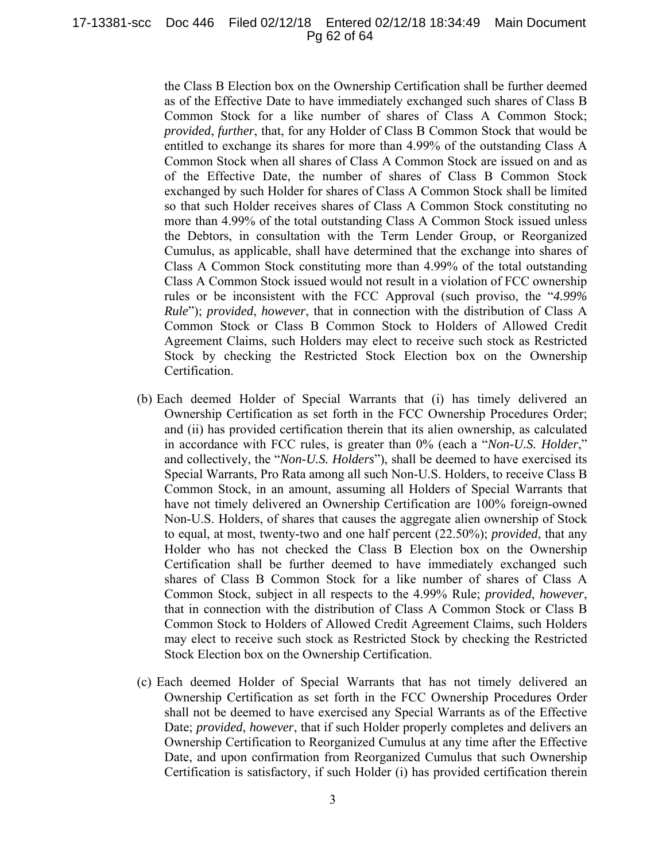17-13381-scc Doc 446 Filed 02/12/18 Entered 02/12/18 18:34:49 Main Document Pg 62 of 64

> the Class B Election box on the Ownership Certification shall be further deemed as of the Effective Date to have immediately exchanged such shares of Class B Common Stock for a like number of shares of Class A Common Stock; *provided*, *further*, that, for any Holder of Class B Common Stock that would be entitled to exchange its shares for more than 4.99% of the outstanding Class A Common Stock when all shares of Class A Common Stock are issued on and as of the Effective Date, the number of shares of Class B Common Stock exchanged by such Holder for shares of Class A Common Stock shall be limited so that such Holder receives shares of Class A Common Stock constituting no more than 4.99% of the total outstanding Class A Common Stock issued unless the Debtors, in consultation with the Term Lender Group, or Reorganized Cumulus, as applicable, shall have determined that the exchange into shares of Class A Common Stock constituting more than 4.99% of the total outstanding Class A Common Stock issued would not result in a violation of FCC ownership rules or be inconsistent with the FCC Approval (such proviso, the "*4.99% Rule*"); *provided*, *however*, that in connection with the distribution of Class A Common Stock or Class B Common Stock to Holders of Allowed Credit Agreement Claims, such Holders may elect to receive such stock as Restricted Stock by checking the Restricted Stock Election box on the Ownership Certification.

- (b) Each deemed Holder of Special Warrants that (i) has timely delivered an Ownership Certification as set forth in the FCC Ownership Procedures Order; and (ii) has provided certification therein that its alien ownership, as calculated in accordance with FCC rules, is greater than 0% (each a "*Non-U.S. Holder*," and collectively, the "*Non-U.S. Holders*"), shall be deemed to have exercised its Special Warrants, Pro Rata among all such Non-U.S. Holders, to receive Class B Common Stock, in an amount, assuming all Holders of Special Warrants that have not timely delivered an Ownership Certification are 100% foreign-owned Non-U.S. Holders, of shares that causes the aggregate alien ownership of Stock to equal, at most, twenty-two and one half percent (22.50%); *provided*, that any Holder who has not checked the Class B Election box on the Ownership Certification shall be further deemed to have immediately exchanged such shares of Class B Common Stock for a like number of shares of Class A Common Stock, subject in all respects to the 4.99% Rule; *provided*, *however*, that in connection with the distribution of Class A Common Stock or Class B Common Stock to Holders of Allowed Credit Agreement Claims, such Holders may elect to receive such stock as Restricted Stock by checking the Restricted Stock Election box on the Ownership Certification.
- (c) Each deemed Holder of Special Warrants that has not timely delivered an Ownership Certification as set forth in the FCC Ownership Procedures Order shall not be deemed to have exercised any Special Warrants as of the Effective Date; *provided*, *however*, that if such Holder properly completes and delivers an Ownership Certification to Reorganized Cumulus at any time after the Effective Date, and upon confirmation from Reorganized Cumulus that such Ownership Certification is satisfactory, if such Holder (i) has provided certification therein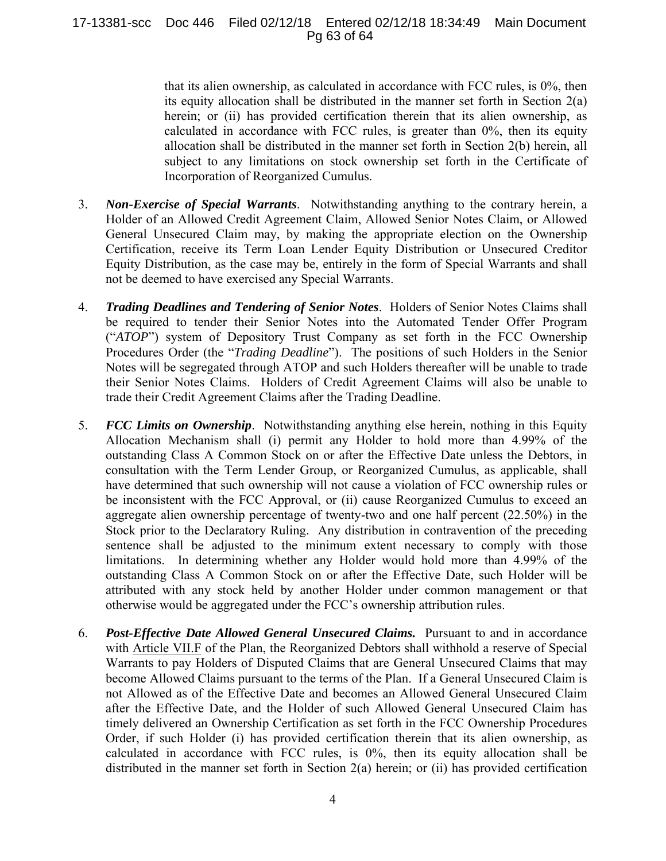17-13381-scc Doc 446 Filed 02/12/18 Entered 02/12/18 18:34:49 Main Document Pg 63 of 64

> that its alien ownership, as calculated in accordance with FCC rules, is 0%, then its equity allocation shall be distributed in the manner set forth in Section 2(a) herein; or (ii) has provided certification therein that its alien ownership, as calculated in accordance with FCC rules, is greater than 0%, then its equity allocation shall be distributed in the manner set forth in Section 2(b) herein, all subject to any limitations on stock ownership set forth in the Certificate of Incorporation of Reorganized Cumulus.

- 3. *Non-Exercise of Special Warrants*.Notwithstanding anything to the contrary herein, a Holder of an Allowed Credit Agreement Claim, Allowed Senior Notes Claim, or Allowed General Unsecured Claim may, by making the appropriate election on the Ownership Certification, receive its Term Loan Lender Equity Distribution or Unsecured Creditor Equity Distribution, as the case may be, entirely in the form of Special Warrants and shall not be deemed to have exercised any Special Warrants.
- 4. *Trading Deadlines and Tendering of Senior Notes*.Holders of Senior Notes Claims shall be required to tender their Senior Notes into the Automated Tender Offer Program ("*ATOP*") system of Depository Trust Company as set forth in the FCC Ownership Procedures Order (the "*Trading Deadline*"). The positions of such Holders in the Senior Notes will be segregated through ATOP and such Holders thereafter will be unable to trade their Senior Notes Claims. Holders of Credit Agreement Claims will also be unable to trade their Credit Agreement Claims after the Trading Deadline.
- 5. *FCC Limits on Ownership*. Notwithstanding anything else herein, nothing in this Equity Allocation Mechanism shall (i) permit any Holder to hold more than 4.99% of the outstanding Class A Common Stock on or after the Effective Date unless the Debtors, in consultation with the Term Lender Group, or Reorganized Cumulus, as applicable, shall have determined that such ownership will not cause a violation of FCC ownership rules or be inconsistent with the FCC Approval, or (ii) cause Reorganized Cumulus to exceed an aggregate alien ownership percentage of twenty-two and one half percent (22.50%) in the Stock prior to the Declaratory Ruling. Any distribution in contravention of the preceding sentence shall be adjusted to the minimum extent necessary to comply with those limitations. In determining whether any Holder would hold more than 4.99% of the outstanding Class A Common Stock on or after the Effective Date, such Holder will be attributed with any stock held by another Holder under common management or that otherwise would be aggregated under the FCC's ownership attribution rules.
- 6. *Post-Effective Date Allowed General Unsecured Claims.* Pursuant to and in accordance with Article VII.F of the Plan, the Reorganized Debtors shall withhold a reserve of Special Warrants to pay Holders of Disputed Claims that are General Unsecured Claims that may become Allowed Claims pursuant to the terms of the Plan. If a General Unsecured Claim is not Allowed as of the Effective Date and becomes an Allowed General Unsecured Claim after the Effective Date, and the Holder of such Allowed General Unsecured Claim has timely delivered an Ownership Certification as set forth in the FCC Ownership Procedures Order, if such Holder (i) has provided certification therein that its alien ownership, as calculated in accordance with FCC rules, is 0%, then its equity allocation shall be distributed in the manner set forth in Section 2(a) herein; or (ii) has provided certification